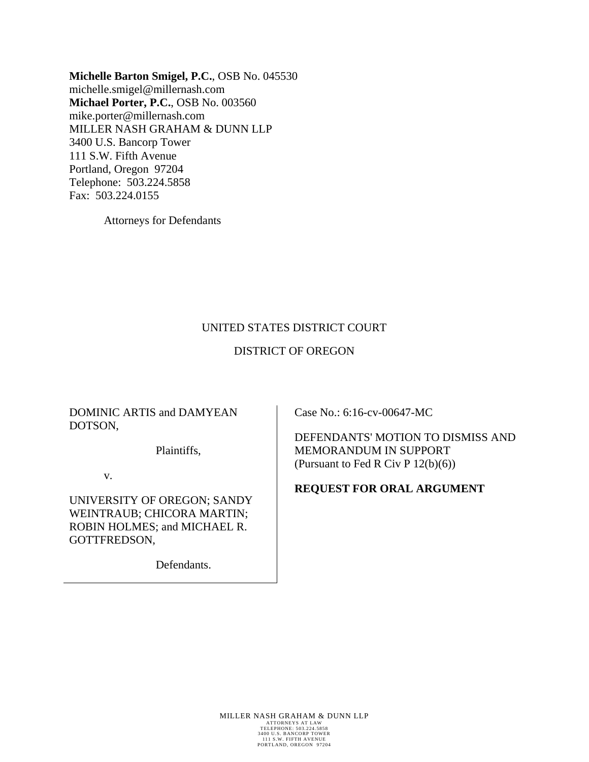**Michelle Barton Smigel, P.C.**, OSB No. 045530 michelle.smigel@millernash.com **Michael Porter, P.C.**, OSB No. 003560 mike.porter@millernash.com MILLER NASH GRAHAM & DUNN LLP 3400 U.S. Bancorp Tower 111 S.W. Fifth Avenue Portland, Oregon 97204 Telephone: 503.224.5858 Fax: 503.224.0155

Attorneys for Defendants

# UNITED STATES DISTRICT COURT

# DISTRICT OF OREGON

### DOMINIC ARTIS and DAMYEAN DOTSON,

Plaintiffs,

v.

UNIVERSITY OF OREGON; SANDY WEINTRAUB; CHICORA MARTIN; ROBIN HOLMES; and MICHAEL R. GOTTFREDSON,

Defendants.

Case No.: 6:16-cv-00647-MC

DEFENDANTS' MOTION TO DISMISS AND MEMORANDUM IN SUPPORT (Pursuant to Fed R Civ P 12(b)(6))

### **REQUEST FOR ORAL ARGUMENT**

MILLER NASH GRAHAM & DUNN LLP TELEPHONE: 503.224.5858 3400 U.S. BANCORP TOWER 111 S.W. FIFTH AVENUE PORTLAND, OREGON 97204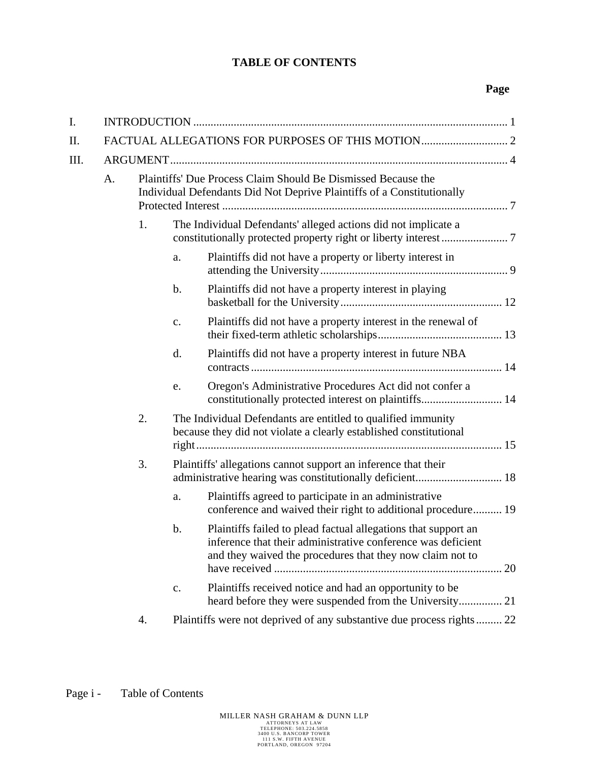# **TABLE OF CONTENTS**

# **Page**

| I. |    |    |                |                                                                                                                                                                                             |  |
|----|----|----|----------------|---------------------------------------------------------------------------------------------------------------------------------------------------------------------------------------------|--|
| Π. |    |    |                |                                                                                                                                                                                             |  |
| Ш. |    |    |                |                                                                                                                                                                                             |  |
|    | A. |    |                | Plaintiffs' Due Process Claim Should Be Dismissed Because the<br>Individual Defendants Did Not Deprive Plaintiffs of a Constitutionally                                                     |  |
|    |    | 1. |                | The Individual Defendants' alleged actions did not implicate a                                                                                                                              |  |
|    |    |    | a.             | Plaintiffs did not have a property or liberty interest in                                                                                                                                   |  |
|    |    |    | $\mathbf b$ .  | Plaintiffs did not have a property interest in playing                                                                                                                                      |  |
|    |    |    | c.             | Plaintiffs did not have a property interest in the renewal of                                                                                                                               |  |
|    |    |    | d.             | Plaintiffs did not have a property interest in future NBA                                                                                                                                   |  |
|    |    |    | e.             | Oregon's Administrative Procedures Act did not confer a<br>constitutionally protected interest on plaintiffs 14                                                                             |  |
|    |    | 2. |                | The Individual Defendants are entitled to qualified immunity<br>because they did not violate a clearly established constitutional                                                           |  |
|    |    | 3. |                | Plaintiffs' allegations cannot support an inference that their                                                                                                                              |  |
|    |    |    | a.             | Plaintiffs agreed to participate in an administrative<br>conference and waived their right to additional procedure 19                                                                       |  |
|    |    |    | b.             | Plaintiffs failed to plead factual allegations that support an<br>inference that their administrative conference was deficient<br>and they waived the procedures that they now claim not to |  |
|    |    |    | $\mathbf{c}$ . | Plaintiffs received notice and had an opportunity to be<br>heard before they were suspended from the University 21                                                                          |  |
|    |    | 4. |                | Plaintiffs were not deprived of any substantive due process rights 22                                                                                                                       |  |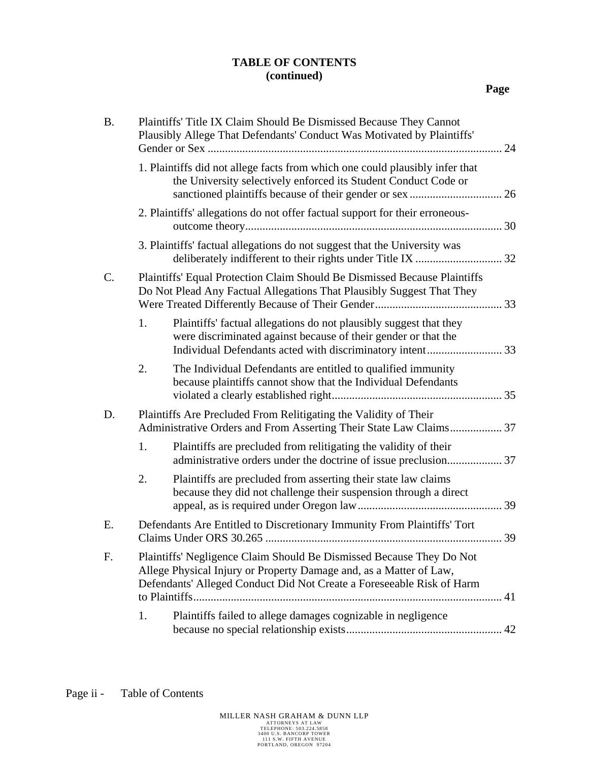# **TABLE OF CONTENTS (continued)**

| <b>B.</b>       | Plaintiffs' Title IX Claim Should Be Dismissed Because They Cannot<br>Plausibly Allege That Defendants' Conduct Was Motivated by Plaintiffs'                                                                        |  |  |  |
|-----------------|---------------------------------------------------------------------------------------------------------------------------------------------------------------------------------------------------------------------|--|--|--|
|                 | 1. Plaintiffs did not allege facts from which one could plausibly infer that<br>the University selectively enforced its Student Conduct Code or                                                                     |  |  |  |
|                 | 2. Plaintiffs' allegations do not offer factual support for their erroneous-                                                                                                                                        |  |  |  |
|                 | 3. Plaintiffs' factual allegations do not suggest that the University was                                                                                                                                           |  |  |  |
| $\mathcal{C}$ . | Plaintiffs' Equal Protection Claim Should Be Dismissed Because Plaintiffs<br>Do Not Plead Any Factual Allegations That Plausibly Suggest That They                                                                  |  |  |  |
|                 | Plaintiffs' factual allegations do not plausibly suggest that they<br>1.<br>were discriminated against because of their gender or that the                                                                          |  |  |  |
|                 | The Individual Defendants are entitled to qualified immunity<br>2.<br>because plaintiffs cannot show that the Individual Defendants                                                                                 |  |  |  |
| D.              | Plaintiffs Are Precluded From Relitigating the Validity of Their<br>Administrative Orders and From Asserting Their State Law Claims 37                                                                              |  |  |  |
|                 | Plaintiffs are precluded from relitigating the validity of their<br>1.                                                                                                                                              |  |  |  |
|                 | Plaintiffs are precluded from asserting their state law claims<br>2.<br>because they did not challenge their suspension through a direct                                                                            |  |  |  |
| Ε.              | Defendants Are Entitled to Discretionary Immunity From Plaintiffs' Tort                                                                                                                                             |  |  |  |
| F.              | Plaintiffs' Negligence Claim Should Be Dismissed Because They Do Not<br>Allege Physical Injury or Property Damage and, as a Matter of Law,<br>Defendants' Alleged Conduct Did Not Create a Foreseeable Risk of Harm |  |  |  |
|                 | Plaintiffs failed to allege damages cognizable in negligence<br>1.                                                                                                                                                  |  |  |  |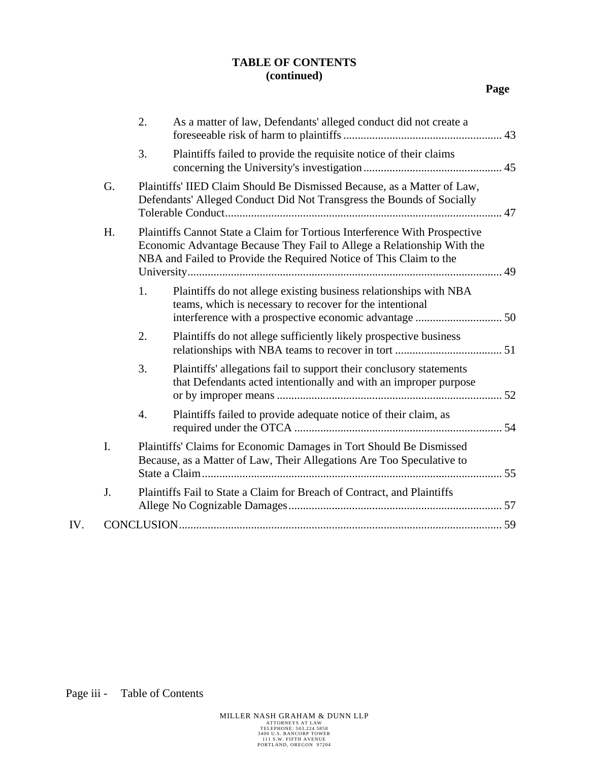# **TABLE OF CONTENTS (continued)**

|     |    | 2. | As a matter of law, Defendants' alleged conduct did not create a                                                                                                                                                           |  |
|-----|----|----|----------------------------------------------------------------------------------------------------------------------------------------------------------------------------------------------------------------------------|--|
|     |    | 3. | Plaintiffs failed to provide the requisite notice of their claims                                                                                                                                                          |  |
|     | G. |    | Plaintiffs' IIED Claim Should Be Dismissed Because, as a Matter of Law,<br>Defendants' Alleged Conduct Did Not Transgress the Bounds of Socially                                                                           |  |
|     | Η. |    | Plaintiffs Cannot State a Claim for Tortious Interference With Prospective<br>Economic Advantage Because They Fail to Allege a Relationship With the<br>NBA and Failed to Provide the Required Notice of This Claim to the |  |
|     |    | 1. | Plaintiffs do not allege existing business relationships with NBA<br>teams, which is necessary to recover for the intentional                                                                                              |  |
|     |    | 2. | Plaintiffs do not allege sufficiently likely prospective business                                                                                                                                                          |  |
|     |    | 3. | Plaintiffs' allegations fail to support their conclusory statements<br>that Defendants acted intentionally and with an improper purpose                                                                                    |  |
|     |    | 4. | Plaintiffs failed to provide adequate notice of their claim, as                                                                                                                                                            |  |
|     | I. |    | Plaintiffs' Claims for Economic Damages in Tort Should Be Dismissed<br>Because, as a Matter of Law, Their Allegations Are Too Speculative to                                                                               |  |
|     | J. |    | Plaintiffs Fail to State a Claim for Breach of Contract, and Plaintiffs                                                                                                                                                    |  |
| IV. |    |    |                                                                                                                                                                                                                            |  |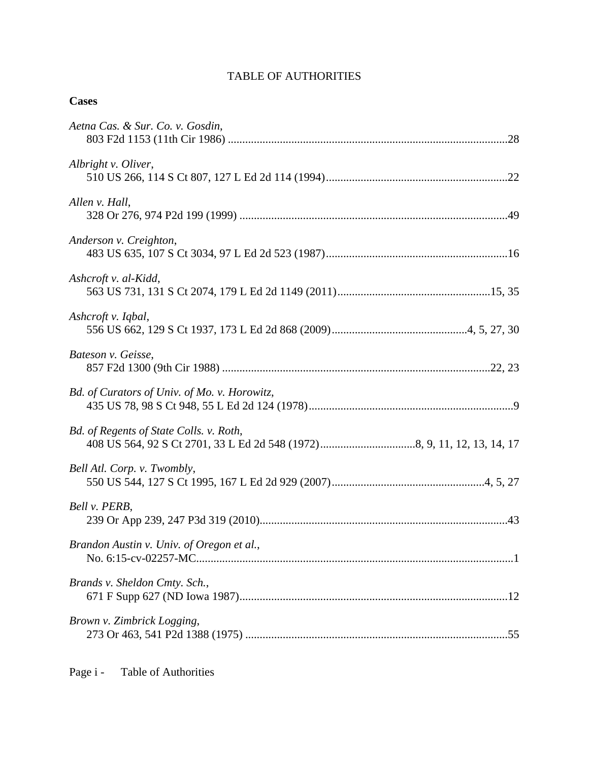# TABLE OF AUTHORITIES

| Aetna Cas. & Sur. Co. v. Gosdin,             |
|----------------------------------------------|
| Albright v. Oliver,                          |
| Allen v. Hall,                               |
| Anderson v. Creighton,                       |
| Ashcroft v. al-Kidd,                         |
| Ashcroft v. Iqbal,                           |
| Bateson v. Geisse,                           |
| Bd. of Curators of Univ. of Mo. v. Horowitz, |
| Bd. of Regents of State Colls. v. Roth,      |
| Bell Atl. Corp. v. Twombly,                  |
| Bell v. PERB,                                |
| Brandon Austin v. Univ. of Oregon et al.,    |
| Brands v. Sheldon Cmty. Sch.,                |
| Brown v. Zimbrick Logging,                   |

**Cases**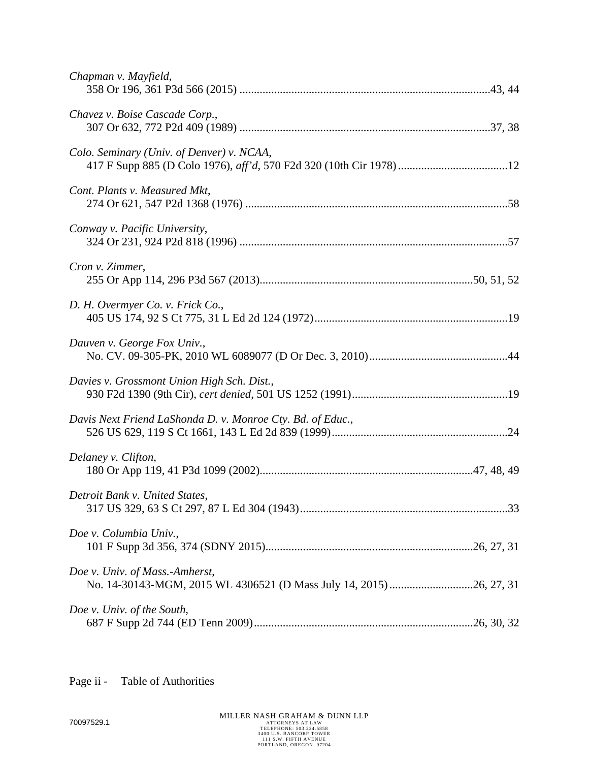| Chapman v. Mayfield,                                       |
|------------------------------------------------------------|
| Chavez v. Boise Cascade Corp.,                             |
| Colo. Seminary (Univ. of Denver) v. NCAA,                  |
| Cont. Plants v. Measured Mkt,                              |
| Conway v. Pacific University,                              |
| Cron v. Zimmer,                                            |
| D. H. Overmyer Co. v. Frick Co.,                           |
| Dauven v. George Fox Univ.,                                |
| Davies v. Grossmont Union High Sch. Dist.,                 |
| Davis Next Friend LaShonda D. v. Monroe Cty. Bd. of Educ., |
| Delaney v. Clifton,                                        |
| Detroit Bank v. United States,                             |
| Doe v. Columbia Univ.,                                     |
| Doe v. Univ. of Mass.-Amherst,                             |
| Doe v. Univ. of the South,                                 |

Page ii - Table of Authorities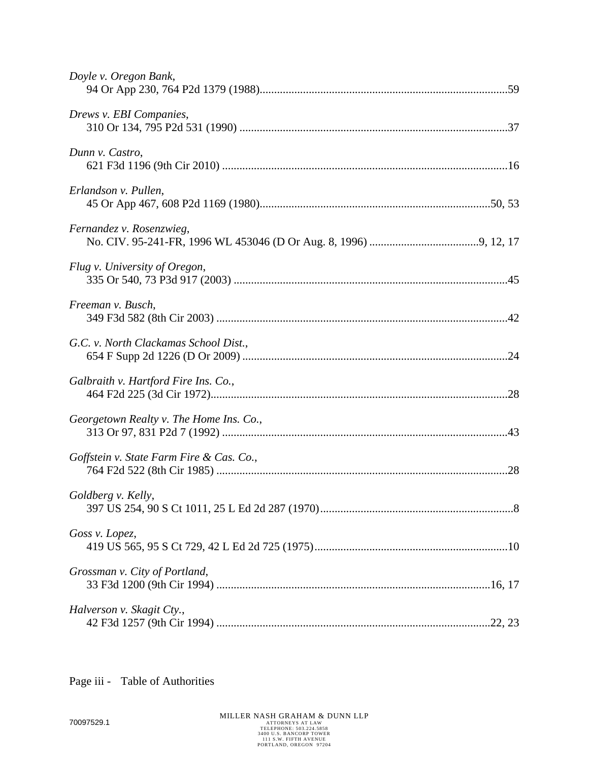| Doyle v. Oregon Bank,                    |
|------------------------------------------|
| Drews v. EBI Companies,                  |
| Dunn v. Castro,                          |
| Erlandson v. Pullen,                     |
| Fernandez v. Rosenzwieg,                 |
| Flug v. University of Oregon,            |
| Freeman v. Busch,                        |
| G.C. v. North Clackamas School Dist.,    |
| Galbraith v. Hartford Fire Ins. Co.,     |
| Georgetown Realty v. The Home Ins. Co.,  |
| Goffstein v. State Farm Fire & Cas. Co., |
| Goldberg v. Kelly,                       |
| Goss v. Lopez,                           |
| Grossman v. City of Portland,            |
| Halverson v. Skagit Cty.,                |

Page iii - Table of Authorities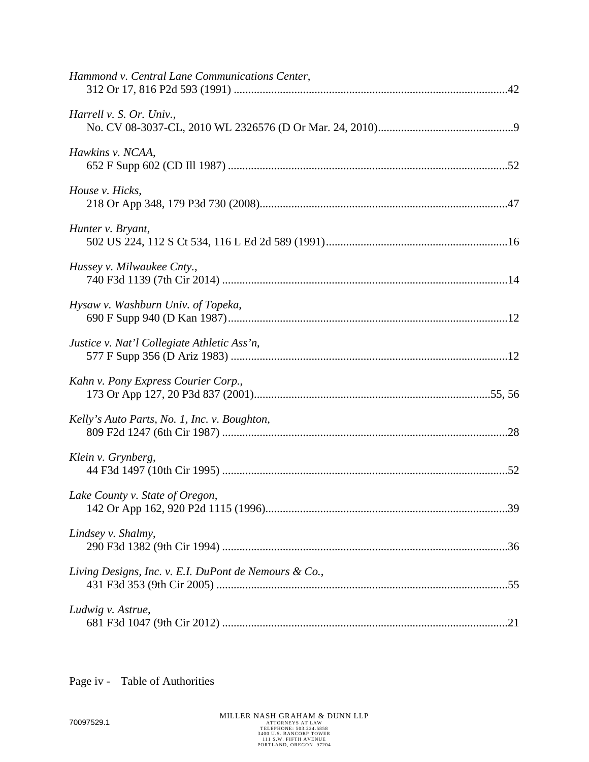| Hammond v. Central Lane Communications Center,        |  |
|-------------------------------------------------------|--|
| Harrell v. S. Or. Univ.,                              |  |
| Hawkins v. NCAA,                                      |  |
| House v. Hicks,                                       |  |
| Hunter v. Bryant,                                     |  |
| Hussey v. Milwaukee Cnty.,                            |  |
| Hysaw v. Washburn Univ. of Topeka,                    |  |
| Justice v. Nat'l Collegiate Athletic Ass'n,           |  |
| Kahn v. Pony Express Courier Corp.,                   |  |
| Kelly's Auto Parts, No. 1, Inc. v. Boughton,          |  |
| Klein v. Grynberg,                                    |  |
| Lake County v. State of Oregon,                       |  |
| Lindsey v. Shalmy,                                    |  |
| Living Designs, Inc. v. E.I. DuPont de Nemours & Co., |  |
| Ludwig v. Astrue,                                     |  |
|                                                       |  |

Page iv - Table of Authorities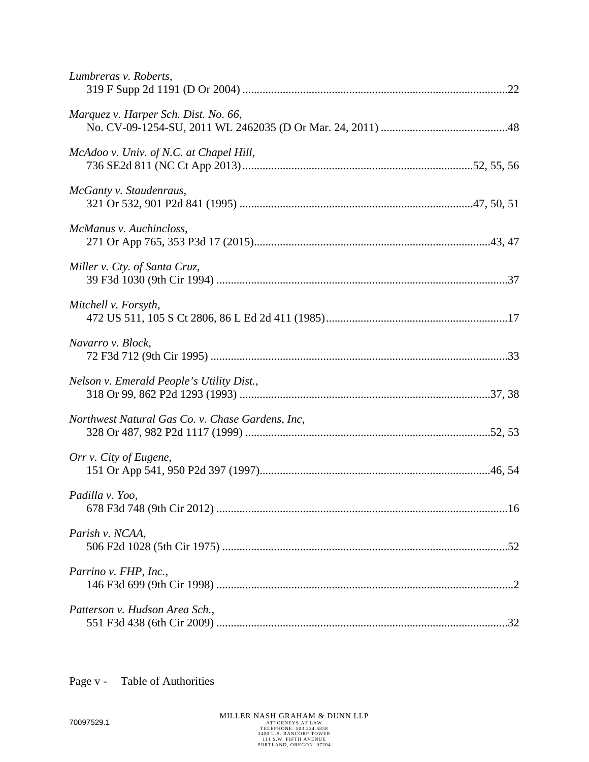| Lumbreras v. Roberts,                            |
|--------------------------------------------------|
| Marquez v. Harper Sch. Dist. No. 66,             |
| McAdoo v. Univ. of N.C. at Chapel Hill,          |
| McGanty v. Staudenraus,                          |
| McManus v. Auchincloss,                          |
| Miller v. Cty. of Santa Cruz,                    |
| Mitchell v. Forsyth,                             |
| Navarro v. Block,                                |
| Nelson v. Emerald People's Utility Dist.,        |
| Northwest Natural Gas Co. v. Chase Gardens, Inc, |
| Orr v. City of Eugene,                           |
| Padilla v. Yoo,                                  |
| Parish v. NCAA,                                  |
| Parrino v. FHP, Inc.,                            |
| Patterson v. Hudson Area Sch.,                   |

Page v - Table of Authorities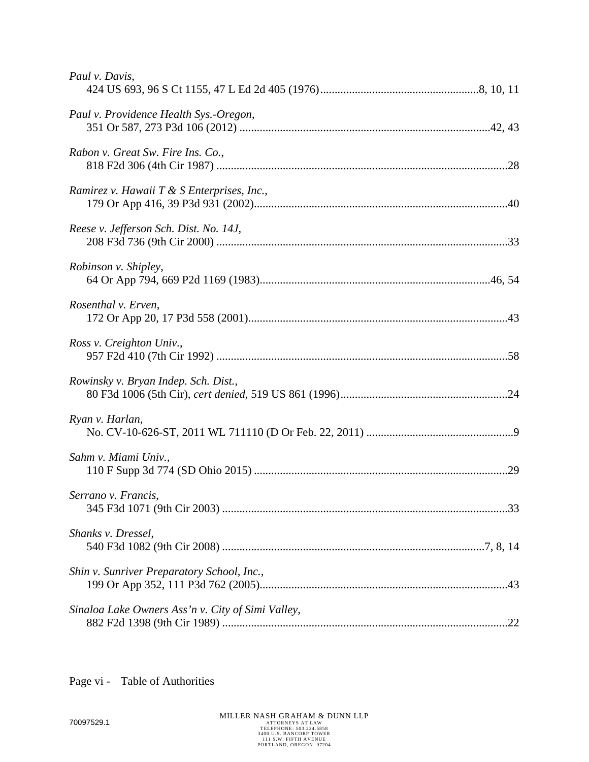| Paul v. Davis,                                    |
|---------------------------------------------------|
| Paul v. Providence Health Sys.-Oregon,            |
| Rabon v. Great Sw. Fire Ins. Co.,                 |
| Ramirez v. Hawaii T & S Enterprises, Inc.,        |
| Reese v. Jefferson Sch. Dist. No. 14J,            |
| Robinson v. Shipley,                              |
| Rosenthal v. Erven,                               |
| Ross v. Creighton Univ.,                          |
| Rowinsky v. Bryan Indep. Sch. Dist.,              |
| Ryan v. Harlan,                                   |
| Sahm v. Miami Univ.,                              |
| Serrano v. Francis,                               |
| Shanks v. Dressel,                                |
| Shin v. Sunriver Preparatory School, Inc.,        |
| Sinaloa Lake Owners Ass'n v. City of Simi Valley, |
|                                                   |

Page vi - Table of Authorities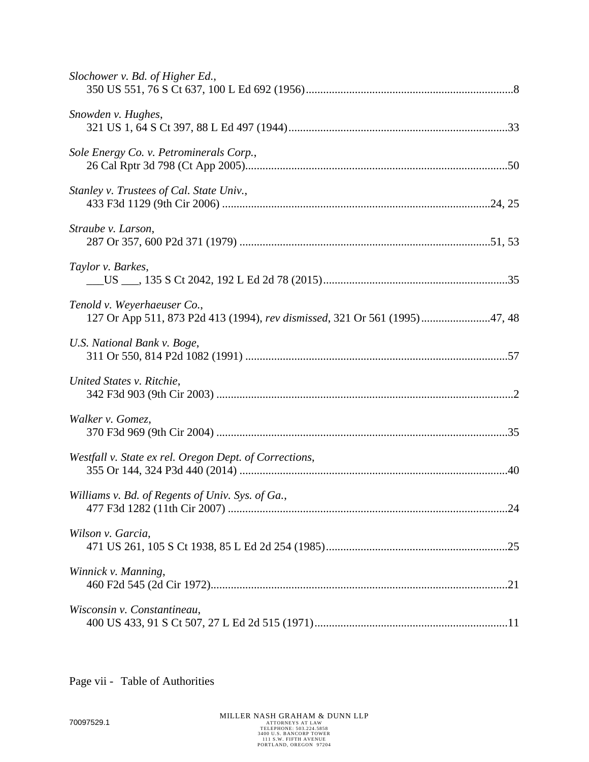Page vii - Table of Authorities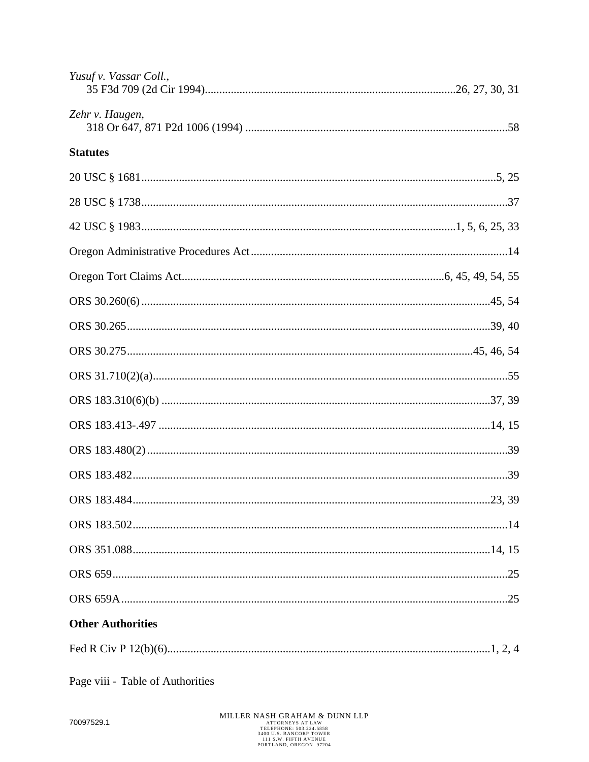| Yusuf v. Vassar Coll.,   |        |
|--------------------------|--------|
| Zehr v. Haugen,          |        |
| <b>Statutes</b>          |        |
|                          |        |
|                          |        |
|                          |        |
|                          |        |
|                          |        |
|                          |        |
|                          |        |
|                          |        |
|                          |        |
|                          |        |
|                          |        |
|                          |        |
|                          |        |
| ORS 183.484.             | 23, 39 |
|                          |        |
|                          |        |
|                          |        |
|                          |        |
| <b>Other Authorities</b> |        |
|                          |        |

Page viii - Table of Authorities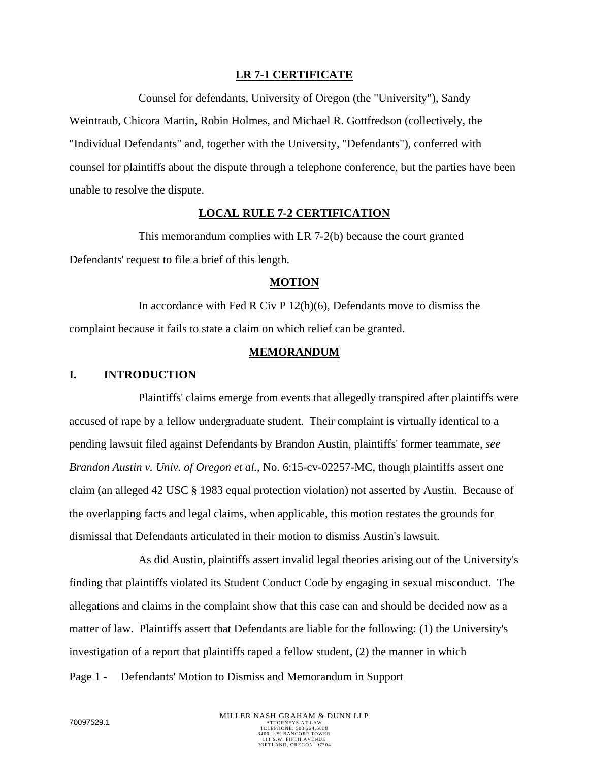#### **LR 7-1 CERTIFICATE**

Counsel for defendants, University of Oregon (the "University"), Sandy

Weintraub, Chicora Martin, Robin Holmes, and Michael R. Gottfredson (collectively, the "Individual Defendants" and, together with the University, "Defendants"), conferred with counsel for plaintiffs about the dispute through a telephone conference, but the parties have been unable to resolve the dispute.

#### **LOCAL RULE 7-2 CERTIFICATION**

This memorandum complies with LR 7-2(b) because the court granted Defendants' request to file a brief of this length.

#### **MOTION**

In accordance with Fed R Civ P 12(b)(6), Defendants move to dismiss the complaint because it fails to state a claim on which relief can be granted.

### **MEMORANDUM**

#### **I. INTRODUCTION**

Plaintiffs' claims emerge from events that allegedly transpired after plaintiffs were accused of rape by a fellow undergraduate student. Their complaint is virtually identical to a pending lawsuit filed against Defendants by Brandon Austin, plaintiffs' former teammate, *see Brandon Austin v. Univ. of Oregon et al.*, No. 6:15-cv-02257-MC, though plaintiffs assert one claim (an alleged 42 USC § 1983 equal protection violation) not asserted by Austin. Because of the overlapping facts and legal claims, when applicable, this motion restates the grounds for dismissal that Defendants articulated in their motion to dismiss Austin's lawsuit.

As did Austin, plaintiffs assert invalid legal theories arising out of the University's finding that plaintiffs violated its Student Conduct Code by engaging in sexual misconduct. The allegations and claims in the complaint show that this case can and should be decided now as a matter of law. Plaintiffs assert that Defendants are liable for the following: (1) the University's investigation of a report that plaintiffs raped a fellow student, (2) the manner in which

Page 1 - Defendants' Motion to Dismiss and Memorandum in Support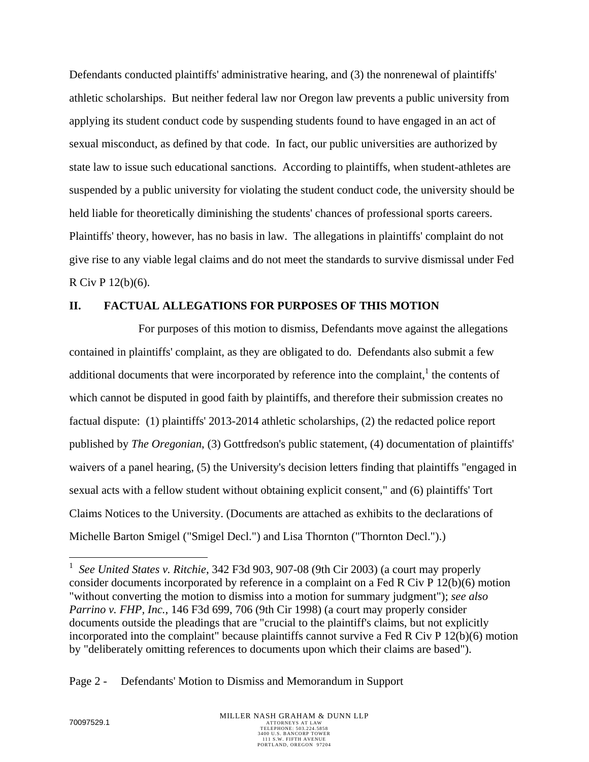Defendants conducted plaintiffs' administrative hearing, and (3) the nonrenewal of plaintiffs' athletic scholarships. But neither federal law nor Oregon law prevents a public university from applying its student conduct code by suspending students found to have engaged in an act of sexual misconduct, as defined by that code. In fact, our public universities are authorized by state law to issue such educational sanctions. According to plaintiffs, when student-athletes are suspended by a public university for violating the student conduct code, the university should be held liable for theoretically diminishing the students' chances of professional sports careers. Plaintiffs' theory, however, has no basis in law. The allegations in plaintiffs' complaint do not give rise to any viable legal claims and do not meet the standards to survive dismissal under Fed R Civ P 12(b)(6).

# **II. FACTUAL ALLEGATIONS FOR PURPOSES OF THIS MOTION**

For purposes of this motion to dismiss, Defendants move against the allegations contained in plaintiffs' complaint, as they are obligated to do. Defendants also submit a few additional documents that were incorporated by reference into the complaint,  $\mu$  the contents of which cannot be disputed in good faith by plaintiffs, and therefore their submission creates no factual dispute: (1) plaintiffs' 2013-2014 athletic scholarships, (2) the redacted police report published by *The Oregonian*, (3) Gottfredson's public statement, (4) documentation of plaintiffs' waivers of a panel hearing, (5) the University's decision letters finding that plaintiffs "engaged in sexual acts with a fellow student without obtaining explicit consent," and (6) plaintiffs' Tort Claims Notices to the University. (Documents are attached as exhibits to the declarations of Michelle Barton Smigel ("Smigel Decl.") and Lisa Thornton ("Thornton Decl.").)

Page 2 - Defendants' Motion to Dismiss and Memorandum in Support

 $\overline{a}$ 

<sup>1</sup> *See United States v. Ritchie*, 342 F3d 903, 907-08 (9th Cir 2003) (a court may properly consider documents incorporated by reference in a complaint on a Fed R Civ P 12(b)(6) motion "without converting the motion to dismiss into a motion for summary judgment"); *see also Parrino v. FHP, Inc.*, 146 F3d 699, 706 (9th Cir 1998) (a court may properly consider documents outside the pleadings that are "crucial to the plaintiff's claims, but not explicitly incorporated into the complaint" because plaintiffs cannot survive a Fed R Civ P 12(b)(6) motion by "deliberately omitting references to documents upon which their claims are based").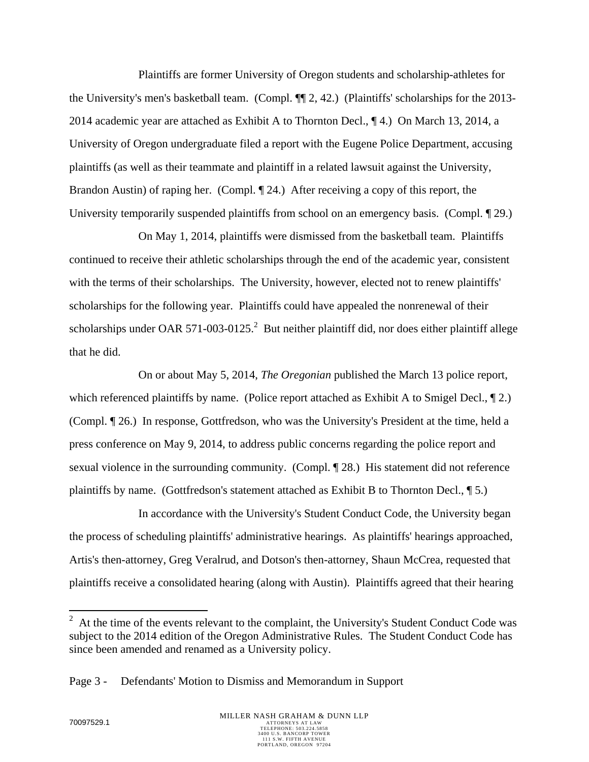Plaintiffs are former University of Oregon students and scholarship-athletes for the University's men's basketball team. (Compl. ¶¶ 2, 42.) (Plaintiffs' scholarships for the 2013- 2014 academic year are attached as Exhibit A to Thornton Decl., ¶ 4.) On March 13, 2014, a University of Oregon undergraduate filed a report with the Eugene Police Department, accusing plaintiffs (as well as their teammate and plaintiff in a related lawsuit against the University, Brandon Austin) of raping her. (Compl.  $\P$  24.) After receiving a copy of this report, the University temporarily suspended plaintiffs from school on an emergency basis. (Compl. 1929.)

On May 1, 2014, plaintiffs were dismissed from the basketball team. Plaintiffs continued to receive their athletic scholarships through the end of the academic year, consistent with the terms of their scholarships. The University, however, elected not to renew plaintiffs' scholarships for the following year. Plaintiffs could have appealed the nonrenewal of their scholarships under OAR 571-003-0125.<sup>2</sup> But neither plaintiff did, nor does either plaintiff allege that he did.

On or about May 5, 2014, *The Oregonian* published the March 13 police report, which referenced plaintiffs by name. (Police report attached as Exhibit A to Smigel Decl.,  $\P$ 2.) (Compl. ¶ 26.) In response, Gottfredson, who was the University's President at the time, held a press conference on May 9, 2014, to address public concerns regarding the police report and sexual violence in the surrounding community. (Compl. ¶ 28.) His statement did not reference plaintiffs by name. (Gottfredson's statement attached as Exhibit B to Thornton Decl., ¶ 5.)

In accordance with the University's Student Conduct Code, the University began the process of scheduling plaintiffs' administrative hearings. As plaintiffs' hearings approached, Artis's then-attorney, Greg Veralrud, and Dotson's then-attorney, Shaun McCrea, requested that plaintiffs receive a consolidated hearing (along with Austin). Plaintiffs agreed that their hearing

<sup>&</sup>lt;sup>2</sup> At the time of the events relevant to the complaint, the University's Student Conduct Code was subject to the 2014 edition of the Oregon Administrative Rules. The Student Conduct Code has since been amended and renamed as a University policy.

Page 3 - Defendants' Motion to Dismiss and Memorandum in Support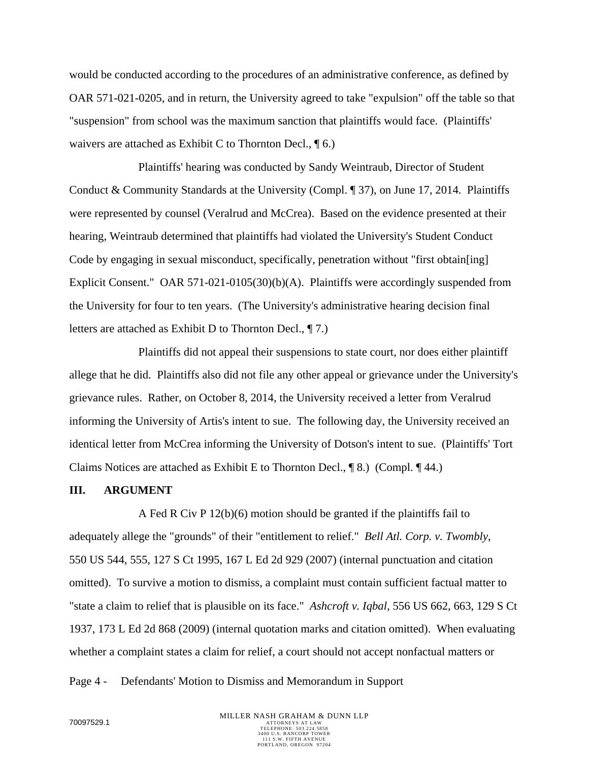would be conducted according to the procedures of an administrative conference, as defined by OAR 571-021-0205, and in return, the University agreed to take "expulsion" off the table so that "suspension" from school was the maximum sanction that plaintiffs would face. (Plaintiffs' waivers are attached as Exhibit C to Thornton Decl., ¶ 6.)

Plaintiffs' hearing was conducted by Sandy Weintraub, Director of Student Conduct & Community Standards at the University (Compl. ¶ 37), on June 17, 2014. Plaintiffs were represented by counsel (Veralrud and McCrea). Based on the evidence presented at their hearing, Weintraub determined that plaintiffs had violated the University's Student Conduct Code by engaging in sexual misconduct, specifically, penetration without "first obtain[ing] Explicit Consent." OAR 571-021-0105(30)(b)(A). Plaintiffs were accordingly suspended from the University for four to ten years. (The University's administrative hearing decision final letters are attached as Exhibit D to Thornton Decl., ¶ 7.)

Plaintiffs did not appeal their suspensions to state court, nor does either plaintiff allege that he did. Plaintiffs also did not file any other appeal or grievance under the University's grievance rules. Rather, on October 8, 2014, the University received a letter from Veralrud informing the University of Artis's intent to sue. The following day, the University received an identical letter from McCrea informing the University of Dotson's intent to sue. (Plaintiffs' Tort Claims Notices are attached as Exhibit E to Thornton Decl., ¶ 8.) (Compl. ¶ 44.)

#### **III. ARGUMENT**

A Fed R Civ P 12(b)(6) motion should be granted if the plaintiffs fail to adequately allege the "grounds" of their "entitlement to relief." *Bell Atl. Corp. v. Twombly*, 550 US 544, 555, 127 S Ct 1995, 167 L Ed 2d 929 (2007) (internal punctuation and citation omitted). To survive a motion to dismiss, a complaint must contain sufficient factual matter to "state a claim to relief that is plausible on its face." *Ashcroft v. Iqbal*, 556 US 662, 663, 129 S Ct 1937, 173 L Ed 2d 868 (2009) (internal quotation marks and citation omitted). When evaluating whether a complaint states a claim for relief, a court should not accept nonfactual matters or

Page 4 - Defendants' Motion to Dismiss and Memorandum in Support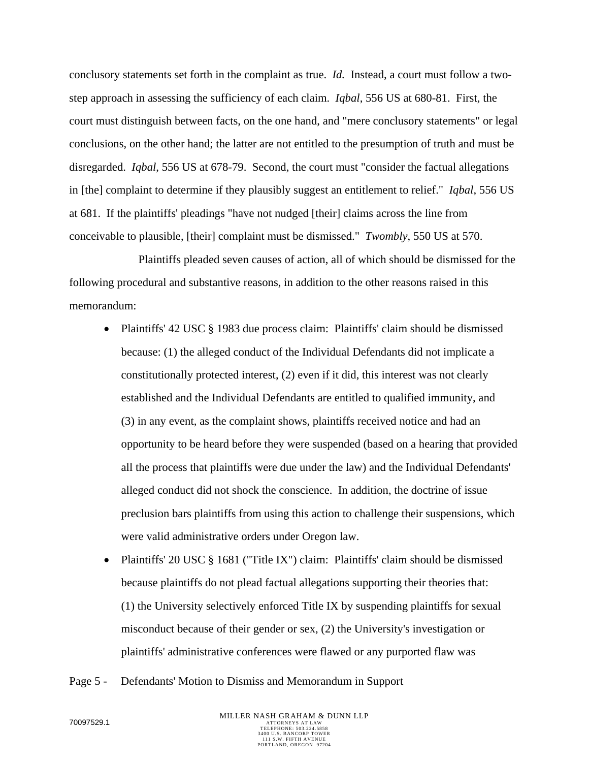conclusory statements set forth in the complaint as true. *Id.* Instead, a court must follow a twostep approach in assessing the sufficiency of each claim. *Iqbal*, 556 US at 680-81. First, the court must distinguish between facts, on the one hand, and "mere conclusory statements" or legal conclusions, on the other hand; the latter are not entitled to the presumption of truth and must be disregarded. *Iqbal*, 556 US at 678-79. Second, the court must "consider the factual allegations in [the] complaint to determine if they plausibly suggest an entitlement to relief." *Iqbal*, 556 US at 681. If the plaintiffs' pleadings "have not nudged [their] claims across the line from conceivable to plausible, [their] complaint must be dismissed." *Twombly*, 550 US at 570.

Plaintiffs pleaded seven causes of action, all of which should be dismissed for the following procedural and substantive reasons, in addition to the other reasons raised in this memorandum:

- Plaintiffs' 42 USC § 1983 due process claim: Plaintiffs' claim should be dismissed because: (1) the alleged conduct of the Individual Defendants did not implicate a constitutionally protected interest, (2) even if it did, this interest was not clearly established and the Individual Defendants are entitled to qualified immunity, and (3) in any event, as the complaint shows, plaintiffs received notice and had an opportunity to be heard before they were suspended (based on a hearing that provided all the process that plaintiffs were due under the law) and the Individual Defendants' alleged conduct did not shock the conscience. In addition, the doctrine of issue preclusion bars plaintiffs from using this action to challenge their suspensions, which were valid administrative orders under Oregon law.
- Plaintiffs' 20 USC § 1681 ("Title IX") claim: Plaintiffs' claim should be dismissed because plaintiffs do not plead factual allegations supporting their theories that: (1) the University selectively enforced Title IX by suspending plaintiffs for sexual misconduct because of their gender or sex, (2) the University's investigation or plaintiffs' administrative conferences were flawed or any purported flaw was
- Page 5 Defendants' Motion to Dismiss and Memorandum in Support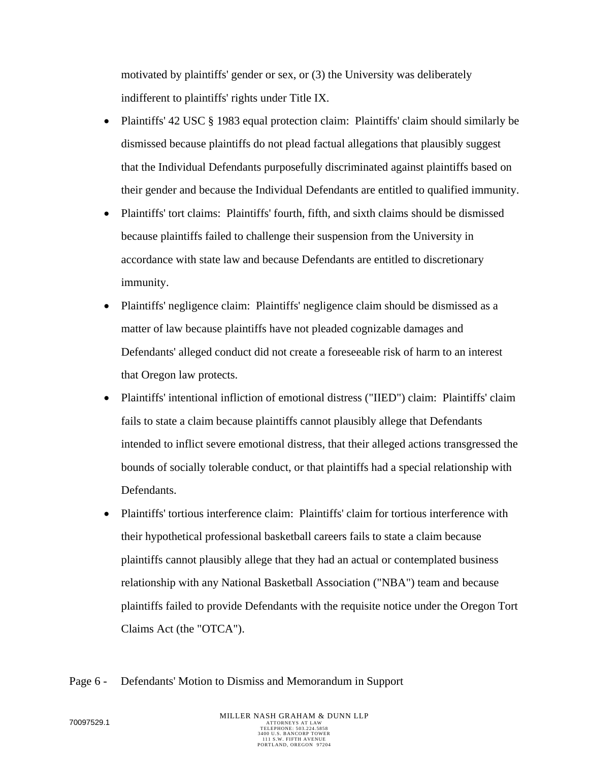motivated by plaintiffs' gender or sex, or (3) the University was deliberately indifferent to plaintiffs' rights under Title IX.

- Plaintiffs' 42 USC § 1983 equal protection claim: Plaintiffs' claim should similarly be dismissed because plaintiffs do not plead factual allegations that plausibly suggest that the Individual Defendants purposefully discriminated against plaintiffs based on their gender and because the Individual Defendants are entitled to qualified immunity.
- Plaintiffs' tort claims: Plaintiffs' fourth, fifth, and sixth claims should be dismissed because plaintiffs failed to challenge their suspension from the University in accordance with state law and because Defendants are entitled to discretionary immunity.
- Plaintiffs' negligence claim: Plaintiffs' negligence claim should be dismissed as a matter of law because plaintiffs have not pleaded cognizable damages and Defendants' alleged conduct did not create a foreseeable risk of harm to an interest that Oregon law protects.
- Plaintiffs' intentional infliction of emotional distress ("IIED") claim: Plaintiffs' claim fails to state a claim because plaintiffs cannot plausibly allege that Defendants intended to inflict severe emotional distress, that their alleged actions transgressed the bounds of socially tolerable conduct, or that plaintiffs had a special relationship with Defendants.
- Plaintiffs' tortious interference claim: Plaintiffs' claim for tortious interference with their hypothetical professional basketball careers fails to state a claim because plaintiffs cannot plausibly allege that they had an actual or contemplated business relationship with any National Basketball Association ("NBA") team and because plaintiffs failed to provide Defendants with the requisite notice under the Oregon Tort Claims Act (the "OTCA").
- Page 6 Defendants' Motion to Dismiss and Memorandum in Support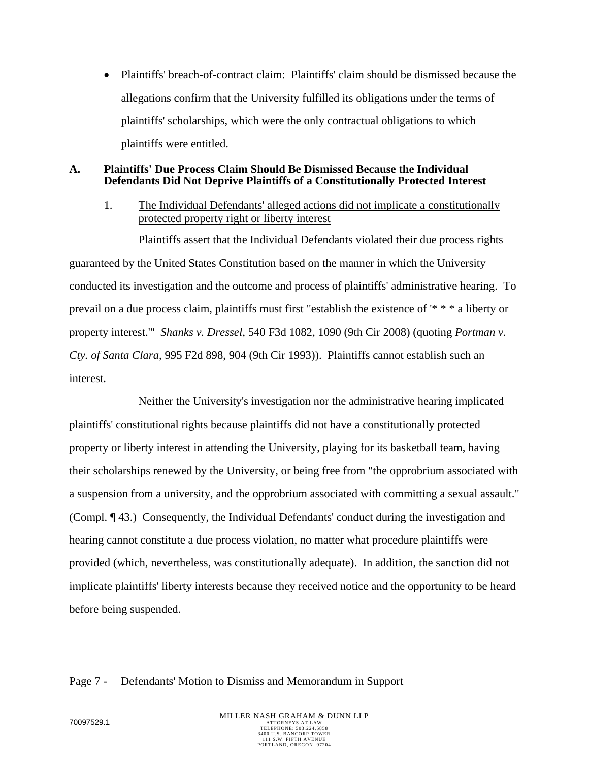• Plaintiffs' breach-of-contract claim: Plaintiffs' claim should be dismissed because the allegations confirm that the University fulfilled its obligations under the terms of plaintiffs' scholarships, which were the only contractual obligations to which plaintiffs were entitled.

### **A. Plaintiffs' Due Process Claim Should Be Dismissed Because the Individual Defendants Did Not Deprive Plaintiffs of a Constitutionally Protected Interest**

1. The Individual Defendants' alleged actions did not implicate a constitutionally protected property right or liberty interest

Plaintiffs assert that the Individual Defendants violated their due process rights guaranteed by the United States Constitution based on the manner in which the University conducted its investigation and the outcome and process of plaintiffs' administrative hearing. To prevail on a due process claim, plaintiffs must first "establish the existence of '\* \* \* a liberty or property interest.'" *Shanks v. Dressel*, 540 F3d 1082, 1090 (9th Cir 2008) (quoting *Portman v. Cty. of Santa Clara*, 995 F2d 898, 904 (9th Cir 1993)). Plaintiffs cannot establish such an interest.

Neither the University's investigation nor the administrative hearing implicated plaintiffs' constitutional rights because plaintiffs did not have a constitutionally protected property or liberty interest in attending the University, playing for its basketball team, having their scholarships renewed by the University, or being free from "the opprobrium associated with a suspension from a university, and the opprobrium associated with committing a sexual assault." (Compl. ¶ 43.) Consequently, the Individual Defendants' conduct during the investigation and hearing cannot constitute a due process violation, no matter what procedure plaintiffs were provided (which, nevertheless, was constitutionally adequate). In addition, the sanction did not implicate plaintiffs' liberty interests because they received notice and the opportunity to be heard before being suspended.

### Page 7 - Defendants' Motion to Dismiss and Memorandum in Support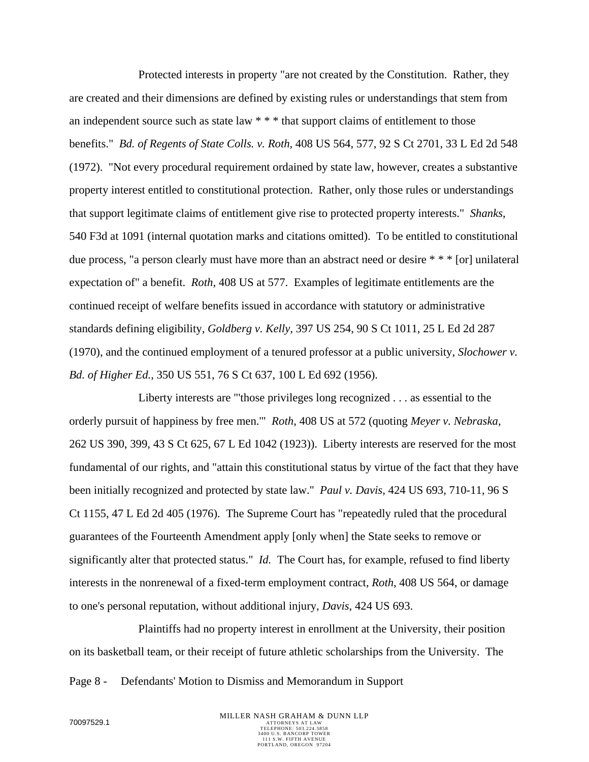Protected interests in property "are not created by the Constitution. Rather, they are created and their dimensions are defined by existing rules or understandings that stem from an independent source such as state law \* \* \* that support claims of entitlement to those benefits." *Bd. of Regents of State Colls. v. Roth*, 408 US 564, 577, 92 S Ct 2701, 33 L Ed 2d 548 (1972). "Not every procedural requirement ordained by state law, however, creates a substantive property interest entitled to constitutional protection. Rather, only those rules or understandings that support legitimate claims of entitlement give rise to protected property interests." *Shanks*, 540 F3d at 1091 (internal quotation marks and citations omitted). To be entitled to constitutional due process, "a person clearly must have more than an abstract need or desire \* \* \* [or] unilateral expectation of" a benefit. *Roth*, 408 US at 577. Examples of legitimate entitlements are the continued receipt of welfare benefits issued in accordance with statutory or administrative standards defining eligibility, *Goldberg v. Kelly*, 397 US 254, 90 S Ct 1011, 25 L Ed 2d 287 (1970), and the continued employment of a tenured professor at a public university, *Slochower v. Bd. of Higher Ed.*, 350 US 551, 76 S Ct 637, 100 L Ed 692 (1956).

Liberty interests are "'those privileges long recognized . . . as essential to the orderly pursuit of happiness by free men.'" *Roth*, 408 US at 572 (quoting *Meyer v. Nebraska*, 262 US 390, 399, 43 S Ct 625, 67 L Ed 1042 (1923)). Liberty interests are reserved for the most fundamental of our rights, and "attain this constitutional status by virtue of the fact that they have been initially recognized and protected by state law." *Paul v. Davis*, 424 US 693, 710-11, 96 S Ct 1155, 47 L Ed 2d 405 (1976). The Supreme Court has "repeatedly ruled that the procedural guarantees of the Fourteenth Amendment apply [only when] the State seeks to remove or significantly alter that protected status." *Id.* The Court has, for example, refused to find liberty interests in the nonrenewal of a fixed-term employment contract, *Roth*, 408 US 564, or damage to one's personal reputation, without additional injury, *Davis*, 424 US 693.

Plaintiffs had no property interest in enrollment at the University, their position on its basketball team, or their receipt of future athletic scholarships from the University. The

Page 8 - Defendants' Motion to Dismiss and Memorandum in Support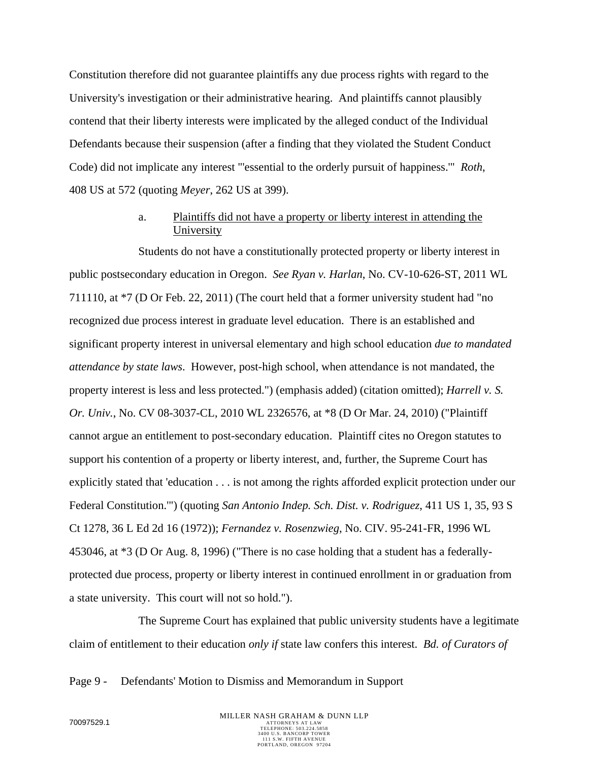Constitution therefore did not guarantee plaintiffs any due process rights with regard to the University's investigation or their administrative hearing. And plaintiffs cannot plausibly contend that their liberty interests were implicated by the alleged conduct of the Individual Defendants because their suspension (after a finding that they violated the Student Conduct Code) did not implicate any interest "'essential to the orderly pursuit of happiness.'" *Roth*, 408 US at 572 (quoting *Meyer*, 262 US at 399).

### a. Plaintiffs did not have a property or liberty interest in attending the University

Students do not have a constitutionally protected property or liberty interest in public postsecondary education in Oregon. *See Ryan v. Harlan*, No. CV-10-626-ST, 2011 WL 711110, at \*7 (D Or Feb. 22, 2011) (The court held that a former university student had "no recognized due process interest in graduate level education. There is an established and significant property interest in universal elementary and high school education *due to mandated attendance by state laws*. However, post-high school, when attendance is not mandated, the property interest is less and less protected.") (emphasis added) (citation omitted); *Harrell v. S. Or. Univ.*, No. CV 08-3037-CL, 2010 WL 2326576, at \*8 (D Or Mar. 24, 2010) ("Plaintiff cannot argue an entitlement to post-secondary education. Plaintiff cites no Oregon statutes to support his contention of a property or liberty interest, and, further, the Supreme Court has explicitly stated that 'education . . . is not among the rights afforded explicit protection under our Federal Constitution.'") (quoting *San Antonio Indep. Sch. Dist. v. Rodriguez*, 411 US 1, 35, 93 S Ct 1278, 36 L Ed 2d 16 (1972)); *Fernandez v. Rosenzwieg*, No. CIV. 95-241-FR, 1996 WL 453046, at \*3 (D Or Aug. 8, 1996) ("There is no case holding that a student has a federallyprotected due process, property or liberty interest in continued enrollment in or graduation from a state university. This court will not so hold.").

The Supreme Court has explained that public university students have a legitimate claim of entitlement to their education *only if* state law confers this interest. *Bd. of Curators of* 

Page 9 - Defendants' Motion to Dismiss and Memorandum in Support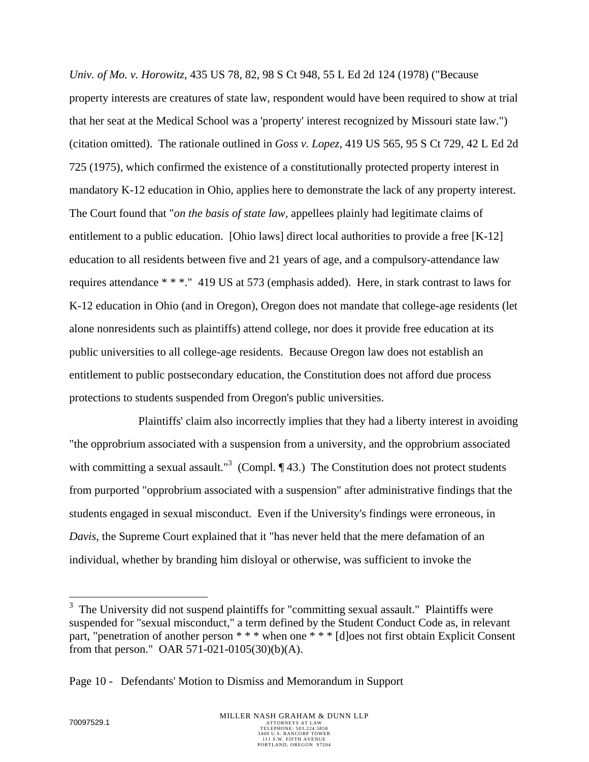*Univ. of Mo. v. Horowitz*, 435 US 78, 82, 98 S Ct 948, 55 L Ed 2d 124 (1978) ("Because property interests are creatures of state law, respondent would have been required to show at trial that her seat at the Medical School was a 'property' interest recognized by Missouri state law.") (citation omitted). The rationale outlined in *Goss v. Lopez*, 419 US 565, 95 S Ct 729, 42 L Ed 2d 725 (1975), which confirmed the existence of a constitutionally protected property interest in mandatory K-12 education in Ohio, applies here to demonstrate the lack of any property interest. The Court found that "*on the basis of state law,* appellees plainly had legitimate claims of entitlement to a public education. [Ohio laws] direct local authorities to provide a free [K-12] education to all residents between five and 21 years of age, and a compulsory-attendance law requires attendance \* \* \*." 419 US at 573 (emphasis added). Here, in stark contrast to laws for K-12 education in Ohio (and in Oregon), Oregon does not mandate that college-age residents (let alone nonresidents such as plaintiffs) attend college, nor does it provide free education at its public universities to all college-age residents. Because Oregon law does not establish an entitlement to public postsecondary education, the Constitution does not afford due process protections to students suspended from Oregon's public universities.

Plaintiffs' claim also incorrectly implies that they had a liberty interest in avoiding "the opprobrium associated with a suspension from a university, and the opprobrium associated with committing a sexual assault."<sup>3</sup> (Compl.  $\P$ 43.) The Constitution does not protect students from purported "opprobrium associated with a suspension" after administrative findings that the students engaged in sexual misconduct. Even if the University's findings were erroneous, in *Davis*, the Supreme Court explained that it "has never held that the mere defamation of an individual, whether by branding him disloyal or otherwise, was sufficient to invoke the

 $\overline{a}$ 

 $3$  The University did not suspend plaintiffs for "committing sexual assault." Plaintiffs were suspended for "sexual misconduct," a term defined by the Student Conduct Code as, in relevant part, "penetration of another person \* \* \* when one \* \* \* [d]oes not first obtain Explicit Consent from that person." OAR 571-021-0105(30)(b)(A).

Page 10 - Defendants' Motion to Dismiss and Memorandum in Support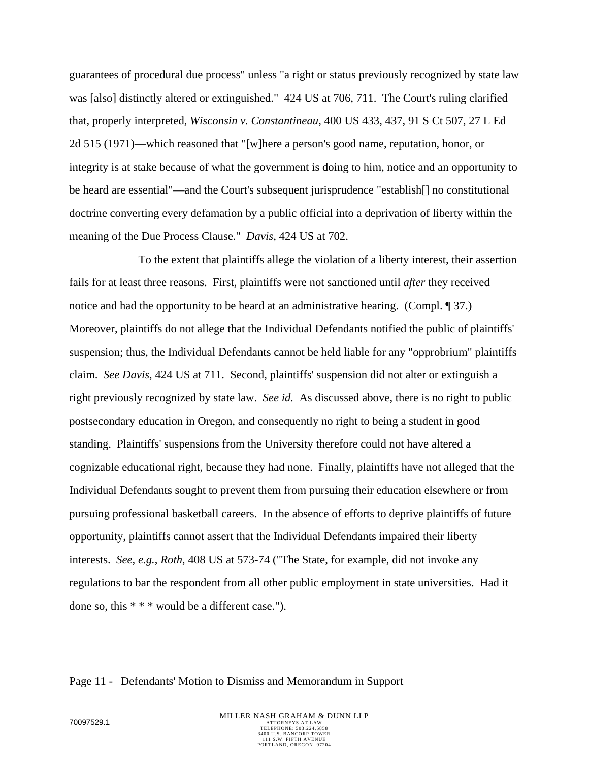guarantees of procedural due process" unless "a right or status previously recognized by state law was [also] distinctly altered or extinguished." 424 US at 706, 711. The Court's ruling clarified that, properly interpreted, *Wisconsin v. Constantineau*, 400 US 433, 437, 91 S Ct 507, 27 L Ed 2d 515 (1971)—which reasoned that "[w]here a person's good name, reputation, honor, or integrity is at stake because of what the government is doing to him, notice and an opportunity to be heard are essential"—and the Court's subsequent jurisprudence "establish[] no constitutional doctrine converting every defamation by a public official into a deprivation of liberty within the meaning of the Due Process Clause." *Davis*, 424 US at 702.

To the extent that plaintiffs allege the violation of a liberty interest, their assertion fails for at least three reasons. First, plaintiffs were not sanctioned until *after* they received notice and had the opportunity to be heard at an administrative hearing. (Compl. 1 37.) Moreover, plaintiffs do not allege that the Individual Defendants notified the public of plaintiffs' suspension; thus, the Individual Defendants cannot be held liable for any "opprobrium" plaintiffs claim. *See Davis*, 424 US at 711. Second, plaintiffs' suspension did not alter or extinguish a right previously recognized by state law. *See id.* As discussed above, there is no right to public postsecondary education in Oregon, and consequently no right to being a student in good standing. Plaintiffs' suspensions from the University therefore could not have altered a cognizable educational right, because they had none. Finally, plaintiffs have not alleged that the Individual Defendants sought to prevent them from pursuing their education elsewhere or from pursuing professional basketball careers. In the absence of efforts to deprive plaintiffs of future opportunity, plaintiffs cannot assert that the Individual Defendants impaired their liberty interests. *See, e.g.*, *Roth*, 408 US at 573-74 ("The State, for example, did not invoke any regulations to bar the respondent from all other public employment in state universities. Had it done so, this \* \* \* would be a different case.").

#### Page 11 - Defendants' Motion to Dismiss and Memorandum in Support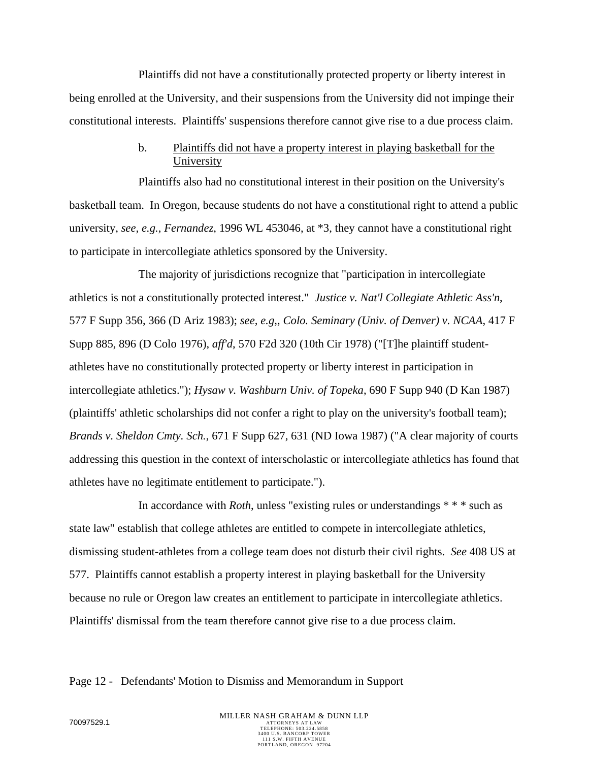Plaintiffs did not have a constitutionally protected property or liberty interest in being enrolled at the University, and their suspensions from the University did not impinge their constitutional interests. Plaintiffs' suspensions therefore cannot give rise to a due process claim.

## b. Plaintiffs did not have a property interest in playing basketball for the University

Plaintiffs also had no constitutional interest in their position on the University's basketball team. In Oregon, because students do not have a constitutional right to attend a public university, *see, e.g.*, *Fernandez*, 1996 WL 453046, at \*3, they cannot have a constitutional right to participate in intercollegiate athletics sponsored by the University.

The majority of jurisdictions recognize that "participation in intercollegiate athletics is not a constitutionally protected interest." *Justice v. Nat'l Collegiate Athletic Ass'n*, 577 F Supp 356, 366 (D Ariz 1983); *see, e.g*,, *Colo. Seminary (Univ. of Denver) v. NCAA*, 417 F Supp 885, 896 (D Colo 1976), *aff'd*, 570 F2d 320 (10th Cir 1978) ("[T]he plaintiff studentathletes have no constitutionally protected property or liberty interest in participation in intercollegiate athletics."); *Hysaw v. Washburn Univ. of Topeka*, 690 F Supp 940 (D Kan 1987) (plaintiffs' athletic scholarships did not confer a right to play on the university's football team); *Brands v. Sheldon Cmty. Sch.*, 671 F Supp 627, 631 (ND Iowa 1987) ("A clear majority of courts addressing this question in the context of interscholastic or intercollegiate athletics has found that athletes have no legitimate entitlement to participate.").

In accordance with *Roth*, unless "existing rules or understandings \* \* \* such as state law" establish that college athletes are entitled to compete in intercollegiate athletics, dismissing student-athletes from a college team does not disturb their civil rights. *See* 408 US at 577. Plaintiffs cannot establish a property interest in playing basketball for the University because no rule or Oregon law creates an entitlement to participate in intercollegiate athletics. Plaintiffs' dismissal from the team therefore cannot give rise to a due process claim.

Page 12 - Defendants' Motion to Dismiss and Memorandum in Support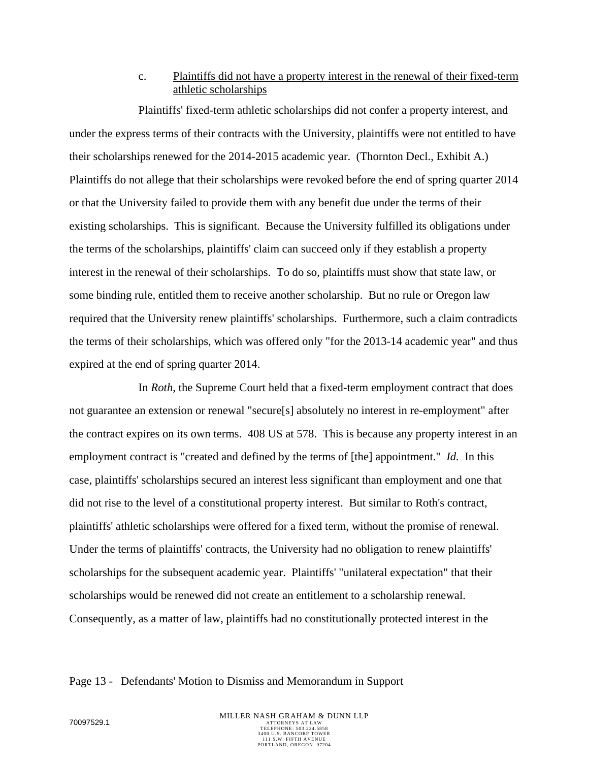# c. Plaintiffs did not have a property interest in the renewal of their fixed-term athletic scholarships

Plaintiffs' fixed-term athletic scholarships did not confer a property interest, and under the express terms of their contracts with the University, plaintiffs were not entitled to have their scholarships renewed for the 2014-2015 academic year. (Thornton Decl., Exhibit A.) Plaintiffs do not allege that their scholarships were revoked before the end of spring quarter 2014 or that the University failed to provide them with any benefit due under the terms of their existing scholarships. This is significant. Because the University fulfilled its obligations under the terms of the scholarships, plaintiffs' claim can succeed only if they establish a property interest in the renewal of their scholarships. To do so, plaintiffs must show that state law, or some binding rule, entitled them to receive another scholarship. But no rule or Oregon law required that the University renew plaintiffs' scholarships. Furthermore, such a claim contradicts the terms of their scholarships, which was offered only "for the 2013-14 academic year" and thus expired at the end of spring quarter 2014.

In *Roth*, the Supreme Court held that a fixed-term employment contract that does not guarantee an extension or renewal "secure[s] absolutely no interest in re-employment" after the contract expires on its own terms. 408 US at 578. This is because any property interest in an employment contract is "created and defined by the terms of [the] appointment." *Id.* In this case, plaintiffs' scholarships secured an interest less significant than employment and one that did not rise to the level of a constitutional property interest. But similar to Roth's contract, plaintiffs' athletic scholarships were offered for a fixed term, without the promise of renewal. Under the terms of plaintiffs' contracts, the University had no obligation to renew plaintiffs' scholarships for the subsequent academic year. Plaintiffs' "unilateral expectation" that their scholarships would be renewed did not create an entitlement to a scholarship renewal. Consequently, as a matter of law, plaintiffs had no constitutionally protected interest in the

#### Page 13 - Defendants' Motion to Dismiss and Memorandum in Support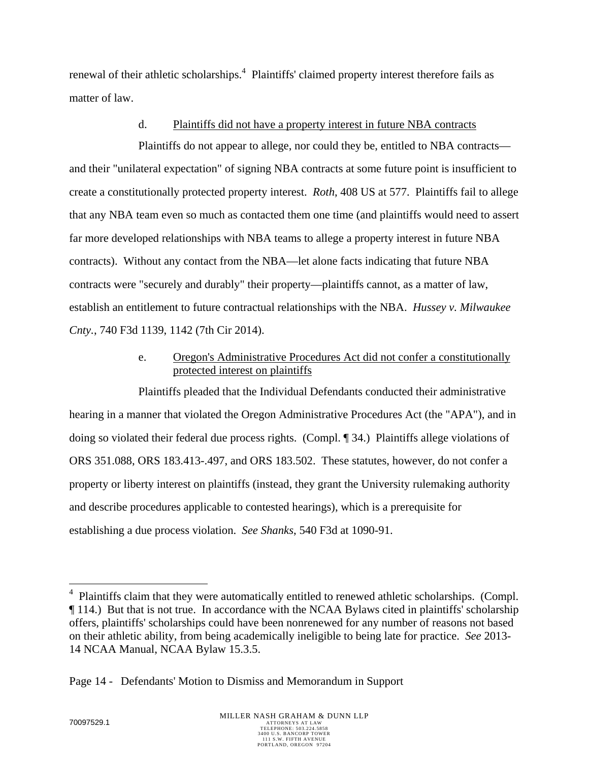renewal of their athletic scholarships.<sup>4</sup> Plaintiffs' claimed property interest therefore fails as matter of law.

### d. Plaintiffs did not have a property interest in future NBA contracts

Plaintiffs do not appear to allege, nor could they be, entitled to NBA contracts and their "unilateral expectation" of signing NBA contracts at some future point is insufficient to create a constitutionally protected property interest. *Roth*, 408 US at 577. Plaintiffs fail to allege that any NBA team even so much as contacted them one time (and plaintiffs would need to assert far more developed relationships with NBA teams to allege a property interest in future NBA contracts). Without any contact from the NBA—let alone facts indicating that future NBA contracts were "securely and durably" their property—plaintiffs cannot, as a matter of law, establish an entitlement to future contractual relationships with the NBA. *Hussey v. Milwaukee Cnty.*, 740 F3d 1139, 1142 (7th Cir 2014).

# e. Oregon's Administrative Procedures Act did not confer a constitutionally protected interest on plaintiffs

Plaintiffs pleaded that the Individual Defendants conducted their administrative hearing in a manner that violated the Oregon Administrative Procedures Act (the "APA"), and in doing so violated their federal due process rights. (Compl. ¶ 34.) Plaintiffs allege violations of ORS 351.088, ORS 183.413-.497, and ORS 183.502. These statutes, however, do not confer a property or liberty interest on plaintiffs (instead, they grant the University rulemaking authority and describe procedures applicable to contested hearings), which is a prerequisite for establishing a due process violation. *See Shanks*, 540 F3d at 1090-91.

 $\overline{a}$ 

<sup>4</sup> Plaintiffs claim that they were automatically entitled to renewed athletic scholarships. (Compl. ¶ 114.) But that is not true. In accordance with the NCAA Bylaws cited in plaintiffs' scholarship offers, plaintiffs' scholarships could have been nonrenewed for any number of reasons not based on their athletic ability, from being academically ineligible to being late for practice. *See* 2013- 14 NCAA Manual, NCAA Bylaw 15.3.5.

Page 14 - Defendants' Motion to Dismiss and Memorandum in Support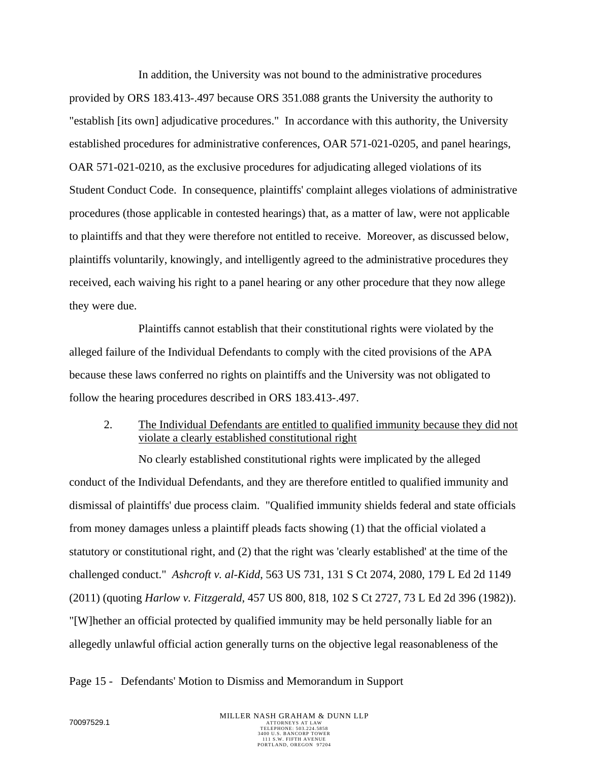In addition, the University was not bound to the administrative procedures provided by ORS 183.413-.497 because ORS 351.088 grants the University the authority to "establish [its own] adjudicative procedures." In accordance with this authority, the University established procedures for administrative conferences, OAR 571-021-0205, and panel hearings, OAR 571-021-0210, as the exclusive procedures for adjudicating alleged violations of its Student Conduct Code. In consequence, plaintiffs' complaint alleges violations of administrative procedures (those applicable in contested hearings) that, as a matter of law, were not applicable to plaintiffs and that they were therefore not entitled to receive. Moreover, as discussed below, plaintiffs voluntarily, knowingly, and intelligently agreed to the administrative procedures they received, each waiving his right to a panel hearing or any other procedure that they now allege they were due.

Plaintiffs cannot establish that their constitutional rights were violated by the alleged failure of the Individual Defendants to comply with the cited provisions of the APA because these laws conferred no rights on plaintiffs and the University was not obligated to follow the hearing procedures described in ORS 183.413-.497.

2. The Individual Defendants are entitled to qualified immunity because they did not violate a clearly established constitutional right

No clearly established constitutional rights were implicated by the alleged conduct of the Individual Defendants, and they are therefore entitled to qualified immunity and dismissal of plaintiffs' due process claim. "Qualified immunity shields federal and state officials from money damages unless a plaintiff pleads facts showing (1) that the official violated a statutory or constitutional right, and (2) that the right was 'clearly established' at the time of the challenged conduct." *Ashcroft v. al-Kidd*, 563 US 731, 131 S Ct 2074, 2080, 179 L Ed 2d 1149 (2011) (quoting *Harlow v. Fitzgerald*, 457 US 800, 818, 102 S Ct 2727, 73 L Ed 2d 396 (1982)). "[W]hether an official protected by qualified immunity may be held personally liable for an allegedly unlawful official action generally turns on the objective legal reasonableness of the

#### Page 15 - Defendants' Motion to Dismiss and Memorandum in Support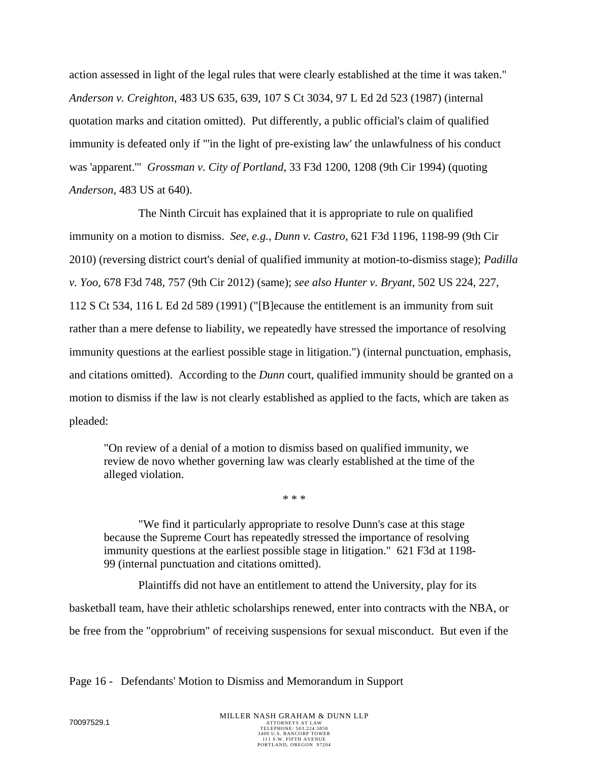action assessed in light of the legal rules that were clearly established at the time it was taken." *Anderson v. Creighton*, 483 US 635, 639, 107 S Ct 3034, 97 L Ed 2d 523 (1987) (internal quotation marks and citation omitted). Put differently, a public official's claim of qualified immunity is defeated only if "'in the light of pre-existing law' the unlawfulness of his conduct was 'apparent.'" *Grossman v. City of Portland*, 33 F3d 1200, 1208 (9th Cir 1994) (quoting *Anderson*, 483 US at 640).

The Ninth Circuit has explained that it is appropriate to rule on qualified immunity on a motion to dismiss. *See, e.g.*, *Dunn v. Castro*, 621 F3d 1196, 1198-99 (9th Cir 2010) (reversing district court's denial of qualified immunity at motion-to-dismiss stage); *Padilla v. Yoo*, 678 F3d 748, 757 (9th Cir 2012) (same); *see also Hunter v. Bryant*, 502 US 224, 227, 112 S Ct 534, 116 L Ed 2d 589 (1991) ("[B]ecause the entitlement is an immunity from suit rather than a mere defense to liability, we repeatedly have stressed the importance of resolving immunity questions at the earliest possible stage in litigation.") (internal punctuation, emphasis, and citations omitted). According to the *Dunn* court, qualified immunity should be granted on a motion to dismiss if the law is not clearly established as applied to the facts, which are taken as pleaded:

"On review of a denial of a motion to dismiss based on qualified immunity, we review de novo whether governing law was clearly established at the time of the alleged violation.

\* \* \*

 "We find it particularly appropriate to resolve Dunn's case at this stage because the Supreme Court has repeatedly stressed the importance of resolving immunity questions at the earliest possible stage in litigation." 621 F3d at 1198- 99 (internal punctuation and citations omitted).

Plaintiffs did not have an entitlement to attend the University, play for its basketball team, have their athletic scholarships renewed, enter into contracts with the NBA, or be free from the "opprobrium" of receiving suspensions for sexual misconduct. But even if the

Page 16 - Defendants' Motion to Dismiss and Memorandum in Support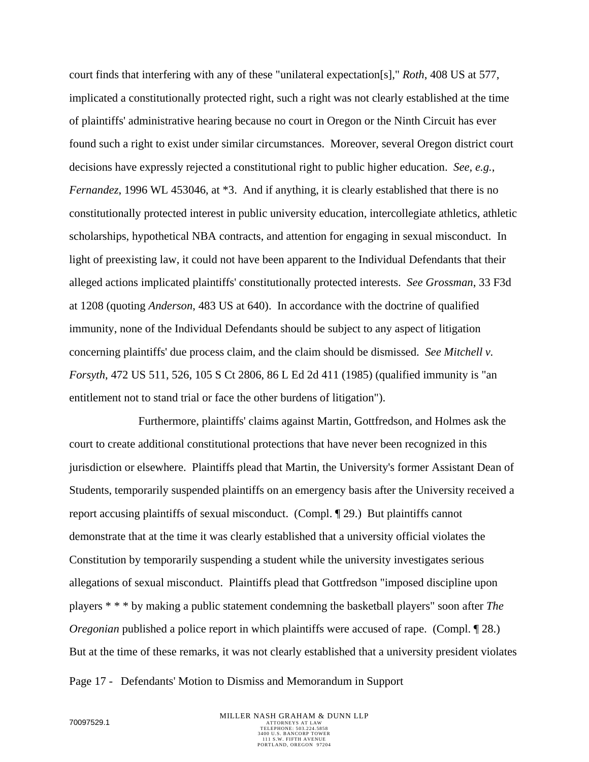court finds that interfering with any of these "unilateral expectation[s]," *Roth*, 408 US at 577, implicated a constitutionally protected right, such a right was not clearly established at the time of plaintiffs' administrative hearing because no court in Oregon or the Ninth Circuit has ever found such a right to exist under similar circumstances. Moreover, several Oregon district court decisions have expressly rejected a constitutional right to public higher education. *See, e.g.*, *Fernandez*, 1996 WL 453046, at \*3. And if anything, it is clearly established that there is no constitutionally protected interest in public university education, intercollegiate athletics, athletic scholarships, hypothetical NBA contracts, and attention for engaging in sexual misconduct. In light of preexisting law, it could not have been apparent to the Individual Defendants that their alleged actions implicated plaintiffs' constitutionally protected interests. *See Grossman*, 33 F3d at 1208 (quoting *Anderson*, 483 US at 640). In accordance with the doctrine of qualified immunity, none of the Individual Defendants should be subject to any aspect of litigation concerning plaintiffs' due process claim, and the claim should be dismissed. *See Mitchell v. Forsyth*, 472 US 511, 526, 105 S Ct 2806, 86 L Ed 2d 411 (1985) (qualified immunity is "an entitlement not to stand trial or face the other burdens of litigation").

Furthermore, plaintiffs' claims against Martin, Gottfredson, and Holmes ask the court to create additional constitutional protections that have never been recognized in this jurisdiction or elsewhere. Plaintiffs plead that Martin, the University's former Assistant Dean of Students, temporarily suspended plaintiffs on an emergency basis after the University received a report accusing plaintiffs of sexual misconduct. (Compl. ¶ 29.) But plaintiffs cannot demonstrate that at the time it was clearly established that a university official violates the Constitution by temporarily suspending a student while the university investigates serious allegations of sexual misconduct. Plaintiffs plead that Gottfredson "imposed discipline upon players \* \* \* by making a public statement condemning the basketball players" soon after *The Oregonian* published a police report in which plaintiffs were accused of rape. (Compl. 128.) But at the time of these remarks, it was not clearly established that a university president violates

Page 17 - Defendants' Motion to Dismiss and Memorandum in Support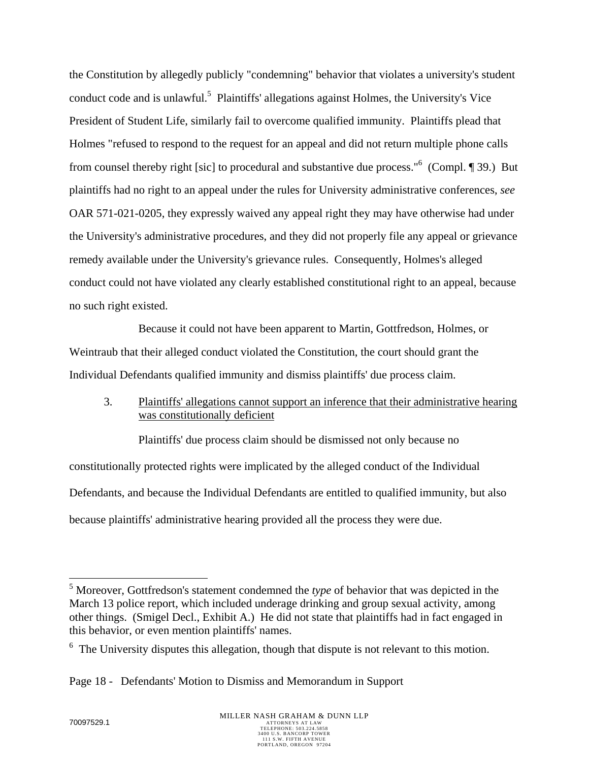the Constitution by allegedly publicly "condemning" behavior that violates a university's student conduct code and is unlawful.<sup>5</sup> Plaintiffs' allegations against Holmes, the University's Vice President of Student Life, similarly fail to overcome qualified immunity. Plaintiffs plead that Holmes "refused to respond to the request for an appeal and did not return multiple phone calls from counsel thereby right [sic] to procedural and substantive due process."<sup>6</sup> (Compl. 1939.) But plaintiffs had no right to an appeal under the rules for University administrative conferences, *see* OAR 571-021-0205, they expressly waived any appeal right they may have otherwise had under the University's administrative procedures, and they did not properly file any appeal or grievance remedy available under the University's grievance rules. Consequently, Holmes's alleged conduct could not have violated any clearly established constitutional right to an appeal, because no such right existed.

Because it could not have been apparent to Martin, Gottfredson, Holmes, or Weintraub that their alleged conduct violated the Constitution, the court should grant the Individual Defendants qualified immunity and dismiss plaintiffs' due process claim.

# 3. Plaintiffs' allegations cannot support an inference that their administrative hearing was constitutionally deficient

Plaintiffs' due process claim should be dismissed not only because no constitutionally protected rights were implicated by the alleged conduct of the Individual Defendants, and because the Individual Defendants are entitled to qualified immunity, but also because plaintiffs' administrative hearing provided all the process they were due.

 $\overline{a}$ 

<sup>&</sup>lt;sup>5</sup> Moreover, Gottfredson's statement condemned the *type* of behavior that was depicted in the March 13 police report, which included underage drinking and group sexual activity, among other things. (Smigel Decl., Exhibit A.) He did not state that plaintiffs had in fact engaged in this behavior, or even mention plaintiffs' names.

 $6\text{ The University disputes this allegation, though that dispute is not relevant to this motion.}$ 

Page 18 - Defendants' Motion to Dismiss and Memorandum in Support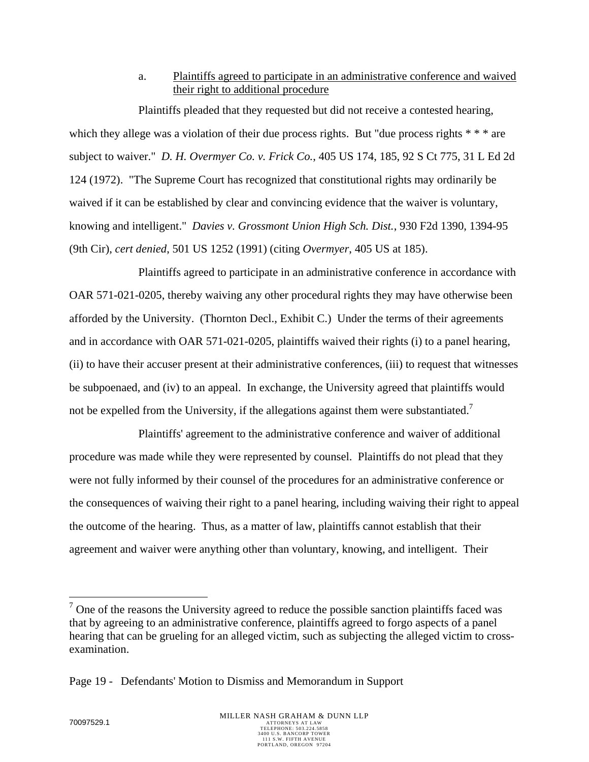a. Plaintiffs agreed to participate in an administrative conference and waived their right to additional procedure

Plaintiffs pleaded that they requested but did not receive a contested hearing, which they allege was a violation of their due process rights. But "due process rights  $***$  are subject to waiver." *D. H. Overmyer Co. v. Frick Co.*, 405 US 174, 185, 92 S Ct 775, 31 L Ed 2d 124 (1972). "The Supreme Court has recognized that constitutional rights may ordinarily be waived if it can be established by clear and convincing evidence that the waiver is voluntary, knowing and intelligent." *Davies v. Grossmont Union High Sch. Dist.*, 930 F2d 1390, 1394-95 (9th Cir), *cert denied*, 501 US 1252 (1991) (citing *Overmyer*, 405 US at 185).

Plaintiffs agreed to participate in an administrative conference in accordance with OAR 571-021-0205, thereby waiving any other procedural rights they may have otherwise been afforded by the University. (Thornton Decl., Exhibit C.) Under the terms of their agreements and in accordance with OAR 571-021-0205, plaintiffs waived their rights (i) to a panel hearing, (ii) to have their accuser present at their administrative conferences, (iii) to request that witnesses be subpoenaed, and (iv) to an appeal. In exchange, the University agreed that plaintiffs would not be expelled from the University, if the allegations against them were substantiated.<sup>7</sup>

Plaintiffs' agreement to the administrative conference and waiver of additional procedure was made while they were represented by counsel. Plaintiffs do not plead that they were not fully informed by their counsel of the procedures for an administrative conference or the consequences of waiving their right to a panel hearing, including waiving their right to appeal the outcome of the hearing. Thus, as a matter of law, plaintiffs cannot establish that their agreement and waiver were anything other than voluntary, knowing, and intelligent. Their

1

 $<sup>7</sup>$  One of the reasons the University agreed to reduce the possible sanction plaintiffs faced was</sup> that by agreeing to an administrative conference, plaintiffs agreed to forgo aspects of a panel hearing that can be grueling for an alleged victim, such as subjecting the alleged victim to crossexamination.

Page 19 - Defendants' Motion to Dismiss and Memorandum in Support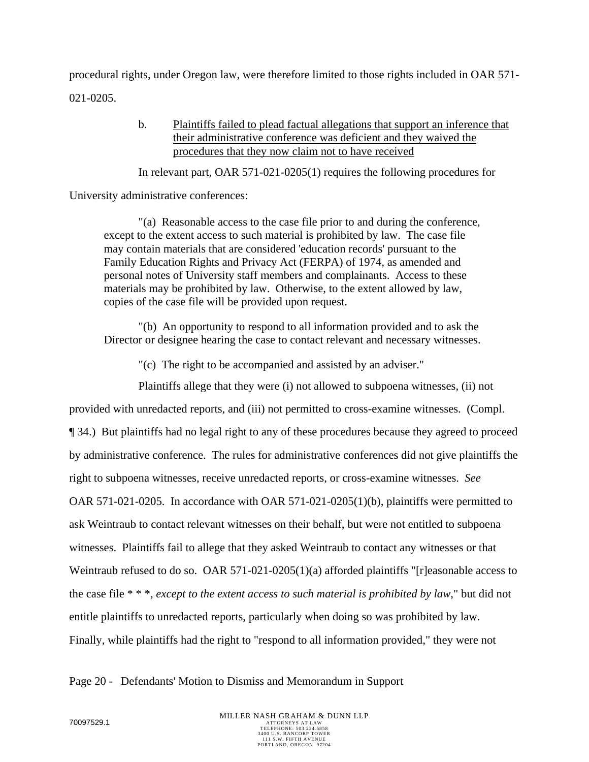procedural rights, under Oregon law, were therefore limited to those rights included in OAR 571- 021-0205.

> b. Plaintiffs failed to plead factual allegations that support an inference that their administrative conference was deficient and they waived the procedures that they now claim not to have received

In relevant part, OAR 571-021-0205(1) requires the following procedures for

University administrative conferences:

"(a) Reasonable access to the case file prior to and during the conference, except to the extent access to such material is prohibited by law. The case file may contain materials that are considered 'education records' pursuant to the Family Education Rights and Privacy Act (FERPA) of 1974, as amended and personal notes of University staff members and complainants. Access to these materials may be prohibited by law. Otherwise, to the extent allowed by law, copies of the case file will be provided upon request.

"(b) An opportunity to respond to all information provided and to ask the Director or designee hearing the case to contact relevant and necessary witnesses.

"(c) The right to be accompanied and assisted by an adviser."

Plaintiffs allege that they were (i) not allowed to subpoena witnesses, (ii) not

provided with unredacted reports, and (iii) not permitted to cross-examine witnesses. (Compl. ¶ 34.) But plaintiffs had no legal right to any of these procedures because they agreed to proceed by administrative conference. The rules for administrative conferences did not give plaintiffs the right to subpoena witnesses, receive unredacted reports, or cross-examine witnesses. *See* OAR 571-021-0205. In accordance with OAR 571-021-0205(1)(b), plaintiffs were permitted to ask Weintraub to contact relevant witnesses on their behalf, but were not entitled to subpoena witnesses. Plaintiffs fail to allege that they asked Weintraub to contact any witnesses or that Weintraub refused to do so. OAR 571-021-0205(1)(a) afforded plaintiffs "[r]easonable access to the case file \* \* \*, *except to the extent access to such material is prohibited by law*," but did not entitle plaintiffs to unredacted reports, particularly when doing so was prohibited by law. Finally, while plaintiffs had the right to "respond to all information provided," they were not

Page 20 - Defendants' Motion to Dismiss and Memorandum in Support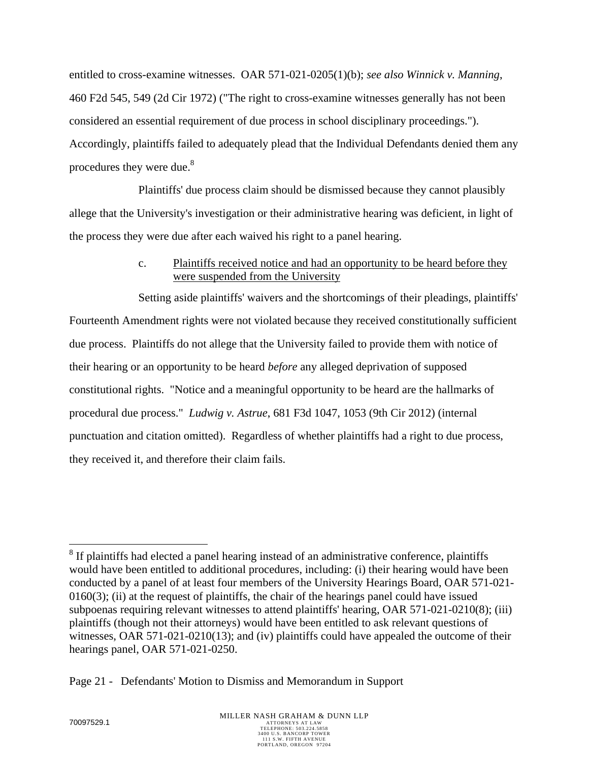entitled to cross-examine witnesses. OAR 571-021-0205(1)(b); *see also Winnick v. Manning*, 460 F2d 545, 549 (2d Cir 1972) ("The right to cross-examine witnesses generally has not been considered an essential requirement of due process in school disciplinary proceedings."). Accordingly, plaintiffs failed to adequately plead that the Individual Defendants denied them any procedures they were due.<sup>8</sup>

Plaintiffs' due process claim should be dismissed because they cannot plausibly allege that the University's investigation or their administrative hearing was deficient, in light of the process they were due after each waived his right to a panel hearing.

# c. Plaintiffs received notice and had an opportunity to be heard before they were suspended from the University

Setting aside plaintiffs' waivers and the shortcomings of their pleadings, plaintiffs' Fourteenth Amendment rights were not violated because they received constitutionally sufficient due process. Plaintiffs do not allege that the University failed to provide them with notice of their hearing or an opportunity to be heard *before* any alleged deprivation of supposed constitutional rights. "Notice and a meaningful opportunity to be heard are the hallmarks of procedural due process." *Ludwig v. Astrue*, 681 F3d 1047, 1053 (9th Cir 2012) (internal punctuation and citation omitted). Regardless of whether plaintiffs had a right to due process, they received it, and therefore their claim fails.

 $\overline{a}$ 

 $8$  If plaintiffs had elected a panel hearing instead of an administrative conference, plaintiffs would have been entitled to additional procedures, including: (i) their hearing would have been conducted by a panel of at least four members of the University Hearings Board, OAR 571-021-  $0160(3)$ ; (ii) at the request of plaintiffs, the chair of the hearings panel could have issued subpoenas requiring relevant witnesses to attend plaintiffs' hearing, OAR 571-021-0210(8); (iii) plaintiffs (though not their attorneys) would have been entitled to ask relevant questions of witnesses, OAR 571-021-0210(13); and (iv) plaintiffs could have appealed the outcome of their hearings panel, OAR 571-021-0250.

Page 21 - Defendants' Motion to Dismiss and Memorandum in Support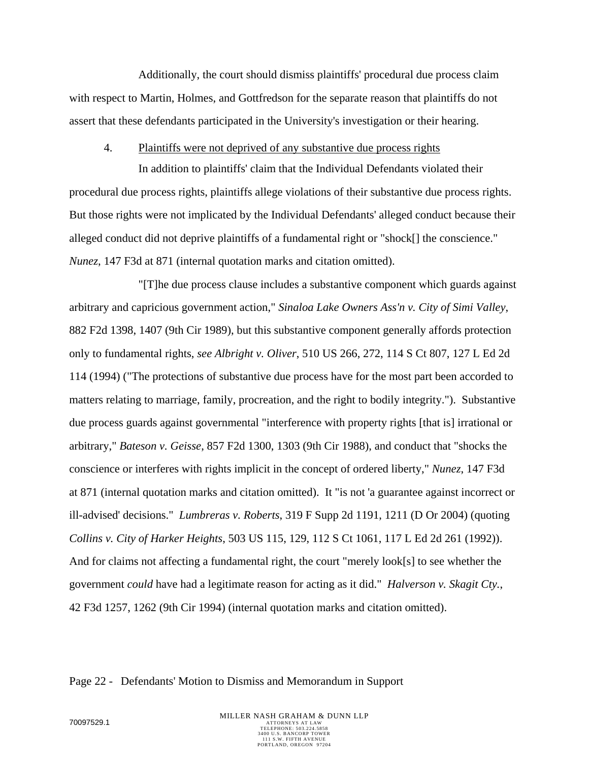Additionally, the court should dismiss plaintiffs' procedural due process claim with respect to Martin, Holmes, and Gottfredson for the separate reason that plaintiffs do not assert that these defendants participated in the University's investigation or their hearing.

### 4. Plaintiffs were not deprived of any substantive due process rights

In addition to plaintiffs' claim that the Individual Defendants violated their procedural due process rights, plaintiffs allege violations of their substantive due process rights. But those rights were not implicated by the Individual Defendants' alleged conduct because their alleged conduct did not deprive plaintiffs of a fundamental right or "shock[] the conscience." *Nunez*, 147 F3d at 871 (internal quotation marks and citation omitted).

"[T]he due process clause includes a substantive component which guards against arbitrary and capricious government action," *Sinaloa Lake Owners Ass'n v. City of Simi Valley*, 882 F2d 1398, 1407 (9th Cir 1989), but this substantive component generally affords protection only to fundamental rights, *see Albright v. Oliver*, 510 US 266, 272, 114 S Ct 807, 127 L Ed 2d 114 (1994) ("The protections of substantive due process have for the most part been accorded to matters relating to marriage, family, procreation, and the right to bodily integrity."). Substantive due process guards against governmental "interference with property rights [that is] irrational or arbitrary," *Bateson v. Geisse*, 857 F2d 1300, 1303 (9th Cir 1988), and conduct that "shocks the conscience or interferes with rights implicit in the concept of ordered liberty," *Nunez*, 147 F3d at 871 (internal quotation marks and citation omitted). It "is not 'a guarantee against incorrect or ill-advised' decisions." *Lumbreras v. Roberts*, 319 F Supp 2d 1191, 1211 (D Or 2004) (quoting *Collins v. City of Harker Heights*, 503 US 115, 129, 112 S Ct 1061, 117 L Ed 2d 261 (1992)). And for claims not affecting a fundamental right, the court "merely look[s] to see whether the government *could* have had a legitimate reason for acting as it did." *Halverson v. Skagit Cty.*, 42 F3d 1257, 1262 (9th Cir 1994) (internal quotation marks and citation omitted).

#### Page 22 - Defendants' Motion to Dismiss and Memorandum in Support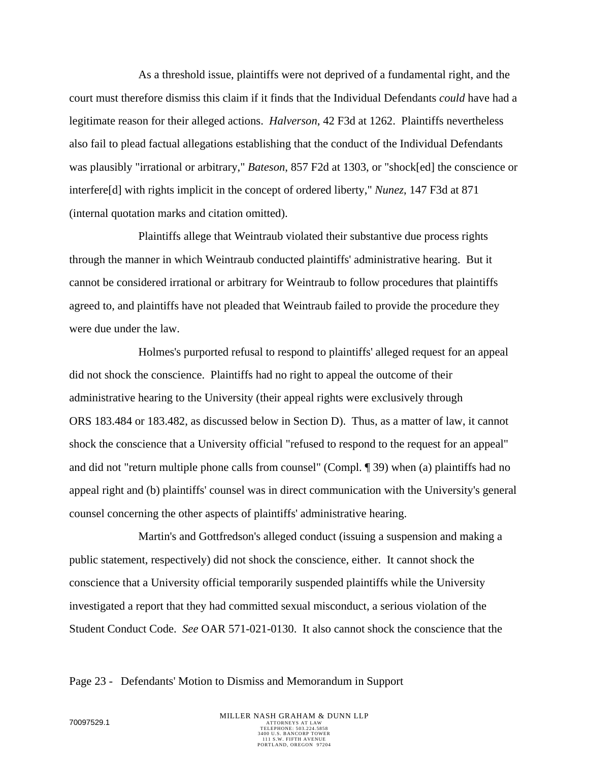As a threshold issue, plaintiffs were not deprived of a fundamental right, and the court must therefore dismiss this claim if it finds that the Individual Defendants *could* have had a legitimate reason for their alleged actions. *Halverson*, 42 F3d at 1262. Plaintiffs nevertheless also fail to plead factual allegations establishing that the conduct of the Individual Defendants was plausibly "irrational or arbitrary," *Bateson*, 857 F2d at 1303, or "shock[ed] the conscience or interfere[d] with rights implicit in the concept of ordered liberty," *Nunez*, 147 F3d at 871 (internal quotation marks and citation omitted).

Plaintiffs allege that Weintraub violated their substantive due process rights through the manner in which Weintraub conducted plaintiffs' administrative hearing. But it cannot be considered irrational or arbitrary for Weintraub to follow procedures that plaintiffs agreed to, and plaintiffs have not pleaded that Weintraub failed to provide the procedure they were due under the law.

Holmes's purported refusal to respond to plaintiffs' alleged request for an appeal did not shock the conscience. Plaintiffs had no right to appeal the outcome of their administrative hearing to the University (their appeal rights were exclusively through ORS 183.484 or 183.482, as discussed below in Section D). Thus, as a matter of law, it cannot shock the conscience that a University official "refused to respond to the request for an appeal" and did not "return multiple phone calls from counsel" (Compl. ¶ 39) when (a) plaintiffs had no appeal right and (b) plaintiffs' counsel was in direct communication with the University's general counsel concerning the other aspects of plaintiffs' administrative hearing.

Martin's and Gottfredson's alleged conduct (issuing a suspension and making a public statement, respectively) did not shock the conscience, either. It cannot shock the conscience that a University official temporarily suspended plaintiffs while the University investigated a report that they had committed sexual misconduct, a serious violation of the Student Conduct Code. *See* OAR 571-021-0130. It also cannot shock the conscience that the

#### Page 23 - Defendants' Motion to Dismiss and Memorandum in Support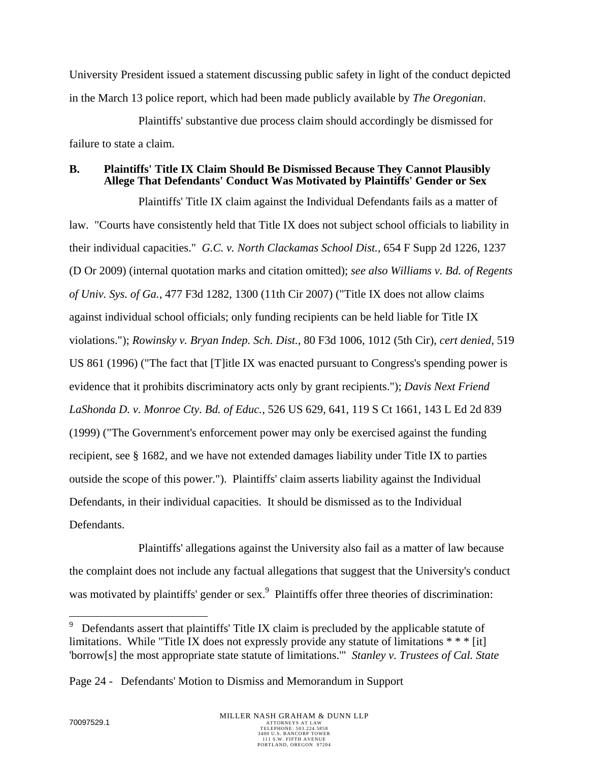University President issued a statement discussing public safety in light of the conduct depicted in the March 13 police report, which had been made publicly available by *The Oregonian*.

Plaintiffs' substantive due process claim should accordingly be dismissed for failure to state a claim.

## **B. Plaintiffs' Title IX Claim Should Be Dismissed Because They Cannot Plausibly Allege That Defendants' Conduct Was Motivated by Plaintiffs' Gender or Sex**

Plaintiffs' Title IX claim against the Individual Defendants fails as a matter of law. "Courts have consistently held that Title IX does not subject school officials to liability in their individual capacities." *G.C. v. North Clackamas School Dist.*, 654 F Supp 2d 1226, 1237 (D Or 2009) (internal quotation marks and citation omitted); *see also Williams v. Bd. of Regents of Univ. Sys. of Ga.*, 477 F3d 1282, 1300 (11th Cir 2007) ("Title IX does not allow claims against individual school officials; only funding recipients can be held liable for Title IX violations."); *Rowinsky v. Bryan Indep. Sch. Dist.*, 80 F3d 1006, 1012 (5th Cir), *cert denied*, 519 US 861 (1996) ("The fact that [T]itle IX was enacted pursuant to Congress's spending power is evidence that it prohibits discriminatory acts only by grant recipients."); *Davis Next Friend LaShonda D. v. Monroe Cty. Bd. of Educ.*, 526 US 629, 641, 119 S Ct 1661, 143 L Ed 2d 839 (1999) ("The Government's enforcement power may only be exercised against the funding recipient, see § 1682, and we have not extended damages liability under Title IX to parties outside the scope of this power."). Plaintiffs' claim asserts liability against the Individual Defendants, in their individual capacities. It should be dismissed as to the Individual Defendants.

Plaintiffs' allegations against the University also fail as a matter of law because the complaint does not include any factual allegations that suggest that the University's conduct was motivated by plaintiffs' gender or sex.<sup>9</sup> Plaintiffs offer three theories of discrimination:

 $\overline{a}$ 

<sup>9</sup> Defendants assert that plaintiffs' Title IX claim is precluded by the applicable statute of limitations. While "Title IX does not expressly provide any statute of limitations  $**$  [it] 'borrow[s] the most appropriate state statute of limitations.'" *Stanley v. Trustees of Cal. State* 

Page 24 - Defendants' Motion to Dismiss and Memorandum in Support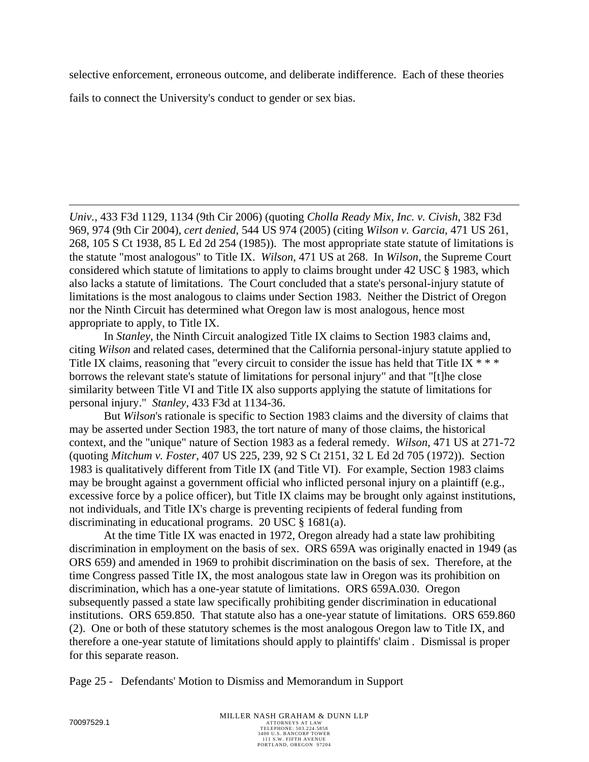selective enforcement, erroneous outcome, and deliberate indifference. Each of these theories

fails to connect the University's conduct to gender or sex bias.

*Univ.*, 433 F3d 1129, 1134 (9th Cir 2006) (quoting *Cholla Ready Mix, Inc. v. Civish*, 382 F3d 969, 974 (9th Cir 2004), *cert denied*, 544 US 974 (2005) (citing *Wilson v. Garcia*, 471 US 261, 268, 105 S Ct 1938, 85 L Ed 2d 254 (1985)). The most appropriate state statute of limitations is the statute "most analogous" to Title IX. *Wilson*, 471 US at 268. In *Wilson*, the Supreme Court considered which statute of limitations to apply to claims brought under 42 USC § 1983, which also lacks a statute of limitations. The Court concluded that a state's personal-injury statute of limitations is the most analogous to claims under Section 1983. Neither the District of Oregon nor the Ninth Circuit has determined what Oregon law is most analogous, hence most appropriate to apply, to Title IX.

 In *Stanley*, the Ninth Circuit analogized Title IX claims to Section 1983 claims and, citing *Wilson* and related cases, determined that the California personal-injury statute applied to Title IX claims, reasoning that "every circuit to consider the issue has held that Title IX  $***$ borrows the relevant state's statute of limitations for personal injury" and that "[t]he close similarity between Title VI and Title IX also supports applying the statute of limitations for personal injury." *Stanley*, 433 F3d at 1134-36.

 But *Wilson*'s rationale is specific to Section 1983 claims and the diversity of claims that may be asserted under Section 1983, the tort nature of many of those claims, the historical context, and the "unique" nature of Section 1983 as a federal remedy. *Wilson*, 471 US at 271-72 (quoting *Mitchum v. Foster*, 407 US 225, 239, 92 S Ct 2151, 32 L Ed 2d 705 (1972)). Section 1983 is qualitatively different from Title IX (and Title VI). For example, Section 1983 claims may be brought against a government official who inflicted personal injury on a plaintiff (e.g., excessive force by a police officer), but Title IX claims may be brought only against institutions, not individuals, and Title IX's charge is preventing recipients of federal funding from discriminating in educational programs. 20 USC § 1681(a).

 At the time Title IX was enacted in 1972, Oregon already had a state law prohibiting discrimination in employment on the basis of sex. ORS 659A was originally enacted in 1949 (as ORS 659) and amended in 1969 to prohibit discrimination on the basis of sex. Therefore, at the time Congress passed Title IX, the most analogous state law in Oregon was its prohibition on discrimination, which has a one-year statute of limitations. ORS 659A.030. Oregon subsequently passed a state law specifically prohibiting gender discrimination in educational institutions. ORS 659.850. That statute also has a one-year statute of limitations. ORS 659.860 (2). One or both of these statutory schemes is the most analogous Oregon law to Title IX, and therefore a one-year statute of limitations should apply to plaintiffs' claim . Dismissal is proper for this separate reason.

Page 25 - Defendants' Motion to Dismiss and Memorandum in Support

 $\overline{a}$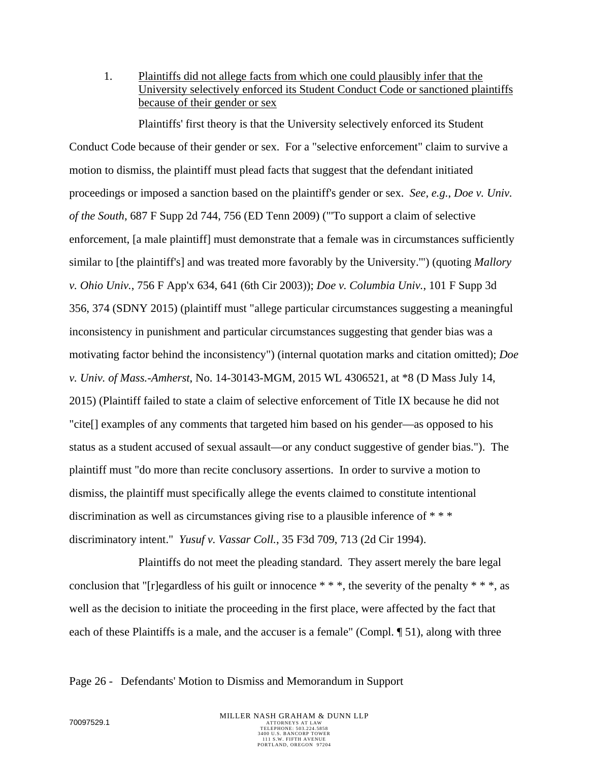1. Plaintiffs did not allege facts from which one could plausibly infer that the University selectively enforced its Student Conduct Code or sanctioned plaintiffs because of their gender or sex

Plaintiffs' first theory is that the University selectively enforced its Student Conduct Code because of their gender or sex. For a "selective enforcement" claim to survive a motion to dismiss, the plaintiff must plead facts that suggest that the defendant initiated proceedings or imposed a sanction based on the plaintiff's gender or sex. *See, e.g.*, *Doe v. Univ. of the South*, 687 F Supp 2d 744, 756 (ED Tenn 2009) ("'To support a claim of selective enforcement, [a male plaintiff] must demonstrate that a female was in circumstances sufficiently similar to [the plaintiff's] and was treated more favorably by the University.'") (quoting *Mallory v. Ohio Univ.*, 756 F App'x 634, 641 (6th Cir 2003)); *Doe v. Columbia Univ.*, 101 F Supp 3d 356, 374 (SDNY 2015) (plaintiff must "allege particular circumstances suggesting a meaningful inconsistency in punishment and particular circumstances suggesting that gender bias was a motivating factor behind the inconsistency") (internal quotation marks and citation omitted); *Doe v. Univ. of Mass.-Amherst*, No. 14-30143-MGM, 2015 WL 4306521, at \*8 (D Mass July 14, 2015) (Plaintiff failed to state a claim of selective enforcement of Title IX because he did not "cite[] examples of any comments that targeted him based on his gender—as opposed to his status as a student accused of sexual assault—or any conduct suggestive of gender bias."). The plaintiff must "do more than recite conclusory assertions. In order to survive a motion to dismiss, the plaintiff must specifically allege the events claimed to constitute intentional discrimination as well as circumstances giving rise to a plausible inference of \* \* \* discriminatory intent." *Yusuf v. Vassar Coll.*, 35 F3d 709, 713 (2d Cir 1994).

Plaintiffs do not meet the pleading standard. They assert merely the bare legal conclusion that "[r]egardless of his guilt or innocence  $***$ , the severity of the penalty  $***$ , as well as the decision to initiate the proceeding in the first place, were affected by the fact that each of these Plaintiffs is a male, and the accuser is a female" (Compl. ¶ 51), along with three

Page 26 - Defendants' Motion to Dismiss and Memorandum in Support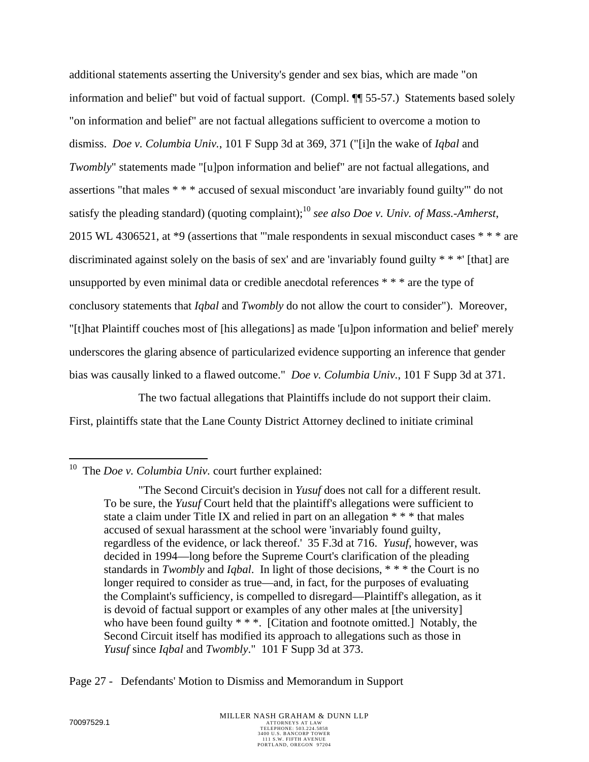additional statements asserting the University's gender and sex bias, which are made "on information and belief" but void of factual support. (Compl. ¶¶ 55-57.) Statements based solely "on information and belief" are not factual allegations sufficient to overcome a motion to dismiss. *Doe v. Columbia Univ.*, 101 F Supp 3d at 369, 371 ("[i]n the wake of *Iqbal* and *Twombly*" statements made "[u]pon information and belief" are not factual allegations, and assertions "that males \* \* \* accused of sexual misconduct 'are invariably found guilty'" do not satisfy the pleading standard) (quoting complaint);10 *see also Doe v. Univ. of Mass.-Amherst*, 2015 WL 4306521, at \*9 (assertions that "'male respondents in sexual misconduct cases \* \* \* are discriminated against solely on the basis of sex' and are 'invariably found guilty \* \* \*' [that] are unsupported by even minimal data or credible anecdotal references \* \* \* are the type of conclusory statements that *Iqbal* and *Twombly* do not allow the court to consider"). Moreover, "[t]hat Plaintiff couches most of [his allegations] as made '[u]pon information and belief' merely underscores the glaring absence of particularized evidence supporting an inference that gender bias was causally linked to a flawed outcome." *Doe v. Columbia Univ.*, 101 F Supp 3d at 371.

The two factual allegations that Plaintiffs include do not support their claim. First, plaintiffs state that the Lane County District Attorney declined to initiate criminal

Page 27 - Defendants' Motion to Dismiss and Memorandum in Support

 $\overline{a}$ 10 The *Doe v. Columbia Univ.* court further explained:

 <sup>&</sup>quot;The Second Circuit's decision in *Yusuf* does not call for a different result. To be sure, the *Yusuf* Court held that the plaintiff's allegations were sufficient to state a claim under Title IX and relied in part on an allegation \* \* \* that males accused of sexual harassment at the school were 'invariably found guilty, regardless of the evidence, or lack thereof.' 35 F.3d at 716. *Yusuf*, however, was decided in 1994—long before the Supreme Court's clarification of the pleading standards in *Twombly* and *Iqbal*. In light of those decisions, \* \* \* the Court is no longer required to consider as true—and, in fact, for the purposes of evaluating the Complaint's sufficiency, is compelled to disregard—Plaintiff's allegation, as it is devoid of factual support or examples of any other males at [the university] who have been found guilty \* \* \*. [Citation and footnote omitted.] Notably, the Second Circuit itself has modified its approach to allegations such as those in *Yusuf* since *Iqbal* and *Twombly*." 101 F Supp 3d at 373.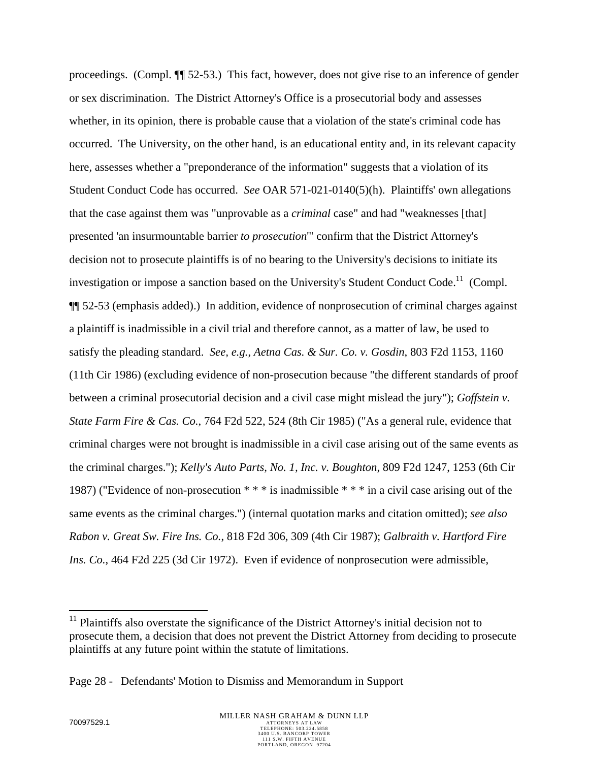proceedings. (Compl. ¶¶ 52-53.) This fact, however, does not give rise to an inference of gender or sex discrimination. The District Attorney's Office is a prosecutorial body and assesses whether, in its opinion, there is probable cause that a violation of the state's criminal code has occurred. The University, on the other hand, is an educational entity and, in its relevant capacity here, assesses whether a "preponderance of the information" suggests that a violation of its Student Conduct Code has occurred. *See* OAR 571-021-0140(5)(h). Plaintiffs' own allegations that the case against them was "unprovable as a *criminal* case" and had "weaknesses [that] presented 'an insurmountable barrier *to prosecution*'" confirm that the District Attorney's decision not to prosecute plaintiffs is of no bearing to the University's decisions to initiate its investigation or impose a sanction based on the University's Student Conduct Code.<sup>11</sup> (Compl. ¶¶ 52-53 (emphasis added).) In addition, evidence of nonprosecution of criminal charges against a plaintiff is inadmissible in a civil trial and therefore cannot, as a matter of law, be used to satisfy the pleading standard. *See, e.g.*, *Aetna Cas. & Sur. Co. v. Gosdin*, 803 F2d 1153, 1160 (11th Cir 1986) (excluding evidence of non-prosecution because "the different standards of proof between a criminal prosecutorial decision and a civil case might mislead the jury"); *Goffstein v. State Farm Fire & Cas. Co.*, 764 F2d 522, 524 (8th Cir 1985) ("As a general rule, evidence that criminal charges were not brought is inadmissible in a civil case arising out of the same events as the criminal charges."); *Kelly's Auto Parts, No. 1, Inc. v. Boughton*, 809 F2d 1247, 1253 (6th Cir 1987) ("Evidence of non-prosecution \* \* \* is inadmissible \* \* \* in a civil case arising out of the same events as the criminal charges.") (internal quotation marks and citation omitted); *see also Rabon v. Great Sw. Fire Ins. Co.*, 818 F2d 306, 309 (4th Cir 1987); *Galbraith v. Hartford Fire Ins. Co.*, 464 F2d 225 (3d Cir 1972). Even if evidence of nonprosecution were admissible,

 $\overline{a}$ 

 $11$  Plaintiffs also overstate the significance of the District Attorney's initial decision not to prosecute them, a decision that does not prevent the District Attorney from deciding to prosecute plaintiffs at any future point within the statute of limitations.

Page 28 - Defendants' Motion to Dismiss and Memorandum in Support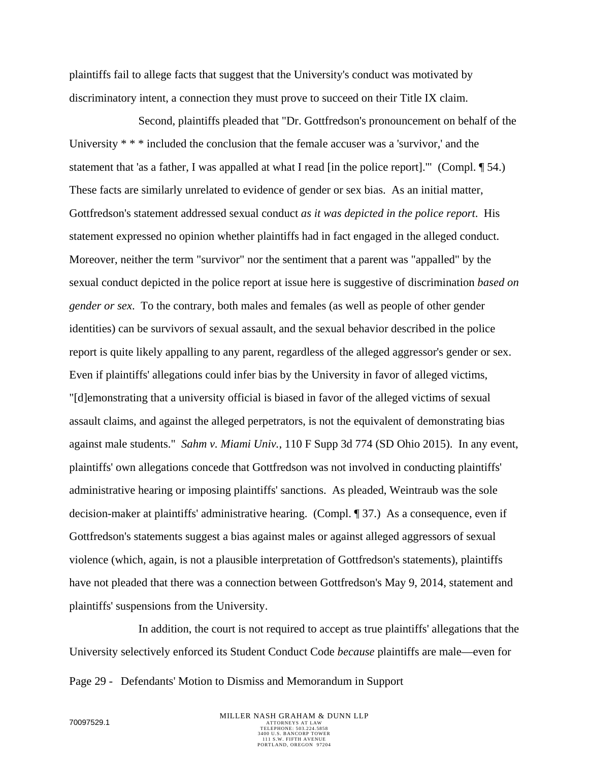plaintiffs fail to allege facts that suggest that the University's conduct was motivated by discriminatory intent, a connection they must prove to succeed on their Title IX claim.

Second, plaintiffs pleaded that "Dr. Gottfredson's pronouncement on behalf of the University \* \* \* included the conclusion that the female accuser was a 'survivor,' and the statement that 'as a father, I was appalled at what I read [in the police report]." (Compl. 154.) These facts are similarly unrelated to evidence of gender or sex bias. As an initial matter, Gottfredson's statement addressed sexual conduct *as it was depicted in the police report*. His statement expressed no opinion whether plaintiffs had in fact engaged in the alleged conduct. Moreover, neither the term "survivor" nor the sentiment that a parent was "appalled" by the sexual conduct depicted in the police report at issue here is suggestive of discrimination *based on gender or sex*. To the contrary, both males and females (as well as people of other gender identities) can be survivors of sexual assault, and the sexual behavior described in the police report is quite likely appalling to any parent, regardless of the alleged aggressor's gender or sex. Even if plaintiffs' allegations could infer bias by the University in favor of alleged victims, "[d]emonstrating that a university official is biased in favor of the alleged victims of sexual assault claims, and against the alleged perpetrators, is not the equivalent of demonstrating bias against male students." *Sahm v. Miami Univ.*, 110 F Supp 3d 774 (SD Ohio 2015). In any event, plaintiffs' own allegations concede that Gottfredson was not involved in conducting plaintiffs' administrative hearing or imposing plaintiffs' sanctions. As pleaded, Weintraub was the sole decision-maker at plaintiffs' administrative hearing. (Compl. ¶ 37.) As a consequence, even if Gottfredson's statements suggest a bias against males or against alleged aggressors of sexual violence (which, again, is not a plausible interpretation of Gottfredson's statements), plaintiffs have not pleaded that there was a connection between Gottfredson's May 9, 2014, statement and plaintiffs' suspensions from the University.

Page 29 - Defendants' Motion to Dismiss and Memorandum in Support In addition, the court is not required to accept as true plaintiffs' allegations that the University selectively enforced its Student Conduct Code *because* plaintiffs are male—even for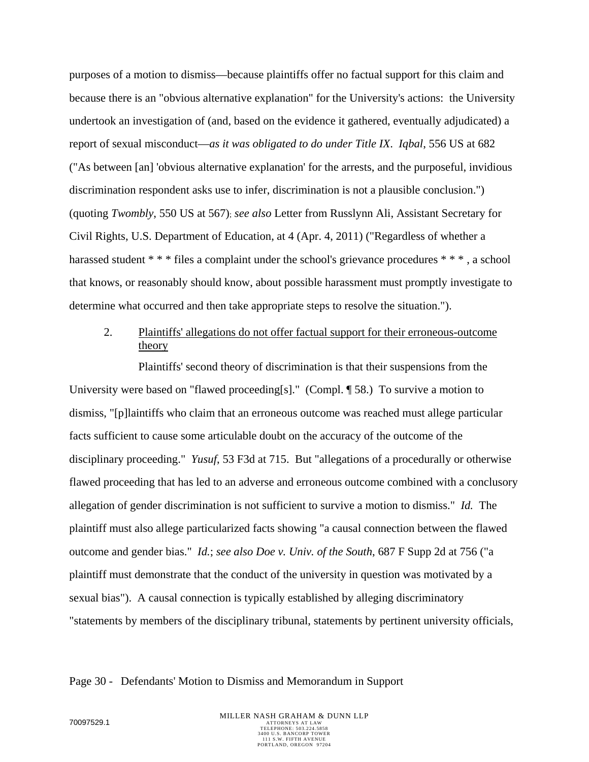purposes of a motion to dismiss—because plaintiffs offer no factual support for this claim and because there is an "obvious alternative explanation" for the University's actions: the University undertook an investigation of (and, based on the evidence it gathered, eventually adjudicated) a report of sexual misconduct—*as it was obligated to do under Title IX*. *Iqbal*, 556 US at 682 ("As between [an] 'obvious alternative explanation' for the arrests, and the purposeful, invidious discrimination respondent asks use to infer, discrimination is not a plausible conclusion.") (quoting *Twombly*, 550 US at 567); *see also* Letter from Russlynn Ali, Assistant Secretary for Civil Rights, U.S. Department of Education, at 4 (Apr. 4, 2011) ("Regardless of whether a harassed student \* \* \* files a complaint under the school's grievance procedures \* \* \*, a school that knows, or reasonably should know, about possible harassment must promptly investigate to determine what occurred and then take appropriate steps to resolve the situation.").

## 2. Plaintiffs' allegations do not offer factual support for their erroneous-outcome theory

Plaintiffs' second theory of discrimination is that their suspensions from the University were based on "flawed proceeding[s]." (Compl. ¶ 58.) To survive a motion to dismiss, "[p]laintiffs who claim that an erroneous outcome was reached must allege particular facts sufficient to cause some articulable doubt on the accuracy of the outcome of the disciplinary proceeding." *Yusuf*, 53 F3d at 715. But "allegations of a procedurally or otherwise flawed proceeding that has led to an adverse and erroneous outcome combined with a conclusory allegation of gender discrimination is not sufficient to survive a motion to dismiss." *Id.* The plaintiff must also allege particularized facts showing "a causal connection between the flawed outcome and gender bias." *Id.*; *see also Doe v. Univ. of the South*, 687 F Supp 2d at 756 ("a plaintiff must demonstrate that the conduct of the university in question was motivated by a sexual bias"). A causal connection is typically established by alleging discriminatory "statements by members of the disciplinary tribunal, statements by pertinent university officials,

#### Page 30 - Defendants' Motion to Dismiss and Memorandum in Support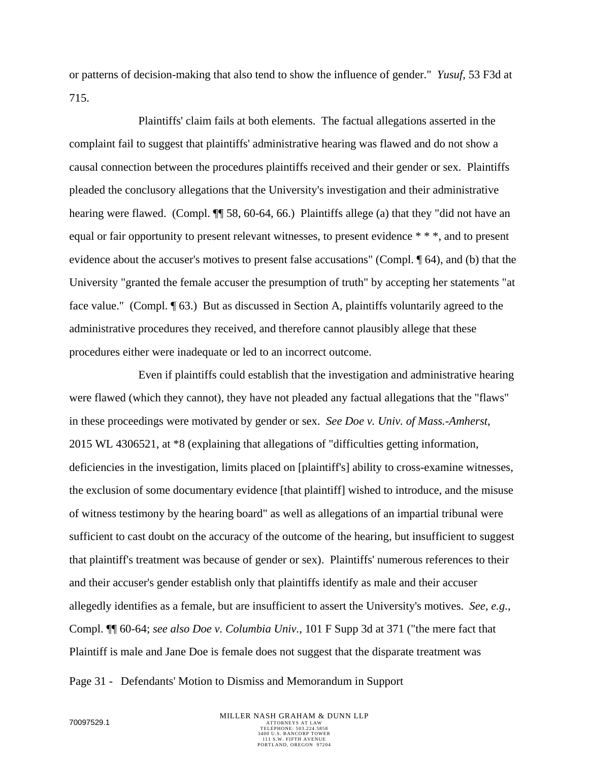or patterns of decision-making that also tend to show the influence of gender." *Yusuf*, 53 F3d at 715.

Plaintiffs' claim fails at both elements. The factual allegations asserted in the complaint fail to suggest that plaintiffs' administrative hearing was flawed and do not show a causal connection between the procedures plaintiffs received and their gender or sex. Plaintiffs pleaded the conclusory allegations that the University's investigation and their administrative hearing were flawed. (Compl.  $\P$  58, 60-64, 66.) Plaintiffs allege (a) that they "did not have an equal or fair opportunity to present relevant witnesses, to present evidence \* \* \*, and to present evidence about the accuser's motives to present false accusations" (Compl. ¶ 64), and (b) that the University "granted the female accuser the presumption of truth" by accepting her statements "at face value." (Compl. ¶ 63.) But as discussed in Section A, plaintiffs voluntarily agreed to the administrative procedures they received, and therefore cannot plausibly allege that these procedures either were inadequate or led to an incorrect outcome.

Even if plaintiffs could establish that the investigation and administrative hearing were flawed (which they cannot), they have not pleaded any factual allegations that the "flaws" in these proceedings were motivated by gender or sex. *See Doe v. Univ. of Mass.-Amherst*, 2015 WL 4306521, at \*8 (explaining that allegations of "difficulties getting information, deficiencies in the investigation, limits placed on [plaintiff's] ability to cross-examine witnesses, the exclusion of some documentary evidence [that plaintiff] wished to introduce, and the misuse of witness testimony by the hearing board" as well as allegations of an impartial tribunal were sufficient to cast doubt on the accuracy of the outcome of the hearing, but insufficient to suggest that plaintiff's treatment was because of gender or sex). Plaintiffs' numerous references to their and their accuser's gender establish only that plaintiffs identify as male and their accuser allegedly identifies as a female, but are insufficient to assert the University's motives. *See, e.g.*, Compl. ¶¶ 60-64; *see also Doe v. Columbia Univ.*, 101 F Supp 3d at 371 ("the mere fact that Plaintiff is male and Jane Doe is female does not suggest that the disparate treatment was

Page 31 - Defendants' Motion to Dismiss and Memorandum in Support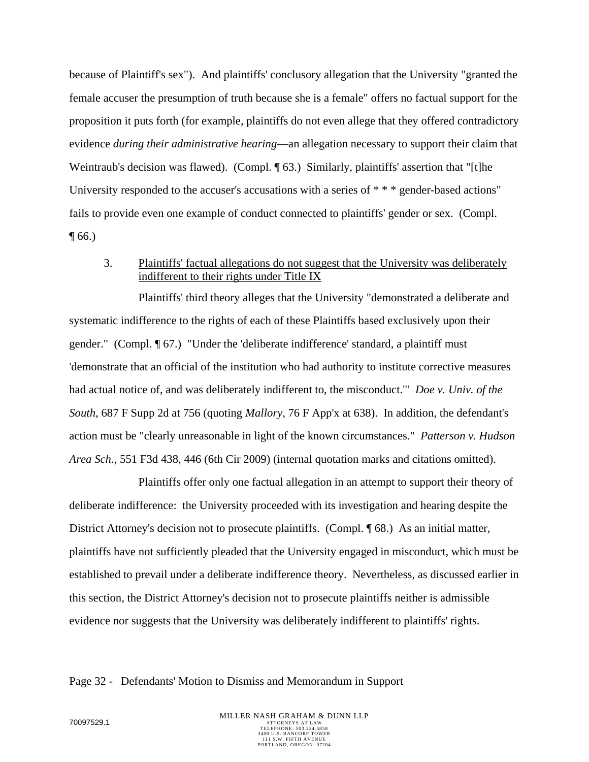because of Plaintiff's sex"). And plaintiffs' conclusory allegation that the University "granted the female accuser the presumption of truth because she is a female" offers no factual support for the proposition it puts forth (for example, plaintiffs do not even allege that they offered contradictory evidence *during their administrative hearing*—an allegation necessary to support their claim that Weintraub's decision was flawed). (Compl. [63.) Similarly, plaintiffs' assertion that "[t]he University responded to the accuser's accusations with a series of \* \* \* gender-based actions" fails to provide even one example of conduct connected to plaintiffs' gender or sex. (Compl.  $\P(66)$ 

3. Plaintiffs' factual allegations do not suggest that the University was deliberately indifferent to their rights under Title IX

Plaintiffs' third theory alleges that the University "demonstrated a deliberate and systematic indifference to the rights of each of these Plaintiffs based exclusively upon their gender." (Compl. ¶ 67.) "Under the 'deliberate indifference' standard, a plaintiff must 'demonstrate that an official of the institution who had authority to institute corrective measures had actual notice of, and was deliberately indifferent to, the misconduct.'" *Doe v. Univ. of the South*, 687 F Supp 2d at 756 (quoting *Mallory*, 76 F App'x at 638). In addition, the defendant's action must be "clearly unreasonable in light of the known circumstances." *Patterson v. Hudson Area Sch.*, 551 F3d 438, 446 (6th Cir 2009) (internal quotation marks and citations omitted).

Plaintiffs offer only one factual allegation in an attempt to support their theory of deliberate indifference: the University proceeded with its investigation and hearing despite the District Attorney's decision not to prosecute plaintiffs. (Compl. ¶ 68.) As an initial matter, plaintiffs have not sufficiently pleaded that the University engaged in misconduct, which must be established to prevail under a deliberate indifference theory. Nevertheless, as discussed earlier in this section, the District Attorney's decision not to prosecute plaintiffs neither is admissible evidence nor suggests that the University was deliberately indifferent to plaintiffs' rights.

Page 32 - Defendants' Motion to Dismiss and Memorandum in Support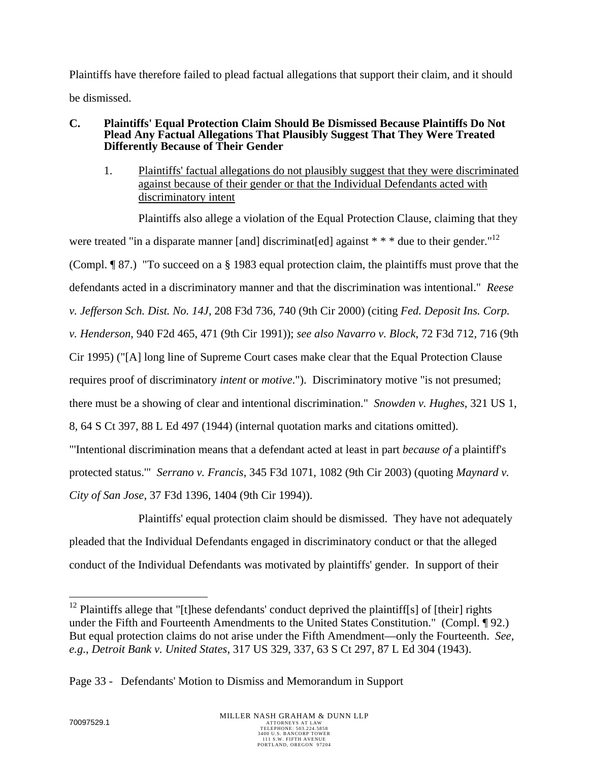Plaintiffs have therefore failed to plead factual allegations that support their claim, and it should be dismissed.

### **C. Plaintiffs' Equal Protection Claim Should Be Dismissed Because Plaintiffs Do Not Plead Any Factual Allegations That Plausibly Suggest That They Were Treated Differently Because of Their Gender**

1. Plaintiffs' factual allegations do not plausibly suggest that they were discriminated against because of their gender or that the Individual Defendants acted with discriminatory intent

Plaintiffs also allege a violation of the Equal Protection Clause, claiming that they were treated "in a disparate manner [and] discriminat[ed] against  $**$  \* due to their gender."<sup>12</sup> (Compl. ¶ 87.) "To succeed on a § 1983 equal protection claim, the plaintiffs must prove that the defendants acted in a discriminatory manner and that the discrimination was intentional." *Reese v. Jefferson Sch. Dist. No. 14J*, 208 F3d 736, 740 (9th Cir 2000) (citing *Fed. Deposit Ins. Corp. v. Henderson*, 940 F2d 465, 471 (9th Cir 1991)); *see also Navarro v. Block*, 72 F3d 712, 716 (9th Cir 1995) ("[A] long line of Supreme Court cases make clear that the Equal Protection Clause requires proof of discriminatory *intent* or *motive*."). Discriminatory motive "is not presumed; there must be a showing of clear and intentional discrimination." *Snowden v. Hughes*, 321 US 1, 8, 64 S Ct 397, 88 L Ed 497 (1944) (internal quotation marks and citations omitted). "'Intentional discrimination means that a defendant acted at least in part *because of* a plaintiff's

protected status.'" *Serrano v. Francis*, 345 F3d 1071, 1082 (9th Cir 2003) (quoting *Maynard v.* 

*City of San Jose*, 37 F3d 1396, 1404 (9th Cir 1994)).

Plaintiffs' equal protection claim should be dismissed. They have not adequately pleaded that the Individual Defendants engaged in discriminatory conduct or that the alleged conduct of the Individual Defendants was motivated by plaintiffs' gender. In support of their

1

<sup>&</sup>lt;sup>12</sup> Plaintiffs allege that "[t]hese defendants' conduct deprived the plaintiff[s] of [their] rights under the Fifth and Fourteenth Amendments to the United States Constitution." (Compl. ¶ 92.) But equal protection claims do not arise under the Fifth Amendment—only the Fourteenth. *See, e.g.*, *Detroit Bank v. United States*, 317 US 329, 337, 63 S Ct 297, 87 L Ed 304 (1943).

Page 33 - Defendants' Motion to Dismiss and Memorandum in Support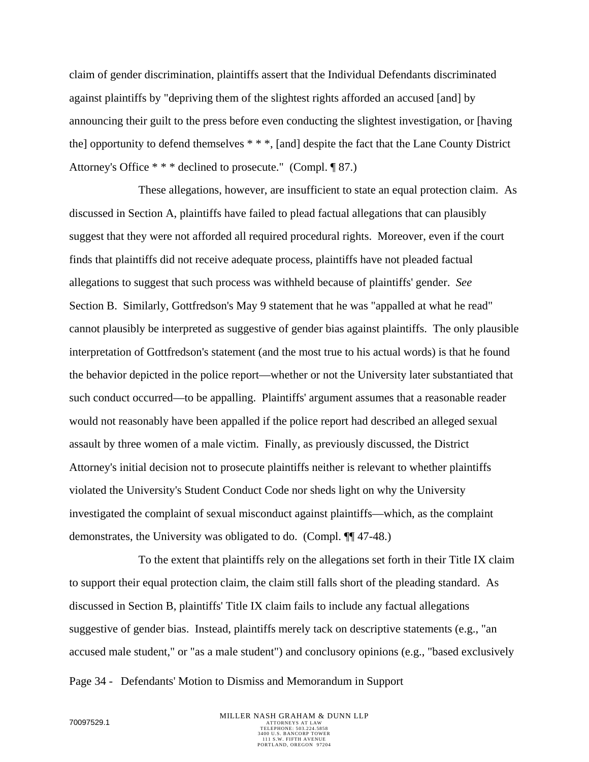claim of gender discrimination, plaintiffs assert that the Individual Defendants discriminated against plaintiffs by "depriving them of the slightest rights afforded an accused [and] by announcing their guilt to the press before even conducting the slightest investigation, or [having the] opportunity to defend themselves \* \* \*, [and] despite the fact that the Lane County District Attorney's Office \* \* \* declined to prosecute." (Compl. ¶ 87.)

These allegations, however, are insufficient to state an equal protection claim. As discussed in Section A, plaintiffs have failed to plead factual allegations that can plausibly suggest that they were not afforded all required procedural rights. Moreover, even if the court finds that plaintiffs did not receive adequate process, plaintiffs have not pleaded factual allegations to suggest that such process was withheld because of plaintiffs' gender. *See* Section B. Similarly, Gottfredson's May 9 statement that he was "appalled at what he read" cannot plausibly be interpreted as suggestive of gender bias against plaintiffs. The only plausible interpretation of Gottfredson's statement (and the most true to his actual words) is that he found the behavior depicted in the police report—whether or not the University later substantiated that such conduct occurred—to be appalling. Plaintiffs' argument assumes that a reasonable reader would not reasonably have been appalled if the police report had described an alleged sexual assault by three women of a male victim. Finally, as previously discussed, the District Attorney's initial decision not to prosecute plaintiffs neither is relevant to whether plaintiffs violated the University's Student Conduct Code nor sheds light on why the University investigated the complaint of sexual misconduct against plaintiffs—which, as the complaint demonstrates, the University was obligated to do. (Compl. ¶¶ 47-48.)

To the extent that plaintiffs rely on the allegations set forth in their Title IX claim to support their equal protection claim, the claim still falls short of the pleading standard. As discussed in Section B, plaintiffs' Title IX claim fails to include any factual allegations suggestive of gender bias. Instead, plaintiffs merely tack on descriptive statements (e.g., "an accused male student," or "as a male student") and conclusory opinions (e.g., "based exclusively

Page 34 - Defendants' Motion to Dismiss and Memorandum in Support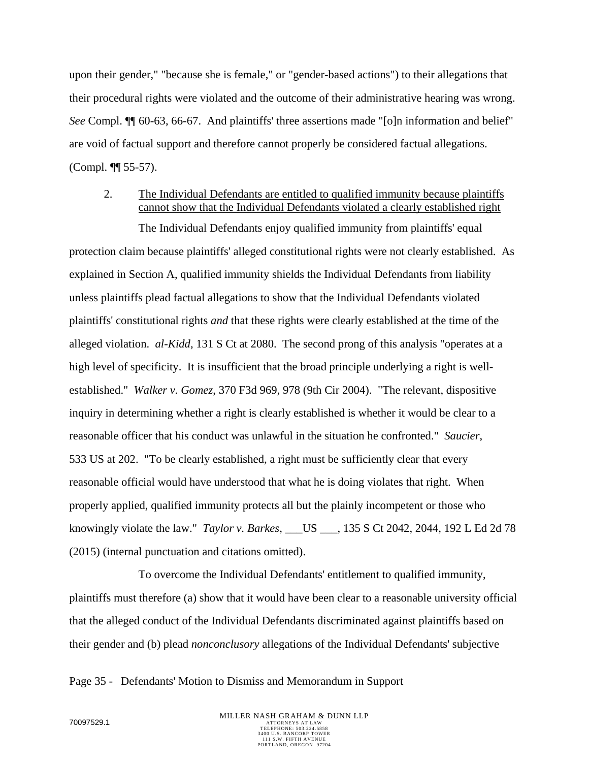upon their gender," "because she is female," or "gender-based actions") to their allegations that their procedural rights were violated and the outcome of their administrative hearing was wrong. *See* Compl. ¶¶ 60-63, 66-67. And plaintiffs' three assertions made "[o]n information and belief" are void of factual support and therefore cannot properly be considered factual allegations. (Compl. ¶¶ 55-57).

## 2. The Individual Defendants are entitled to qualified immunity because plaintiffs cannot show that the Individual Defendants violated a clearly established right

The Individual Defendants enjoy qualified immunity from plaintiffs' equal protection claim because plaintiffs' alleged constitutional rights were not clearly established. As explained in Section A, qualified immunity shields the Individual Defendants from liability unless plaintiffs plead factual allegations to show that the Individual Defendants violated plaintiffs' constitutional rights *and* that these rights were clearly established at the time of the alleged violation. *al-Kidd*, 131 S Ct at 2080. The second prong of this analysis "operates at a high level of specificity. It is insufficient that the broad principle underlying a right is wellestablished." *Walker v. Gomez*, 370 F3d 969, 978 (9th Cir 2004). "The relevant, dispositive inquiry in determining whether a right is clearly established is whether it would be clear to a reasonable officer that his conduct was unlawful in the situation he confronted." *Saucier*, 533 US at 202. "To be clearly established, a right must be sufficiently clear that every reasonable official would have understood that what he is doing violates that right. When properly applied, qualified immunity protects all but the plainly incompetent or those who knowingly violate the law." *Taylor v. Barkes*, \_\_\_US \_\_\_, 135 S Ct 2042, 2044, 192 L Ed 2d 78 (2015) (internal punctuation and citations omitted).

To overcome the Individual Defendants' entitlement to qualified immunity, plaintiffs must therefore (a) show that it would have been clear to a reasonable university official that the alleged conduct of the Individual Defendants discriminated against plaintiffs based on their gender and (b) plead *nonconclusory* allegations of the Individual Defendants' subjective

Page 35 - Defendants' Motion to Dismiss and Memorandum in Support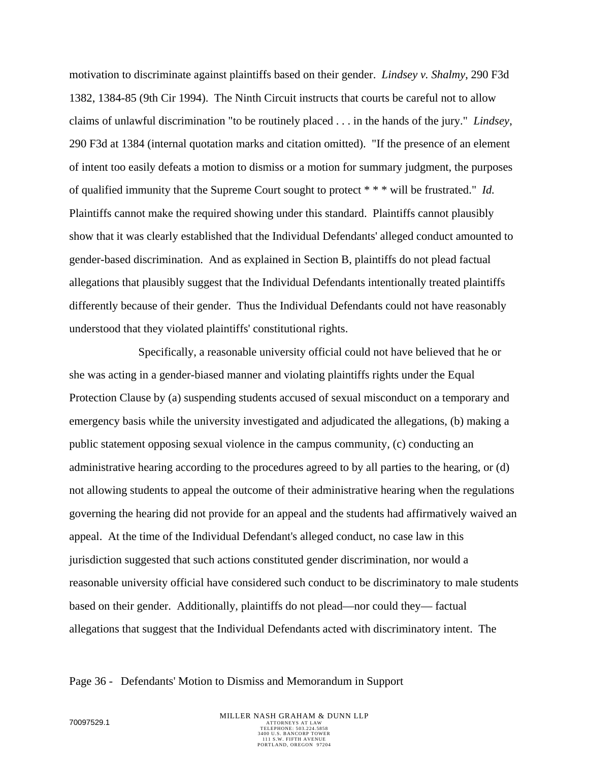motivation to discriminate against plaintiffs based on their gender. *Lindsey v. Shalmy*, 290 F3d 1382, 1384-85 (9th Cir 1994). The Ninth Circuit instructs that courts be careful not to allow claims of unlawful discrimination "to be routinely placed . . . in the hands of the jury." *Lindsey*, 290 F3d at 1384 (internal quotation marks and citation omitted). "If the presence of an element of intent too easily defeats a motion to dismiss or a motion for summary judgment, the purposes of qualified immunity that the Supreme Court sought to protect \* \* \* will be frustrated." *Id.* Plaintiffs cannot make the required showing under this standard. Plaintiffs cannot plausibly show that it was clearly established that the Individual Defendants' alleged conduct amounted to gender-based discrimination. And as explained in Section B, plaintiffs do not plead factual allegations that plausibly suggest that the Individual Defendants intentionally treated plaintiffs differently because of their gender. Thus the Individual Defendants could not have reasonably understood that they violated plaintiffs' constitutional rights.

Specifically, a reasonable university official could not have believed that he or she was acting in a gender-biased manner and violating plaintiffs rights under the Equal Protection Clause by (a) suspending students accused of sexual misconduct on a temporary and emergency basis while the university investigated and adjudicated the allegations, (b) making a public statement opposing sexual violence in the campus community, (c) conducting an administrative hearing according to the procedures agreed to by all parties to the hearing, or (d) not allowing students to appeal the outcome of their administrative hearing when the regulations governing the hearing did not provide for an appeal and the students had affirmatively waived an appeal. At the time of the Individual Defendant's alleged conduct, no case law in this jurisdiction suggested that such actions constituted gender discrimination, nor would a reasonable university official have considered such conduct to be discriminatory to male students based on their gender. Additionally, plaintiffs do not plead—nor could they— factual allegations that suggest that the Individual Defendants acted with discriminatory intent. The

#### Page 36 - Defendants' Motion to Dismiss and Memorandum in Support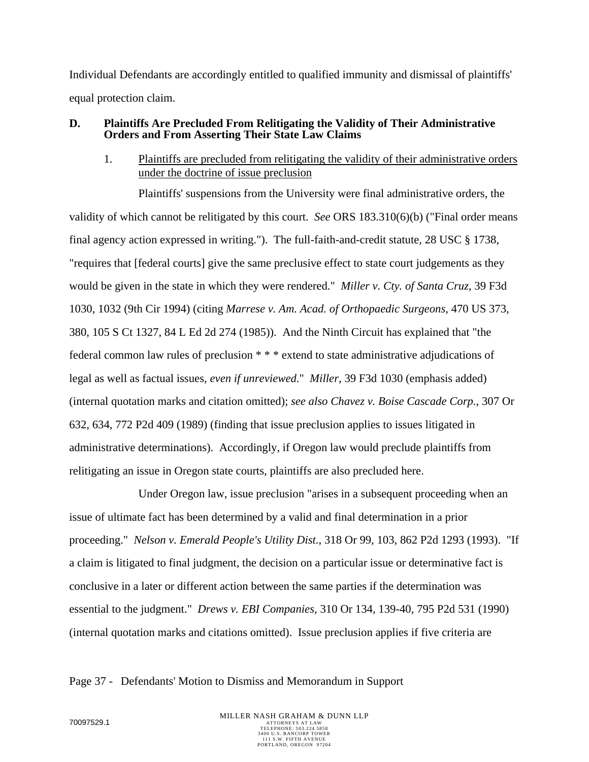Individual Defendants are accordingly entitled to qualified immunity and dismissal of plaintiffs' equal protection claim.

## **D. Plaintiffs Are Precluded From Relitigating the Validity of Their Administrative Orders and From Asserting Their State Law Claims**

## 1. Plaintiffs are precluded from relitigating the validity of their administrative orders under the doctrine of issue preclusion

Plaintiffs' suspensions from the University were final administrative orders, the validity of which cannot be relitigated by this court. *See* ORS 183.310(6)(b) ("Final order means final agency action expressed in writing."). The full-faith-and-credit statute, 28 USC § 1738, "requires that [federal courts] give the same preclusive effect to state court judgements as they would be given in the state in which they were rendered." *Miller v. Cty. of Santa Cruz*, 39 F3d 1030, 1032 (9th Cir 1994) (citing *Marrese v. Am. Acad. of Orthopaedic Surgeons*, 470 US 373, 380, 105 S Ct 1327, 84 L Ed 2d 274 (1985)). And the Ninth Circuit has explained that "the federal common law rules of preclusion \* \* \* extend to state administrative adjudications of legal as well as factual issues, *even if unreviewed*." *Miller*, 39 F3d 1030 (emphasis added) (internal quotation marks and citation omitted); *see also Chavez v. Boise Cascade Corp.*, 307 Or 632, 634, 772 P2d 409 (1989) (finding that issue preclusion applies to issues litigated in administrative determinations). Accordingly, if Oregon law would preclude plaintiffs from relitigating an issue in Oregon state courts, plaintiffs are also precluded here.

Under Oregon law, issue preclusion "arises in a subsequent proceeding when an issue of ultimate fact has been determined by a valid and final determination in a prior proceeding." *Nelson v. Emerald People's Utility Dist.*, 318 Or 99, 103, 862 P2d 1293 (1993). "If a claim is litigated to final judgment, the decision on a particular issue or determinative fact is conclusive in a later or different action between the same parties if the determination was essential to the judgment." *Drews v. EBI Companies*, 310 Or 134, 139-40, 795 P2d 531 (1990) (internal quotation marks and citations omitted). Issue preclusion applies if five criteria are

## Page 37 - Defendants' Motion to Dismiss and Memorandum in Support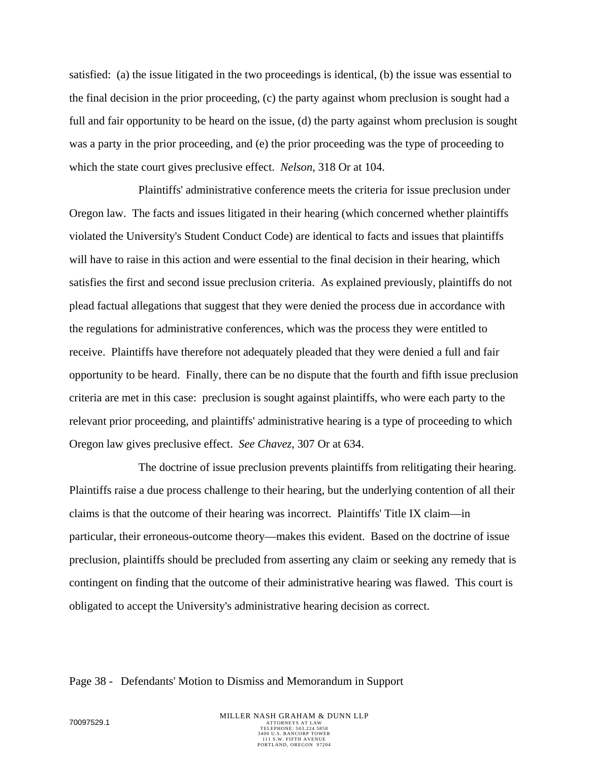satisfied: (a) the issue litigated in the two proceedings is identical, (b) the issue was essential to the final decision in the prior proceeding, (c) the party against whom preclusion is sought had a full and fair opportunity to be heard on the issue, (d) the party against whom preclusion is sought was a party in the prior proceeding, and (e) the prior proceeding was the type of proceeding to which the state court gives preclusive effect. *Nelson*, 318 Or at 104.

Plaintiffs' administrative conference meets the criteria for issue preclusion under Oregon law. The facts and issues litigated in their hearing (which concerned whether plaintiffs violated the University's Student Conduct Code) are identical to facts and issues that plaintiffs will have to raise in this action and were essential to the final decision in their hearing, which satisfies the first and second issue preclusion criteria. As explained previously, plaintiffs do not plead factual allegations that suggest that they were denied the process due in accordance with the regulations for administrative conferences, which was the process they were entitled to receive. Plaintiffs have therefore not adequately pleaded that they were denied a full and fair opportunity to be heard. Finally, there can be no dispute that the fourth and fifth issue preclusion criteria are met in this case: preclusion is sought against plaintiffs, who were each party to the relevant prior proceeding, and plaintiffs' administrative hearing is a type of proceeding to which Oregon law gives preclusive effect. *See Chavez*, 307 Or at 634.

The doctrine of issue preclusion prevents plaintiffs from relitigating their hearing. Plaintiffs raise a due process challenge to their hearing, but the underlying contention of all their claims is that the outcome of their hearing was incorrect. Plaintiffs' Title IX claim—in particular, their erroneous-outcome theory—makes this evident. Based on the doctrine of issue preclusion, plaintiffs should be precluded from asserting any claim or seeking any remedy that is contingent on finding that the outcome of their administrative hearing was flawed. This court is obligated to accept the University's administrative hearing decision as correct.

#### Page 38 - Defendants' Motion to Dismiss and Memorandum in Support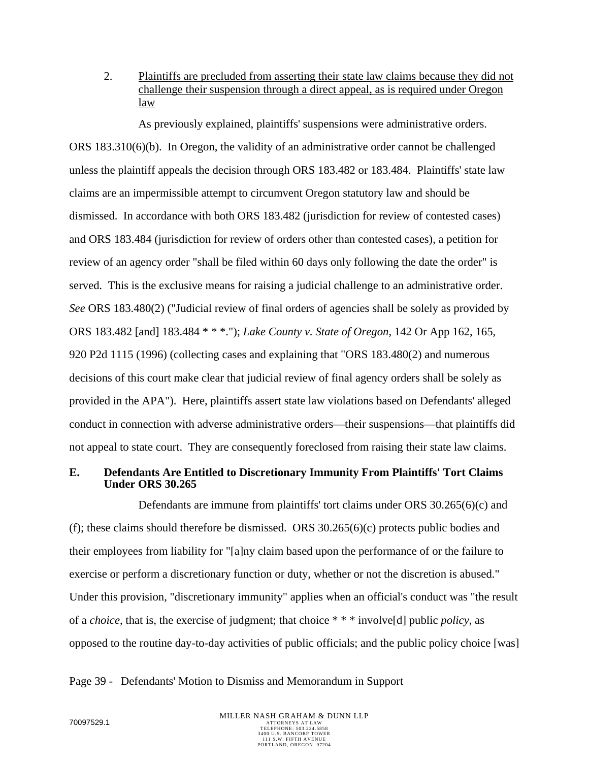2. Plaintiffs are precluded from asserting their state law claims because they did not challenge their suspension through a direct appeal, as is required under Oregon law

As previously explained, plaintiffs' suspensions were administrative orders. ORS 183.310(6)(b). In Oregon, the validity of an administrative order cannot be challenged unless the plaintiff appeals the decision through ORS 183.482 or 183.484. Plaintiffs' state law claims are an impermissible attempt to circumvent Oregon statutory law and should be dismissed. In accordance with both ORS 183.482 (jurisdiction for review of contested cases) and ORS 183.484 (jurisdiction for review of orders other than contested cases), a petition for review of an agency order "shall be filed within 60 days only following the date the order" is served. This is the exclusive means for raising a judicial challenge to an administrative order. *See* ORS 183.480(2) ("Judicial review of final orders of agencies shall be solely as provided by ORS 183.482 [and] 183.484 \* \* \*."); *Lake County v. State of Oregon*, 142 Or App 162, 165, 920 P2d 1115 (1996) (collecting cases and explaining that "ORS 183.480(2) and numerous decisions of this court make clear that judicial review of final agency orders shall be solely as provided in the APA"). Here, plaintiffs assert state law violations based on Defendants' alleged conduct in connection with adverse administrative orders—their suspensions—that plaintiffs did not appeal to state court. They are consequently foreclosed from raising their state law claims.

### **E. Defendants Are Entitled to Discretionary Immunity From Plaintiffs' Tort Claims Under ORS 30.265**

Defendants are immune from plaintiffs' tort claims under ORS 30.265(6)(c) and (f); these claims should therefore be dismissed. ORS 30.265(6)(c) protects public bodies and their employees from liability for "[a]ny claim based upon the performance of or the failure to exercise or perform a discretionary function or duty, whether or not the discretion is abused." Under this provision, "discretionary immunity" applies when an official's conduct was "the result of a *choice*, that is, the exercise of judgment; that choice \* \* \* involve[d] public *policy*, as opposed to the routine day-to-day activities of public officials; and the public policy choice [was]

Page 39 - Defendants' Motion to Dismiss and Memorandum in Support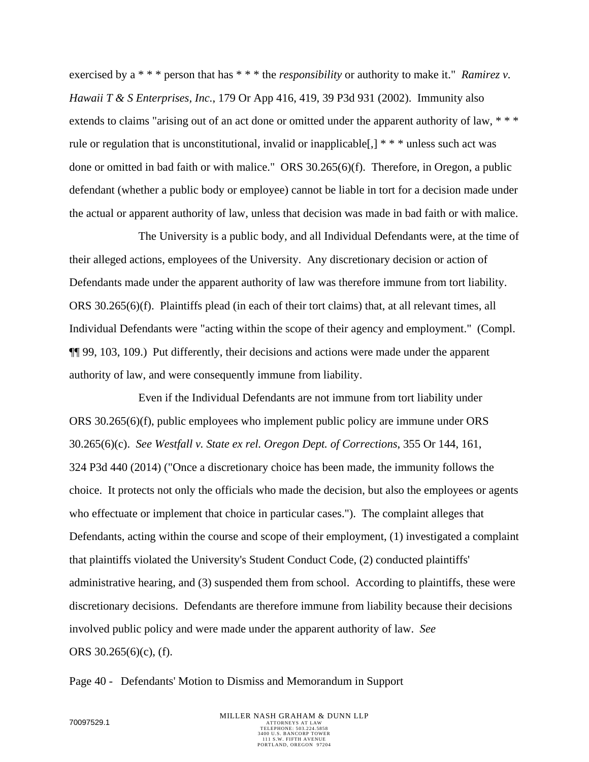exercised by a \* \* \* person that has \* \* \* the *responsibility* or authority to make it." *Ramirez v. Hawaii T & S Enterprises, Inc.*, 179 Or App 416, 419, 39 P3d 931 (2002). Immunity also extends to claims "arising out of an act done or omitted under the apparent authority of law, \* \* \* rule or regulation that is unconstitutional, invalid or inapplicable  $[$ ,  $]$  \* \* \* unless such act was done or omitted in bad faith or with malice." ORS 30.265(6)(f). Therefore, in Oregon, a public defendant (whether a public body or employee) cannot be liable in tort for a decision made under the actual or apparent authority of law, unless that decision was made in bad faith or with malice.

The University is a public body, and all Individual Defendants were, at the time of their alleged actions, employees of the University. Any discretionary decision or action of Defendants made under the apparent authority of law was therefore immune from tort liability. ORS 30.265(6)(f). Plaintiffs plead (in each of their tort claims) that, at all relevant times, all Individual Defendants were "acting within the scope of their agency and employment." (Compl. ¶¶ 99, 103, 109.) Put differently, their decisions and actions were made under the apparent authority of law, and were consequently immune from liability.

Even if the Individual Defendants are not immune from tort liability under ORS 30.265(6)(f), public employees who implement public policy are immune under ORS 30.265(6)(c). *See Westfall v. State ex rel. Oregon Dept. of Corrections*, 355 Or 144, 161, 324 P3d 440 (2014) ("Once a discretionary choice has been made, the immunity follows the choice. It protects not only the officials who made the decision, but also the employees or agents who effectuate or implement that choice in particular cases."). The complaint alleges that Defendants, acting within the course and scope of their employment, (1) investigated a complaint that plaintiffs violated the University's Student Conduct Code, (2) conducted plaintiffs' administrative hearing, and (3) suspended them from school. According to plaintiffs, these were discretionary decisions. Defendants are therefore immune from liability because their decisions involved public policy and were made under the apparent authority of law. *See* ORS 30.265(6)(c), (f).

Page 40 - Defendants' Motion to Dismiss and Memorandum in Support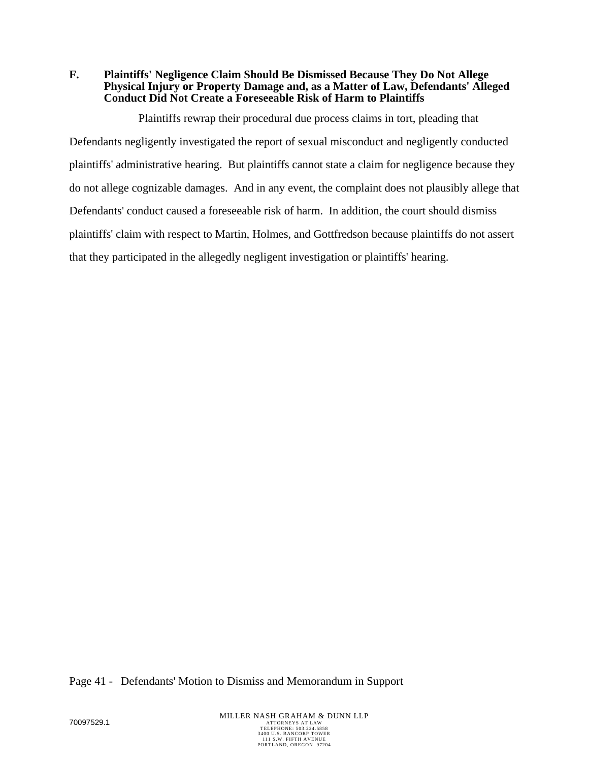**F. Plaintiffs' Negligence Claim Should Be Dismissed Because They Do Not Allege Physical Injury or Property Damage and, as a Matter of Law, Defendants' Alleged Conduct Did Not Create a Foreseeable Risk of Harm to Plaintiffs** 

Plaintiffs rewrap their procedural due process claims in tort, pleading that Defendants negligently investigated the report of sexual misconduct and negligently conducted plaintiffs' administrative hearing. But plaintiffs cannot state a claim for negligence because they do not allege cognizable damages. And in any event, the complaint does not plausibly allege that Defendants' conduct caused a foreseeable risk of harm. In addition, the court should dismiss plaintiffs' claim with respect to Martin, Holmes, and Gottfredson because plaintiffs do not assert that they participated in the allegedly negligent investigation or plaintiffs' hearing.

Page 41 - Defendants' Motion to Dismiss and Memorandum in Support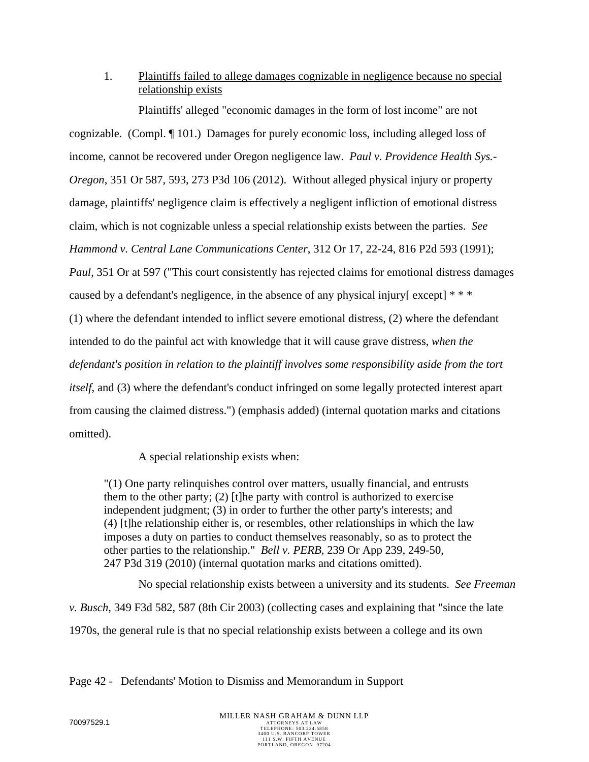1. Plaintiffs failed to allege damages cognizable in negligence because no special relationship exists

Plaintiffs' alleged "economic damages in the form of lost income" are not cognizable. (Compl. ¶ 101.) Damages for purely economic loss, including alleged loss of income, cannot be recovered under Oregon negligence law. *Paul v. Providence Health Sys.- Oregon*, 351 Or 587, 593, 273 P3d 106 (2012). Without alleged physical injury or property damage, plaintiffs' negligence claim is effectively a negligent infliction of emotional distress claim, which is not cognizable unless a special relationship exists between the parties. *See Hammond v. Central Lane Communications Center*, 312 Or 17, 22-24, 816 P2d 593 (1991); *Paul*, 351 Or at 597 ("This court consistently has rejected claims for emotional distress damages caused by a defendant's negligence, in the absence of any physical injury[ except] \* \* \* (1) where the defendant intended to inflict severe emotional distress, (2) where the defendant intended to do the painful act with knowledge that it will cause grave distress, *when the defendant's position in relation to the plaintiff involves some responsibility aside from the tort itself*, and (3) where the defendant's conduct infringed on some legally protected interest apart from causing the claimed distress.") (emphasis added) (internal quotation marks and citations omitted).

A special relationship exists when:

"(1) One party relinquishes control over matters, usually financial, and entrusts them to the other party; (2) [t]he party with control is authorized to exercise independent judgment; (3) in order to further the other party's interests; and (4) [t]he relationship either is, or resembles, other relationships in which the law imposes a duty on parties to conduct themselves reasonably, so as to protect the other parties to the relationship." *Bell v. PERB*, 239 Or App 239, 249-50, 247 P3d 319 (2010) (internal quotation marks and citations omitted).

No special relationship exists between a university and its students. *See Freeman v. Busch*, 349 F3d 582, 587 (8th Cir 2003) (collecting cases and explaining that "since the late 1970s, the general rule is that no special relationship exists between a college and its own

Page 42 - Defendants' Motion to Dismiss and Memorandum in Support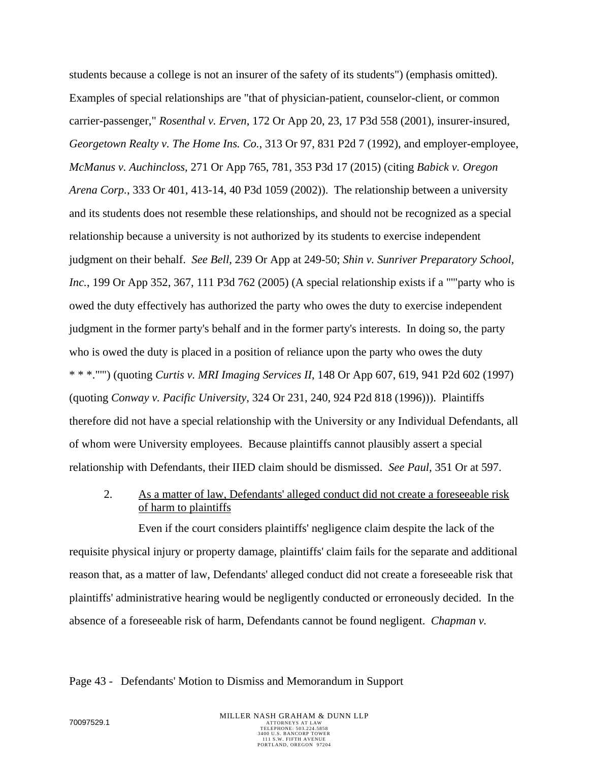students because a college is not an insurer of the safety of its students") (emphasis omitted). Examples of special relationships are "that of physician-patient, counselor-client, or common carrier-passenger," *Rosenthal v. Erven*, 172 Or App 20, 23, 17 P3d 558 (2001), insurer-insured, *Georgetown Realty v. The Home Ins. Co.*, 313 Or 97, 831 P2d 7 (1992), and employer-employee, *McManus v. Auchincloss*, 271 Or App 765, 781, 353 P3d 17 (2015) (citing *Babick v. Oregon Arena Corp.*, 333 Or 401, 413-14, 40 P3d 1059 (2002)). The relationship between a university and its students does not resemble these relationships, and should not be recognized as a special relationship because a university is not authorized by its students to exercise independent judgment on their behalf. *See Bell*, 239 Or App at 249-50; *Shin v. Sunriver Preparatory School, Inc.*, 199 Or App 352, 367, 111 P3d 762 (2005) (A special relationship exists if a "'"party who is owed the duty effectively has authorized the party who owes the duty to exercise independent judgment in the former party's behalf and in the former party's interests. In doing so, the party who is owed the duty is placed in a position of reliance upon the party who owes the duty \* \* \*."'") (quoting *Curtis v. MRI Imaging Services II*, 148 Or App 607, 619, 941 P2d 602 (1997) (quoting *Conway v. Pacific University*, 324 Or 231, 240, 924 P2d 818 (1996))). Plaintiffs therefore did not have a special relationship with the University or any Individual Defendants, all of whom were University employees. Because plaintiffs cannot plausibly assert a special relationship with Defendants, their IIED claim should be dismissed. *See Paul*, 351 Or at 597.

# 2. As a matter of law, Defendants' alleged conduct did not create a foreseeable risk of harm to plaintiffs

Even if the court considers plaintiffs' negligence claim despite the lack of the requisite physical injury or property damage, plaintiffs' claim fails for the separate and additional reason that, as a matter of law, Defendants' alleged conduct did not create a foreseeable risk that plaintiffs' administrative hearing would be negligently conducted or erroneously decided. In the absence of a foreseeable risk of harm, Defendants cannot be found negligent. *Chapman v.* 

#### Page 43 - Defendants' Motion to Dismiss and Memorandum in Support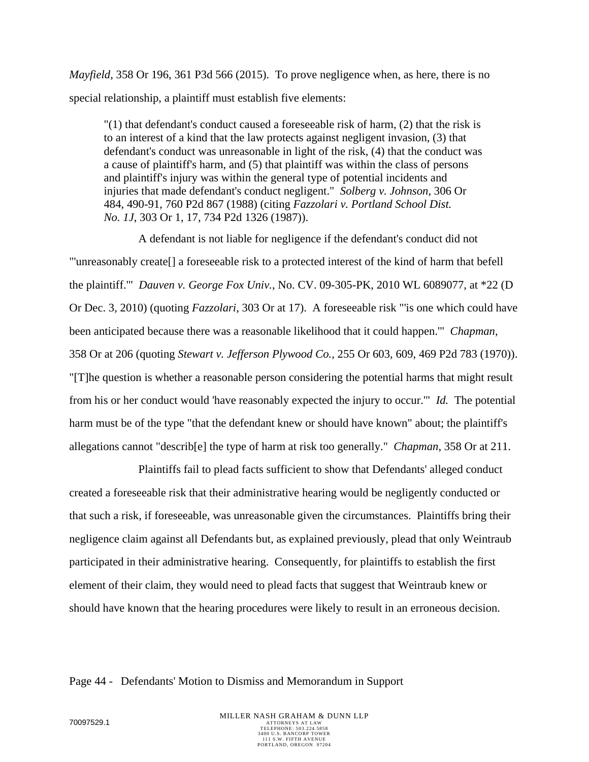*Mayfield*, 358 Or 196, 361 P3d 566 (2015). To prove negligence when, as here, there is no special relationship, a plaintiff must establish five elements:

"(1) that defendant's conduct caused a foreseeable risk of harm, (2) that the risk is to an interest of a kind that the law protects against negligent invasion, (3) that defendant's conduct was unreasonable in light of the risk, (4) that the conduct was a cause of plaintiff's harm, and (5) that plaintiff was within the class of persons and plaintiff's injury was within the general type of potential incidents and injuries that made defendant's conduct negligent." *Solberg v. Johnson*, 306 Or 484, 490-91, 760 P2d 867 (1988) (citing *Fazzolari v. Portland School Dist. No. 1J*, 303 Or 1, 17, 734 P2d 1326 (1987)).

A defendant is not liable for negligence if the defendant's conduct did not "'unreasonably create[] a foreseeable risk to a protected interest of the kind of harm that befell the plaintiff.'" *Dauven v. George Fox Univ.*, No. CV. 09-305-PK, 2010 WL 6089077, at \*22 (D Or Dec. 3, 2010) (quoting *Fazzolari*, 303 Or at 17). A foreseeable risk "'is one which could have been anticipated because there was a reasonable likelihood that it could happen.'" *Chapman*, 358 Or at 206 (quoting *Stewart v. Jefferson Plywood Co.*, 255 Or 603, 609, 469 P2d 783 (1970)). "[T]he question is whether a reasonable person considering the potential harms that might result from his or her conduct would 'have reasonably expected the injury to occur.'" *Id.* The potential harm must be of the type "that the defendant knew or should have known" about; the plaintiff's allegations cannot "describ[e] the type of harm at risk too generally." *Chapman*, 358 Or at 211.

Plaintiffs fail to plead facts sufficient to show that Defendants' alleged conduct created a foreseeable risk that their administrative hearing would be negligently conducted or that such a risk, if foreseeable, was unreasonable given the circumstances. Plaintiffs bring their negligence claim against all Defendants but, as explained previously, plead that only Weintraub participated in their administrative hearing. Consequently, for plaintiffs to establish the first element of their claim, they would need to plead facts that suggest that Weintraub knew or should have known that the hearing procedures were likely to result in an erroneous decision.

#### Page 44 - Defendants' Motion to Dismiss and Memorandum in Support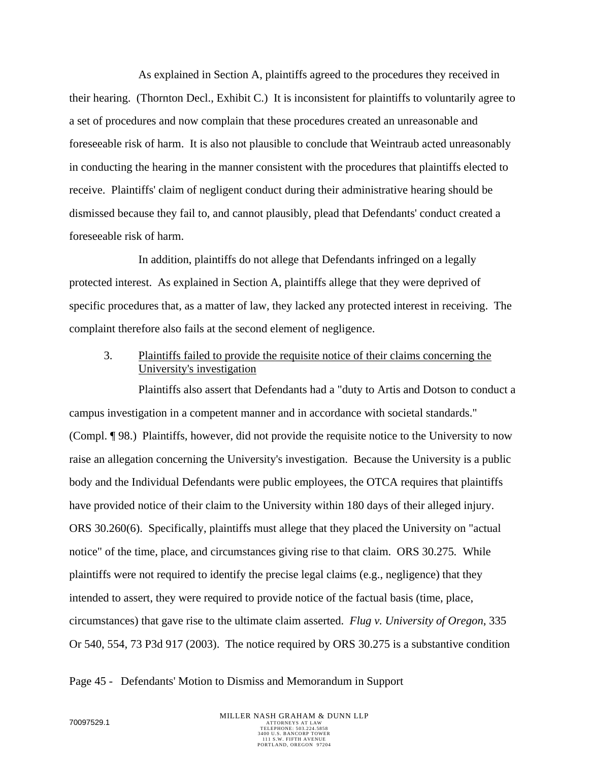As explained in Section A, plaintiffs agreed to the procedures they received in their hearing. (Thornton Decl., Exhibit C.) It is inconsistent for plaintiffs to voluntarily agree to a set of procedures and now complain that these procedures created an unreasonable and foreseeable risk of harm. It is also not plausible to conclude that Weintraub acted unreasonably in conducting the hearing in the manner consistent with the procedures that plaintiffs elected to receive. Plaintiffs' claim of negligent conduct during their administrative hearing should be dismissed because they fail to, and cannot plausibly, plead that Defendants' conduct created a foreseeable risk of harm.

In addition, plaintiffs do not allege that Defendants infringed on a legally protected interest. As explained in Section A, plaintiffs allege that they were deprived of specific procedures that, as a matter of law, they lacked any protected interest in receiving. The complaint therefore also fails at the second element of negligence.

3. Plaintiffs failed to provide the requisite notice of their claims concerning the University's investigation

Plaintiffs also assert that Defendants had a "duty to Artis and Dotson to conduct a campus investigation in a competent manner and in accordance with societal standards." (Compl. ¶ 98.) Plaintiffs, however, did not provide the requisite notice to the University to now raise an allegation concerning the University's investigation. Because the University is a public body and the Individual Defendants were public employees, the OTCA requires that plaintiffs have provided notice of their claim to the University within 180 days of their alleged injury. ORS 30.260(6). Specifically, plaintiffs must allege that they placed the University on "actual notice" of the time, place, and circumstances giving rise to that claim. ORS 30.275*.* While plaintiffs were not required to identify the precise legal claims (e.g., negligence) that they intended to assert, they were required to provide notice of the factual basis (time, place, circumstances) that gave rise to the ultimate claim asserted. *Flug v. University of Oregon*, 335 Or 540, 554, 73 P3d 917 (2003). The notice required by ORS 30.275 is a substantive condition

Page 45 - Defendants' Motion to Dismiss and Memorandum in Support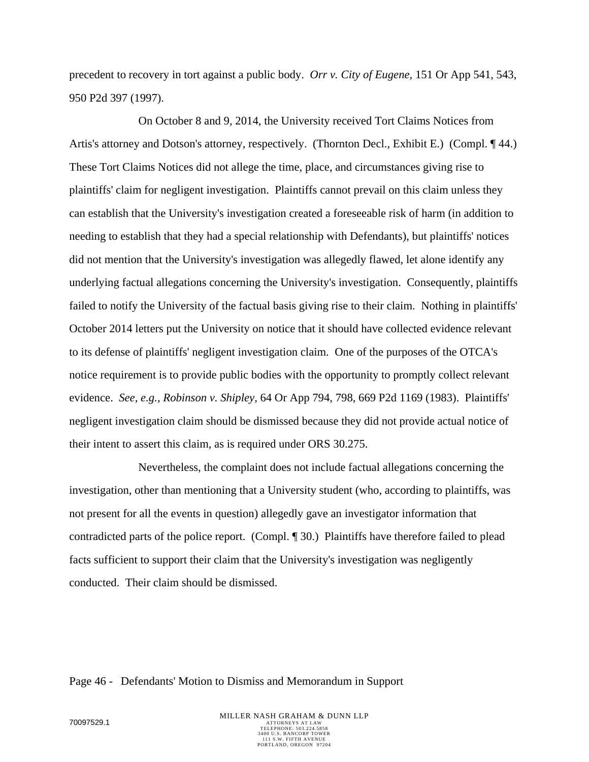precedent to recovery in tort against a public body. *Orr v. City of Eugene*, 151 Or App 541, 543, 950 P2d 397 (1997).

On October 8 and 9, 2014, the University received Tort Claims Notices from Artis's attorney and Dotson's attorney, respectively. (Thornton Decl., Exhibit E.) (Compl. ¶ 44.) These Tort Claims Notices did not allege the time, place, and circumstances giving rise to plaintiffs' claim for negligent investigation. Plaintiffs cannot prevail on this claim unless they can establish that the University's investigation created a foreseeable risk of harm (in addition to needing to establish that they had a special relationship with Defendants), but plaintiffs' notices did not mention that the University's investigation was allegedly flawed, let alone identify any underlying factual allegations concerning the University's investigation. Consequently, plaintiffs failed to notify the University of the factual basis giving rise to their claim. Nothing in plaintiffs' October 2014 letters put the University on notice that it should have collected evidence relevant to its defense of plaintiffs' negligent investigation claim. One of the purposes of the OTCA's notice requirement is to provide public bodies with the opportunity to promptly collect relevant evidence. *See, e.g.*, *Robinson v. Shipley*, 64 Or App 794, 798, 669 P2d 1169 (1983). Plaintiffs' negligent investigation claim should be dismissed because they did not provide actual notice of their intent to assert this claim, as is required under ORS 30.275.

Nevertheless, the complaint does not include factual allegations concerning the investigation, other than mentioning that a University student (who, according to plaintiffs, was not present for all the events in question) allegedly gave an investigator information that contradicted parts of the police report. (Compl. ¶ 30.) Plaintiffs have therefore failed to plead facts sufficient to support their claim that the University's investigation was negligently conducted. Their claim should be dismissed.

Page 46 - Defendants' Motion to Dismiss and Memorandum in Support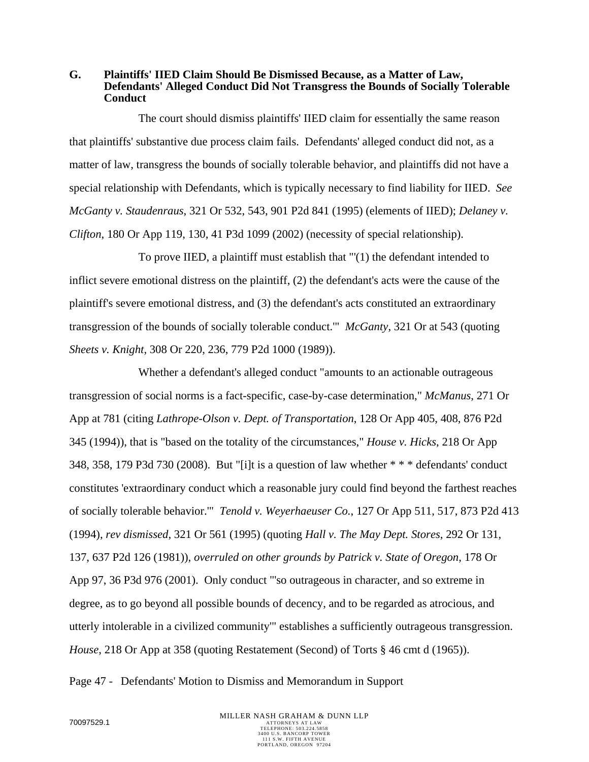**G. Plaintiffs' IIED Claim Should Be Dismissed Because, as a Matter of Law, Defendants' Alleged Conduct Did Not Transgress the Bounds of Socially Tolerable Conduct** 

The court should dismiss plaintiffs' IIED claim for essentially the same reason that plaintiffs' substantive due process claim fails. Defendants' alleged conduct did not, as a matter of law, transgress the bounds of socially tolerable behavior, and plaintiffs did not have a special relationship with Defendants, which is typically necessary to find liability for IIED. *See McGanty v. Staudenraus*, 321 Or 532, 543, 901 P2d 841 (1995) (elements of IIED); *Delaney v. Clifton*, 180 Or App 119, 130, 41 P3d 1099 (2002) (necessity of special relationship).

To prove IIED, a plaintiff must establish that "'(1) the defendant intended to inflict severe emotional distress on the plaintiff, (2) the defendant's acts were the cause of the plaintiff's severe emotional distress, and (3) the defendant's acts constituted an extraordinary transgression of the bounds of socially tolerable conduct.'" *McGanty*, 321 Or at 543 (quoting *Sheets v. Knight*, 308 Or 220, 236, 779 P2d 1000 (1989)).

Whether a defendant's alleged conduct "amounts to an actionable outrageous transgression of social norms is a fact-specific, case-by-case determination," *McManus*, 271 Or App at 781 (citing *Lathrope-Olson v. Dept. of Transportation*, 128 Or App 405, 408, 876 P2d 345 (1994)), that is "based on the totality of the circumstances," *House v. Hicks*, 218 Or App 348, 358, 179 P3d 730 (2008). But "[i]t is a question of law whether \* \* \* defendants' conduct constitutes 'extraordinary conduct which a reasonable jury could find beyond the farthest reaches of socially tolerable behavior.'" *Tenold v. Weyerhaeuser Co.*, 127 Or App 511, 517, 873 P2d 413 (1994), *rev dismissed*, 321 Or 561 (1995) (quoting *Hall v. The May Dept. Stores*, 292 Or 131, 137, 637 P2d 126 (1981)), *overruled on other grounds by Patrick v. State of Oregon*, 178 Or App 97, 36 P3d 976 (2001). Only conduct "'so outrageous in character, and so extreme in degree, as to go beyond all possible bounds of decency, and to be regarded as atrocious, and utterly intolerable in a civilized community'" establishes a sufficiently outrageous transgression. *House*, 218 Or App at 358 (quoting Restatement (Second) of Torts § 46 cmt d (1965)).

Page 47 - Defendants' Motion to Dismiss and Memorandum in Support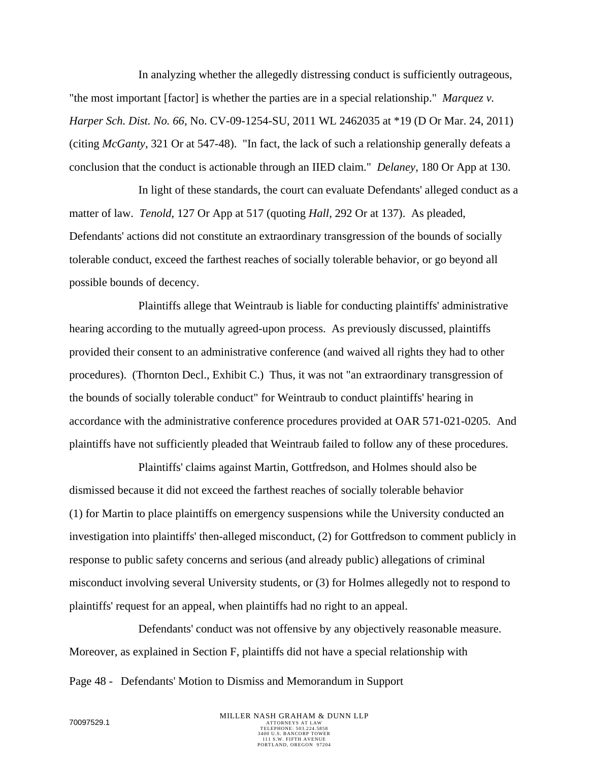In analyzing whether the allegedly distressing conduct is sufficiently outrageous, "the most important [factor] is whether the parties are in a special relationship." *Marquez v. Harper Sch. Dist. No. 66*, No. CV-09-1254-SU, 2011 WL 2462035 at \*19 (D Or Mar. 24, 2011) (citing *McGanty*, 321 Or at 547-48). "In fact, the lack of such a relationship generally defeats a conclusion that the conduct is actionable through an IIED claim." *Delaney*, 180 Or App at 130.

In light of these standards, the court can evaluate Defendants' alleged conduct as a matter of law. *Tenold*, 127 Or App at 517 (quoting *Hall*, 292 Or at 137). As pleaded, Defendants' actions did not constitute an extraordinary transgression of the bounds of socially tolerable conduct, exceed the farthest reaches of socially tolerable behavior, or go beyond all possible bounds of decency.

Plaintiffs allege that Weintraub is liable for conducting plaintiffs' administrative hearing according to the mutually agreed-upon process. As previously discussed, plaintiffs provided their consent to an administrative conference (and waived all rights they had to other procedures). (Thornton Decl., Exhibit C.) Thus, it was not "an extraordinary transgression of the bounds of socially tolerable conduct" for Weintraub to conduct plaintiffs' hearing in accordance with the administrative conference procedures provided at OAR 571-021-0205. And plaintiffs have not sufficiently pleaded that Weintraub failed to follow any of these procedures.

Plaintiffs' claims against Martin, Gottfredson, and Holmes should also be dismissed because it did not exceed the farthest reaches of socially tolerable behavior (1) for Martin to place plaintiffs on emergency suspensions while the University conducted an investigation into plaintiffs' then-alleged misconduct, (2) for Gottfredson to comment publicly in response to public safety concerns and serious (and already public) allegations of criminal misconduct involving several University students, or (3) for Holmes allegedly not to respond to plaintiffs' request for an appeal, when plaintiffs had no right to an appeal.

Defendants' conduct was not offensive by any objectively reasonable measure. Moreover, as explained in Section F, plaintiffs did not have a special relationship with

Page 48 - Defendants' Motion to Dismiss and Memorandum in Support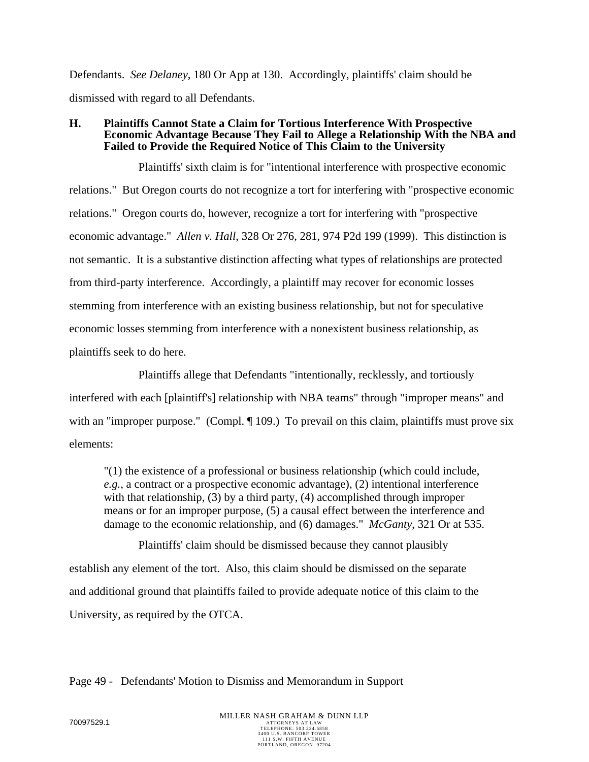Defendants. *See Delaney*, 180 Or App at 130. Accordingly, plaintiffs' claim should be dismissed with regard to all Defendants.

#### **H. Plaintiffs Cannot State a Claim for Tortious Interference With Prospective Economic Advantage Because They Fail to Allege a Relationship With the NBA and Failed to Provide the Required Notice of This Claim to the University**

Plaintiffs' sixth claim is for "intentional interference with prospective economic relations." But Oregon courts do not recognize a tort for interfering with "prospective economic relations." Oregon courts do, however, recognize a tort for interfering with "prospective economic advantage." *Allen v. Hall*, 328 Or 276, 281, 974 P2d 199 (1999). This distinction is not semantic. It is a substantive distinction affecting what types of relationships are protected from third-party interference. Accordingly, a plaintiff may recover for economic losses stemming from interference with an existing business relationship, but not for speculative economic losses stemming from interference with a nonexistent business relationship, as plaintiffs seek to do here.

Plaintiffs allege that Defendants "intentionally, recklessly, and tortiously interfered with each [plaintiff's] relationship with NBA teams" through "improper means" and with an "improper purpose." (Compl. ¶ 109.) To prevail on this claim, plaintiffs must prove six elements:

"(1) the existence of a professional or business relationship (which could include, *e.g.*, a contract or a prospective economic advantage), (2) intentional interference with that relationship, (3) by a third party, (4) accomplished through improper means or for an improper purpose, (5) a causal effect between the interference and damage to the economic relationship, and (6) damages." *McGanty*, 321 Or at 535.

Plaintiffs' claim should be dismissed because they cannot plausibly establish any element of the tort. Also, this claim should be dismissed on the separate and additional ground that plaintiffs failed to provide adequate notice of this claim to the University, as required by the OTCA.

Page 49 - Defendants' Motion to Dismiss and Memorandum in Support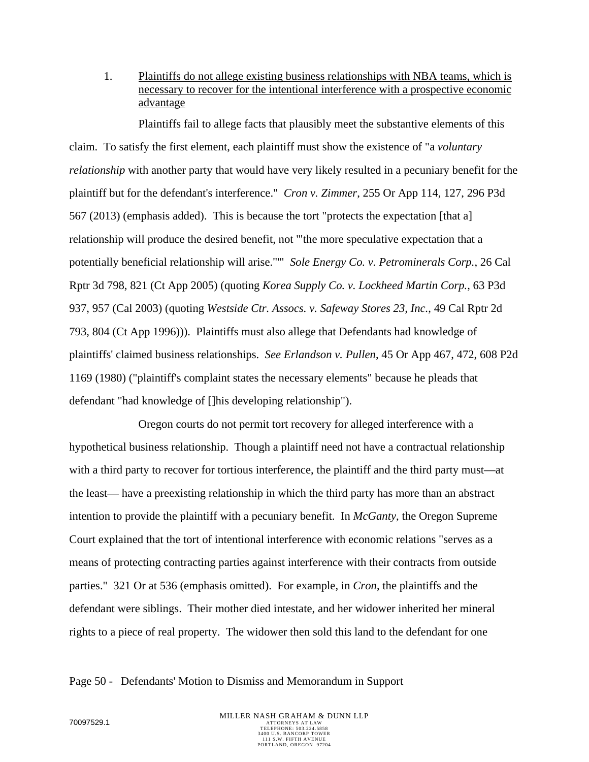1. Plaintiffs do not allege existing business relationships with NBA teams, which is necessary to recover for the intentional interference with a prospective economic advantage

Plaintiffs fail to allege facts that plausibly meet the substantive elements of this claim. To satisfy the first element, each plaintiff must show the existence of "a *voluntary relationship* with another party that would have very likely resulted in a pecuniary benefit for the plaintiff but for the defendant's interference." *Cron v. Zimmer*, 255 Or App 114, 127, 296 P3d 567 (2013) (emphasis added). This is because the tort "protects the expectation [that a] relationship will produce the desired benefit, not '"the more speculative expectation that a potentially beneficial relationship will arise."'" *Sole Energy Co. v. Petrominerals Corp.*, 26 Cal Rptr 3d 798, 821 (Ct App 2005) (quoting *Korea Supply Co. v. Lockheed Martin Corp.*, 63 P3d 937, 957 (Cal 2003) (quoting *Westside Ctr. Assocs. v. Safeway Stores 23, Inc.*, 49 Cal Rptr 2d 793, 804 (Ct App 1996))). Plaintiffs must also allege that Defendants had knowledge of plaintiffs' claimed business relationships. *See Erlandson v. Pullen*, 45 Or App 467, 472, 608 P2d 1169 (1980) ("plaintiff's complaint states the necessary elements" because he pleads that defendant "had knowledge of []his developing relationship").

Oregon courts do not permit tort recovery for alleged interference with a hypothetical business relationship. Though a plaintiff need not have a contractual relationship with a third party to recover for tortious interference, the plaintiff and the third party must—at the least— have a preexisting relationship in which the third party has more than an abstract intention to provide the plaintiff with a pecuniary benefit. In *McGanty*, the Oregon Supreme Court explained that the tort of intentional interference with economic relations "serves as a means of protecting contracting parties against interference with their contracts from outside parties." 321 Or at 536 (emphasis omitted). For example, in *Cron*, the plaintiffs and the defendant were siblings. Their mother died intestate, and her widower inherited her mineral rights to a piece of real property. The widower then sold this land to the defendant for one

#### Page 50 - Defendants' Motion to Dismiss and Memorandum in Support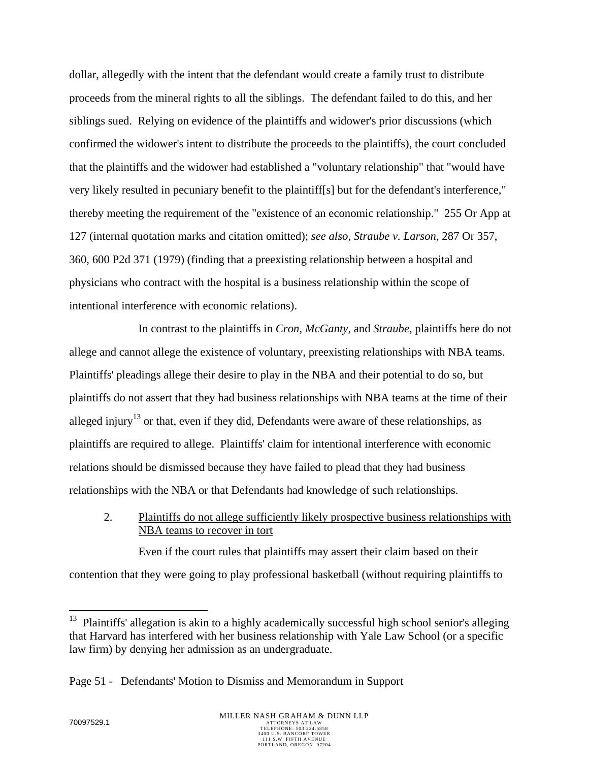dollar, allegedly with the intent that the defendant would create a family trust to distribute proceeds from the mineral rights to all the siblings. The defendant failed to do this, and her siblings sued. Relying on evidence of the plaintiffs and widower's prior discussions (which confirmed the widower's intent to distribute the proceeds to the plaintiffs), the court concluded that the plaintiffs and the widower had established a "voluntary relationship" that "would have very likely resulted in pecuniary benefit to the plaintiff[s] but for the defendant's interference," thereby meeting the requirement of the "existence of an economic relationship." 255 Or App at 127 (internal quotation marks and citation omitted); *see also, Straube v. Larson*, 287 Or 357, 360, 600 P2d 371 (1979) (finding that a preexisting relationship between a hospital and physicians who contract with the hospital is a business relationship within the scope of intentional interference with economic relations).

In contrast to the plaintiffs in *Cron*, *McGanty*, and *Straube*, plaintiffs here do not allege and cannot allege the existence of voluntary, preexisting relationships with NBA teams. Plaintiffs' pleadings allege their desire to play in the NBA and their potential to do so, but plaintiffs do not assert that they had business relationships with NBA teams at the time of their alleged injury<sup>13</sup> or that, even if they did, Defendants were aware of these relationships, as plaintiffs are required to allege. Plaintiffs' claim for intentional interference with economic relations should be dismissed because they have failed to plead that they had business relationships with the NBA or that Defendants had knowledge of such relationships.

2. Plaintiffs do not allege sufficiently likely prospective business relationships with NBA teams to recover in tort

Even if the court rules that plaintiffs may assert their claim based on their contention that they were going to play professional basketball (without requiring plaintiffs to

 $\overline{a}$ 

 $13$  Plaintiffs' allegation is akin to a highly academically successful high school senior's alleging that Harvard has interfered with her business relationship with Yale Law School (or a specific law firm) by denying her admission as an undergraduate.

Page 51 - Defendants' Motion to Dismiss and Memorandum in Support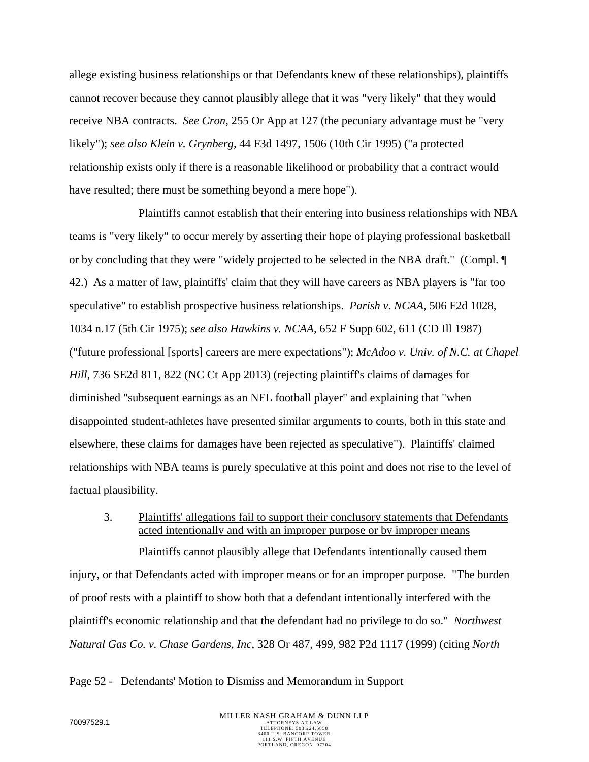allege existing business relationships or that Defendants knew of these relationships), plaintiffs cannot recover because they cannot plausibly allege that it was "very likely" that they would receive NBA contracts. *See Cron*, 255 Or App at 127 (the pecuniary advantage must be "very likely"); *see also Klein v. Grynberg*, 44 F3d 1497, 1506 (10th Cir 1995) ("a protected relationship exists only if there is a reasonable likelihood or probability that a contract would have resulted; there must be something beyond a mere hope").

Plaintiffs cannot establish that their entering into business relationships with NBA teams is "very likely" to occur merely by asserting their hope of playing professional basketball or by concluding that they were "widely projected to be selected in the NBA draft." (Compl. ¶ 42.) As a matter of law, plaintiffs' claim that they will have careers as NBA players is "far too speculative" to establish prospective business relationships. *Parish v. NCAA*, 506 F2d 1028, 1034 n.17 (5th Cir 1975); *see also Hawkins v. NCAA*, 652 F Supp 602, 611 (CD Ill 1987) ("future professional [sports] careers are mere expectations"); *McAdoo v. Univ. of N.C. at Chapel Hill*, 736 SE2d 811, 822 (NC Ct App 2013) (rejecting plaintiff's claims of damages for diminished "subsequent earnings as an NFL football player" and explaining that "when disappointed student-athletes have presented similar arguments to courts, both in this state and elsewhere, these claims for damages have been rejected as speculative"). Plaintiffs' claimed relationships with NBA teams is purely speculative at this point and does not rise to the level of factual plausibility.

3. Plaintiffs' allegations fail to support their conclusory statements that Defendants acted intentionally and with an improper purpose or by improper means

Plaintiffs cannot plausibly allege that Defendants intentionally caused them injury, or that Defendants acted with improper means or for an improper purpose. "The burden of proof rests with a plaintiff to show both that a defendant intentionally interfered with the plaintiff's economic relationship and that the defendant had no privilege to do so." *Northwest Natural Gas Co. v. Chase Gardens, Inc*, 328 Or 487, 499, 982 P2d 1117 (1999) (citing *North* 

Page 52 - Defendants' Motion to Dismiss and Memorandum in Support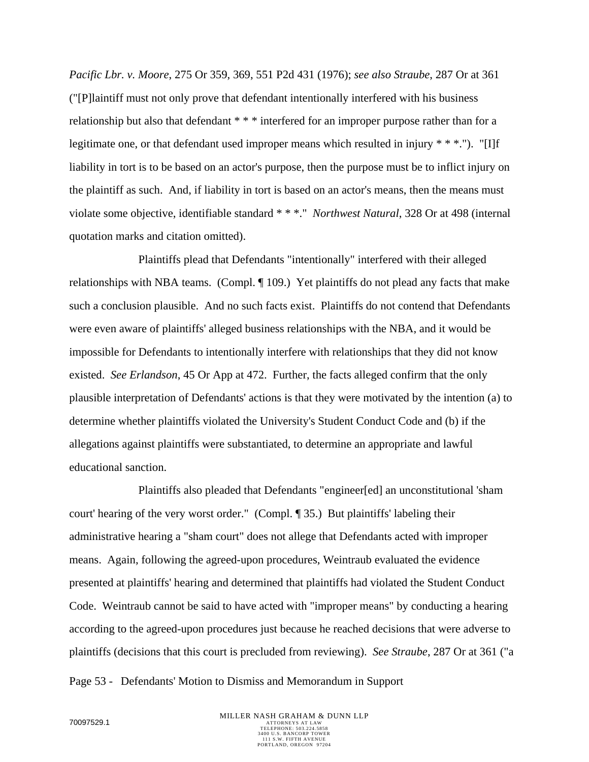*Pacific Lbr. v. Moore*, 275 Or 359, 369, 551 P2d 431 (1976); *see also Straube*, 287 Or at 361 ("[P]laintiff must not only prove that defendant intentionally interfered with his business relationship but also that defendant \* \* \* interfered for an improper purpose rather than for a legitimate one, or that defendant used improper means which resulted in injury \* \* \*."). "[I]f liability in tort is to be based on an actor's purpose, then the purpose must be to inflict injury on the plaintiff as such. And, if liability in tort is based on an actor's means, then the means must violate some objective, identifiable standard \* \* \*." *Northwest Natural*, 328 Or at 498 (internal quotation marks and citation omitted).

Plaintiffs plead that Defendants "intentionally" interfered with their alleged relationships with NBA teams. (Compl. ¶ 109.) Yet plaintiffs do not plead any facts that make such a conclusion plausible. And no such facts exist. Plaintiffs do not contend that Defendants were even aware of plaintiffs' alleged business relationships with the NBA, and it would be impossible for Defendants to intentionally interfere with relationships that they did not know existed. *See Erlandson*, 45 Or App at 472. Further, the facts alleged confirm that the only plausible interpretation of Defendants' actions is that they were motivated by the intention (a) to determine whether plaintiffs violated the University's Student Conduct Code and (b) if the allegations against plaintiffs were substantiated, to determine an appropriate and lawful educational sanction.

Plaintiffs also pleaded that Defendants "engineer[ed] an unconstitutional 'sham court' hearing of the very worst order." (Compl. ¶ 35.) But plaintiffs' labeling their administrative hearing a "sham court" does not allege that Defendants acted with improper means. Again, following the agreed-upon procedures, Weintraub evaluated the evidence presented at plaintiffs' hearing and determined that plaintiffs had violated the Student Conduct Code. Weintraub cannot be said to have acted with "improper means" by conducting a hearing according to the agreed-upon procedures just because he reached decisions that were adverse to plaintiffs (decisions that this court is precluded from reviewing). *See Straube*, 287 Or at 361 ("a

Page 53 - Defendants' Motion to Dismiss and Memorandum in Support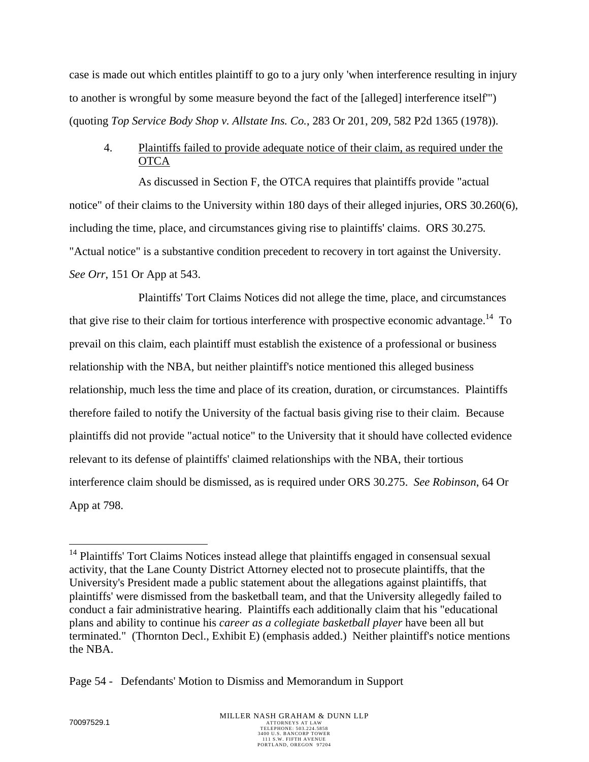case is made out which entitles plaintiff to go to a jury only 'when interference resulting in injury to another is wrongful by some measure beyond the fact of the [alleged] interference itself'") (quoting *Top Service Body Shop v. Allstate Ins. Co.*, 283 Or 201, 209, 582 P2d 1365 (1978)).

## 4. Plaintiffs failed to provide adequate notice of their claim, as required under the **OTCA**

As discussed in Section F, the OTCA requires that plaintiffs provide "actual notice" of their claims to the University within 180 days of their alleged injuries, ORS 30.260(6), including the time, place, and circumstances giving rise to plaintiffs' claims. ORS 30.275*.* "Actual notice" is a substantive condition precedent to recovery in tort against the University. *See Orr*, 151 Or App at 543.

Plaintiffs' Tort Claims Notices did not allege the time, place, and circumstances that give rise to their claim for tortious interference with prospective economic advantage.<sup>14</sup> To prevail on this claim, each plaintiff must establish the existence of a professional or business relationship with the NBA, but neither plaintiff's notice mentioned this alleged business relationship, much less the time and place of its creation, duration, or circumstances. Plaintiffs therefore failed to notify the University of the factual basis giving rise to their claim. Because plaintiffs did not provide "actual notice" to the University that it should have collected evidence relevant to its defense of plaintiffs' claimed relationships with the NBA, their tortious interference claim should be dismissed, as is required under ORS 30.275. *See Robinson*, 64 Or App at 798.

<u>.</u>

<sup>&</sup>lt;sup>14</sup> Plaintiffs' Tort Claims Notices instead allege that plaintiffs engaged in consensual sexual activity, that the Lane County District Attorney elected not to prosecute plaintiffs, that the University's President made a public statement about the allegations against plaintiffs, that plaintiffs' were dismissed from the basketball team, and that the University allegedly failed to conduct a fair administrative hearing. Plaintiffs each additionally claim that his "educational plans and ability to continue his *career as a collegiate basketball player* have been all but terminated." (Thornton Decl., Exhibit E) (emphasis added.) Neither plaintiff's notice mentions the NBA.

Page 54 - Defendants' Motion to Dismiss and Memorandum in Support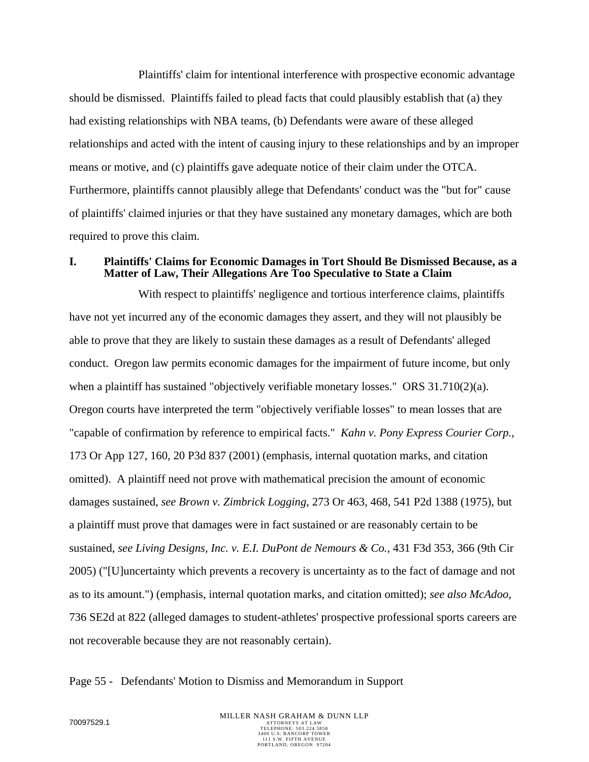Plaintiffs' claim for intentional interference with prospective economic advantage should be dismissed. Plaintiffs failed to plead facts that could plausibly establish that (a) they had existing relationships with NBA teams, (b) Defendants were aware of these alleged relationships and acted with the intent of causing injury to these relationships and by an improper means or motive, and (c) plaintiffs gave adequate notice of their claim under the OTCA. Furthermore, plaintiffs cannot plausibly allege that Defendants' conduct was the "but for" cause of plaintiffs' claimed injuries or that they have sustained any monetary damages, which are both required to prove this claim.

#### **I. Plaintiffs' Claims for Economic Damages in Tort Should Be Dismissed Because, as a Matter of Law, Their Allegations Are Too Speculative to State a Claim**

With respect to plaintiffs' negligence and tortious interference claims, plaintiffs have not yet incurred any of the economic damages they assert, and they will not plausibly be able to prove that they are likely to sustain these damages as a result of Defendants' alleged conduct. Oregon law permits economic damages for the impairment of future income, but only when a plaintiff has sustained "objectively verifiable monetary losses." ORS  $31.710(2)(a)$ . Oregon courts have interpreted the term "objectively verifiable losses" to mean losses that are "capable of confirmation by reference to empirical facts." *Kahn v. Pony Express Courier Corp.*, 173 Or App 127, 160, 20 P3d 837 (2001) (emphasis, internal quotation marks, and citation omitted). A plaintiff need not prove with mathematical precision the amount of economic damages sustained, *see Brown v. Zimbrick Logging*, 273 Or 463, 468, 541 P2d 1388 (1975), but a plaintiff must prove that damages were in fact sustained or are reasonably certain to be sustained, *see Living Designs, Inc. v. E.I. DuPont de Nemours & Co.*, 431 F3d 353, 366 (9th Cir 2005) ("[U]uncertainty which prevents a recovery is uncertainty as to the fact of damage and not as to its amount.") (emphasis, internal quotation marks, and citation omitted); *see also McAdoo*, 736 SE2d at 822 (alleged damages to student-athletes' prospective professional sports careers are not recoverable because they are not reasonably certain).

#### Page 55 - Defendants' Motion to Dismiss and Memorandum in Support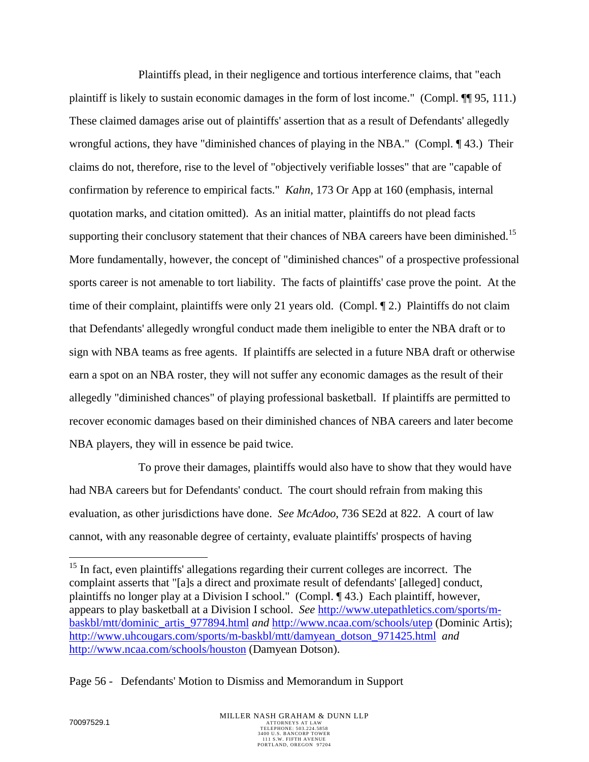Plaintiffs plead, in their negligence and tortious interference claims, that "each plaintiff is likely to sustain economic damages in the form of lost income." (Compl. ¶¶ 95, 111.) These claimed damages arise out of plaintiffs' assertion that as a result of Defendants' allegedly wrongful actions, they have "diminished chances of playing in the NBA." (Compl. ¶ 43.) Their claims do not, therefore, rise to the level of "objectively verifiable losses" that are "capable of confirmation by reference to empirical facts." *Kahn*, 173 Or App at 160 (emphasis, internal quotation marks, and citation omitted). As an initial matter, plaintiffs do not plead facts supporting their conclusory statement that their chances of NBA careers have been diminished.<sup>15</sup> More fundamentally, however, the concept of "diminished chances" of a prospective professional sports career is not amenable to tort liability. The facts of plaintiffs' case prove the point. At the time of their complaint, plaintiffs were only 21 years old. (Compl. ¶ 2.) Plaintiffs do not claim that Defendants' allegedly wrongful conduct made them ineligible to enter the NBA draft or to sign with NBA teams as free agents. If plaintiffs are selected in a future NBA draft or otherwise earn a spot on an NBA roster, they will not suffer any economic damages as the result of their allegedly "diminished chances" of playing professional basketball. If plaintiffs are permitted to recover economic damages based on their diminished chances of NBA careers and later become NBA players, they will in essence be paid twice.

To prove their damages, plaintiffs would also have to show that they would have had NBA careers but for Defendants' conduct. The court should refrain from making this evaluation, as other jurisdictions have done. *See McAdoo*, 736 SE2d at 822. A court of law cannot, with any reasonable degree of certainty, evaluate plaintiffs' prospects of having

Page 56 - Defendants' Motion to Dismiss and Memorandum in Support

1

<sup>&</sup>lt;sup>15</sup> In fact, even plaintiffs' allegations regarding their current colleges are incorrect. The complaint asserts that "[a]s a direct and proximate result of defendants' [alleged] conduct, plaintiffs no longer play at a Division I school." (Compl. ¶ 43.) Each plaintiff, however, appears to play basketball at a Division I school. *See* http://www.utepathletics.com/sports/mbaskbl/mtt/dominic\_artis\_977894.html *and* http://www.ncaa.com/schools/utep (Dominic Artis); http://www.uhcougars.com/sports/m-baskbl/mtt/damyean\_dotson\_971425.html *and* http://www.ncaa.com/schools/houston (Damyean Dotson).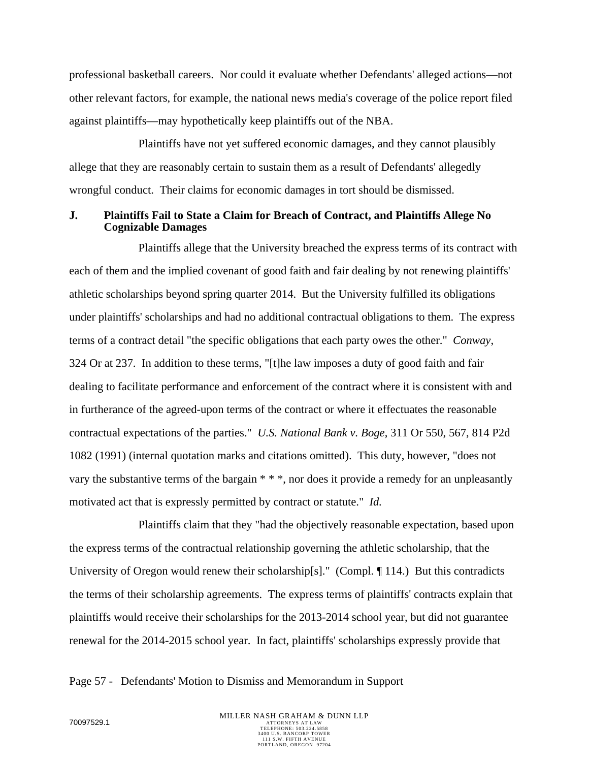professional basketball careers. Nor could it evaluate whether Defendants' alleged actions—not other relevant factors, for example, the national news media's coverage of the police report filed against plaintiffs—may hypothetically keep plaintiffs out of the NBA.

Plaintiffs have not yet suffered economic damages, and they cannot plausibly allege that they are reasonably certain to sustain them as a result of Defendants' allegedly wrongful conduct. Their claims for economic damages in tort should be dismissed.

## **J. Plaintiffs Fail to State a Claim for Breach of Contract, and Plaintiffs Allege No Cognizable Damages**

Plaintiffs allege that the University breached the express terms of its contract with each of them and the implied covenant of good faith and fair dealing by not renewing plaintiffs' athletic scholarships beyond spring quarter 2014. But the University fulfilled its obligations under plaintiffs' scholarships and had no additional contractual obligations to them. The express terms of a contract detail "the specific obligations that each party owes the other." *Conway*, 324 Or at 237. In addition to these terms, "[t]he law imposes a duty of good faith and fair dealing to facilitate performance and enforcement of the contract where it is consistent with and in furtherance of the agreed-upon terms of the contract or where it effectuates the reasonable contractual expectations of the parties." *U.S. National Bank v. Boge*, 311 Or 550, 567, 814 P2d 1082 (1991) (internal quotation marks and citations omitted). This duty, however, "does not vary the substantive terms of the bargain \* \* \*, nor does it provide a remedy for an unpleasantly motivated act that is expressly permitted by contract or statute." *Id.*

Plaintiffs claim that they "had the objectively reasonable expectation, based upon the express terms of the contractual relationship governing the athletic scholarship, that the University of Oregon would renew their scholarship[s]." (Compl. ¶ 114.) But this contradicts the terms of their scholarship agreements. The express terms of plaintiffs' contracts explain that plaintiffs would receive their scholarships for the 2013-2014 school year, but did not guarantee renewal for the 2014-2015 school year. In fact, plaintiffs' scholarships expressly provide that

Page 57 - Defendants' Motion to Dismiss and Memorandum in Support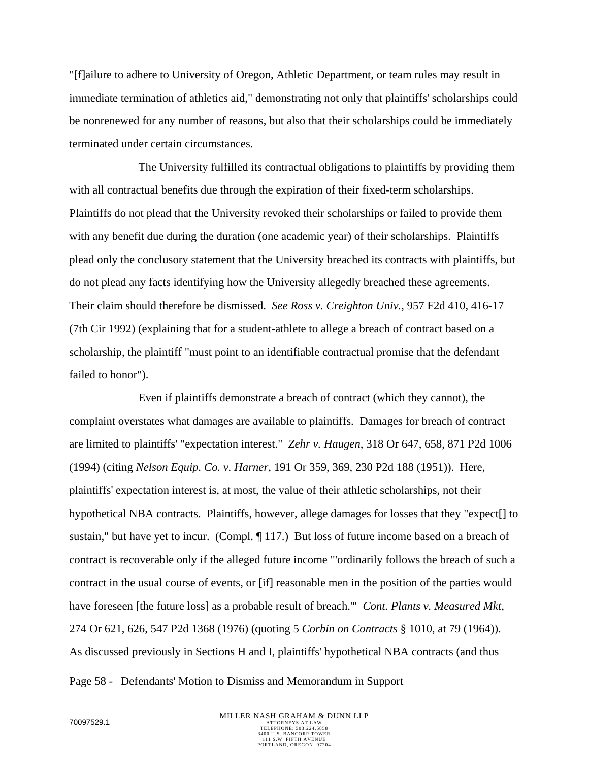"[f]ailure to adhere to University of Oregon, Athletic Department, or team rules may result in immediate termination of athletics aid," demonstrating not only that plaintiffs' scholarships could be nonrenewed for any number of reasons, but also that their scholarships could be immediately terminated under certain circumstances.

The University fulfilled its contractual obligations to plaintiffs by providing them with all contractual benefits due through the expiration of their fixed-term scholarships. Plaintiffs do not plead that the University revoked their scholarships or failed to provide them with any benefit due during the duration (one academic year) of their scholarships. Plaintiffs plead only the conclusory statement that the University breached its contracts with plaintiffs, but do not plead any facts identifying how the University allegedly breached these agreements. Their claim should therefore be dismissed. *See Ross v. Creighton Univ.*, 957 F2d 410, 416-17 (7th Cir 1992) (explaining that for a student-athlete to allege a breach of contract based on a scholarship, the plaintiff "must point to an identifiable contractual promise that the defendant failed to honor").

Even if plaintiffs demonstrate a breach of contract (which they cannot), the complaint overstates what damages are available to plaintiffs. Damages for breach of contract are limited to plaintiffs' "expectation interest." *Zehr v. Haugen*, 318 Or 647, 658, 871 P2d 1006 (1994) (citing *Nelson Equip. Co. v. Harner*, 191 Or 359, 369, 230 P2d 188 (1951)). Here, plaintiffs' expectation interest is, at most, the value of their athletic scholarships, not their hypothetical NBA contracts. Plaintiffs, however, allege damages for losses that they "expect[] to sustain," but have yet to incur. (Compl. ¶ 117.) But loss of future income based on a breach of contract is recoverable only if the alleged future income "'ordinarily follows the breach of such a contract in the usual course of events, or [if] reasonable men in the position of the parties would have foreseen [the future loss] as a probable result of breach.'" *Cont. Plants v. Measured Mkt*, 274 Or 621, 626, 547 P2d 1368 (1976) (quoting 5 *Corbin on Contracts* § 1010, at 79 (1964)). As discussed previously in Sections H and I, plaintiffs' hypothetical NBA contracts (and thus

Page 58 - Defendants' Motion to Dismiss and Memorandum in Support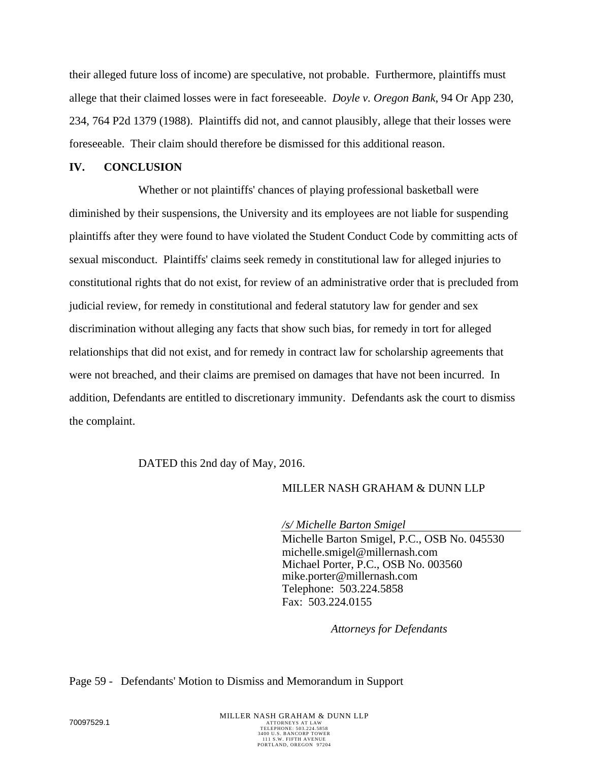their alleged future loss of income) are speculative, not probable. Furthermore, plaintiffs must allege that their claimed losses were in fact foreseeable. *Doyle v. Oregon Bank*, 94 Or App 230, 234, 764 P2d 1379 (1988). Plaintiffs did not, and cannot plausibly, allege that their losses were foreseeable. Their claim should therefore be dismissed for this additional reason.

## **IV. CONCLUSION**

Whether or not plaintiffs' chances of playing professional basketball were diminished by their suspensions, the University and its employees are not liable for suspending plaintiffs after they were found to have violated the Student Conduct Code by committing acts of sexual misconduct. Plaintiffs' claims seek remedy in constitutional law for alleged injuries to constitutional rights that do not exist, for review of an administrative order that is precluded from judicial review, for remedy in constitutional and federal statutory law for gender and sex discrimination without alleging any facts that show such bias, for remedy in tort for alleged relationships that did not exist, and for remedy in contract law for scholarship agreements that were not breached, and their claims are premised on damages that have not been incurred. In addition, Defendants are entitled to discretionary immunity. Defendants ask the court to dismiss the complaint.

DATED this 2nd day of May, 2016.

## MILLER NASH GRAHAM & DUNN LLP

*/s/ Michelle Barton Smigel*  Michelle Barton Smigel, P.C., OSB No. 045530 michelle.smigel@millernash.com Michael Porter, P.C., OSB No. 003560 mike.porter@millernash.com Telephone: 503.224.5858 Fax: 503.224.0155

 *Attorneys for Defendants*

#### Page 59 - Defendants' Motion to Dismiss and Memorandum in Support